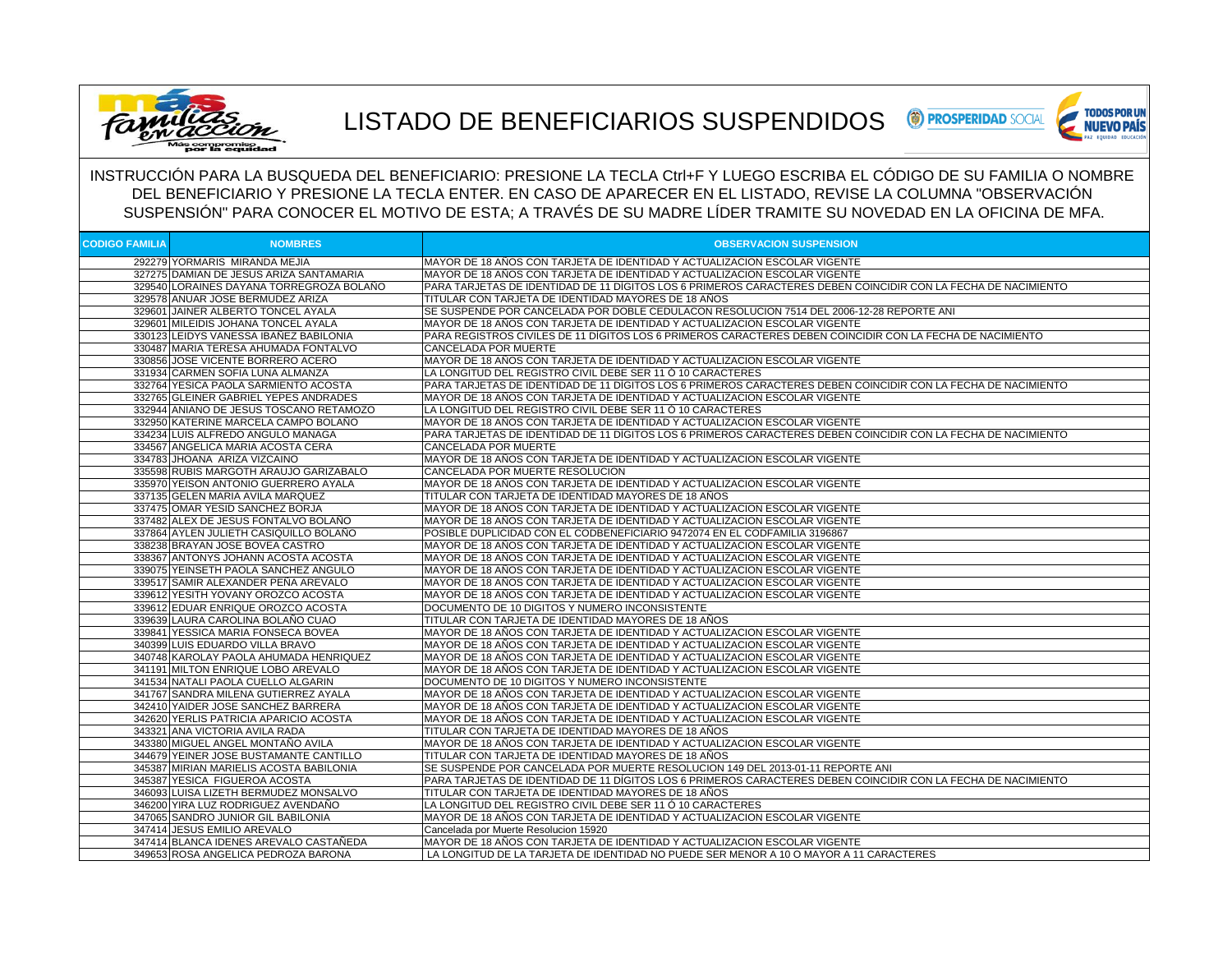

## LISTADO DE BENEFICIARIOS SUSPENDIDOS



INSTRUCCIÓN PARA LA BUSQUEDA DEL BENEFICIARIO: PRESIONE LA TECLA Ctrl+F Y LUEGO ESCRIBA EL CÓDIGO DE SU FAMILIA O NOMBRE DEL BENEFICIARIO Y PRESIONE LA TECLA ENTER. EN CASO DE APARECER EN EL LISTADO, REVISE LA COLUMNA "OBSERVACIÓN SUSPENSIÓN" PARA CONOCER EL MOTIVO DE ESTA; A TRAVÉS DE SU MADRE LÍDER TRAMITE SU NOVEDAD EN LA OFICINA DE MFA.

| <b>CODIGO FAMILIA</b> | <b>NOMBRES</b>                                                        | <b>OBSERVACION SUSPENSION</b>                                                                                      |
|-----------------------|-----------------------------------------------------------------------|--------------------------------------------------------------------------------------------------------------------|
|                       | 292279 YORMARIS MIRANDA MEJIA                                         | MAYOR DE 18 AÑOS CON TARJETA DE IDENTIDAD Y ACTUALIZACION ESCOLAR VIGENTE                                          |
|                       | 327275 DAMIAN DE JESUS ARIZA SANTAMARIA                               | MAYOR DE 18 AÑOS CON TARJETA DE IDENTIDAD Y ACTUALIZACION ESCOLAR VIGENTE                                          |
|                       | 329540 LORAINES DAYANA TORREGROZA BOLAÑO                              | PARA TARJETAS DE IDENTIDAD DE 11 DÍGITOS LOS 6 PRIMEROS CARACTERES DEBEN COINCIDIR CON LA FECHA DE NACIMIENTO      |
|                       | 329578 ANUAR JOSE BERMUDEZ ARIZA                                      | TITULAR CON TARJETA DE IDENTIDAD MAYORES DE 18 AÑOS                                                                |
|                       | 329601 JAINER ALBERTO TONCEL AYALA                                    | SE SUSPENDE POR CANCELADA POR DOBLE CEDULACON RESOLUCION 7514 DEL 2006-12-28 REPORTE ANI                           |
|                       | 329601 MILEIDIS JOHANA TONCEL AYALA                                   | MAYOR DE 18 AÑOS CON TARJETA DE IDENTIDAD Y ACTUALIZACION ESCOLAR VIGENTE                                          |
|                       | 330123 LEIDYS VANESSA IBANEZ BABILONIA                                | PARA REGISTROS CIVILES DE 11 DÍGITOS LOS 6 PRIMEROS CARACTERES DEBEN COINCIDIR CON LA FECHA DE NACIMIENTO          |
|                       | 330487 MARIA TERESA AHUMADA FONTALVO                                  | <b>CANCELADA POR MUERTE</b>                                                                                        |
|                       | 330856 JOSE VICENTE BORRERO ACERO                                     | MAYOR DE 18 AÑOS CON TARJETA DE IDENTIDAD Y ACTUALIZACION ESCOLAR VIGENTE                                          |
|                       | 331934 CARMEN SOFIA LUNA ALMANZA                                      | LA LONGITUD DEL REGISTRO CIVIL DEBE SER 11 Ó 10 CARACTERES                                                         |
|                       | 332764 YESICA PAOLA SARMIENTO ACOSTA                                  | PARA TARJETAS DE IDENTIDAD DE 11 DÍGITOS LOS 6 PRIMEROS CARACTERES DEBEN COINCIDIR CON LA FECHA DE NACIMIENTO      |
|                       | 332765 GLEINER GABRIEL YEPES ANDRADES                                 | MAYOR DE 18 AÑOS CON TARJETA DE IDENTIDAD Y ACTUALIZACION ESCOLAR VIGENTE                                          |
|                       | 332944 ANIANO DE JESUS TOSCANO RETAMOZO                               | LA LONGITUD DEL REGISTRO CIVIL DEBE SER 11 Ó 10 CARACTERES                                                         |
|                       | 332950 KATERINE MARCELA CAMPO BOLAÑO                                  | MAYOR DE 18 ANOS CON TARJETA DE IDENTIDAD Y ACTUALIZACION ESCOLAR VIGENTE                                          |
|                       | 334234 LUIS ALFREDO ANGULO MANAGA                                     | PARA TARJETAS DE IDENTIDAD DE 11 DÍGITOS LOS 6 PRIMEROS CARACTERES DEBEN COINCIDIR CON LA FECHA DE NACIMIENTO      |
|                       | 334567 ANGELICA MARIA ACOSTA CERA                                     | CANCELADA POR MUERTE                                                                                               |
|                       | 334783 JHOANA ARIZA VIZCAINO                                          | MAYOR DE 18 AÑOS CON TARJETA DE IDENTIDAD Y ACTUALIZACION ESCOLAR VIGENTE                                          |
|                       | 335598 RUBIS MARGOTH ARAUJO GARIZABALO                                | CANCELADA POR MUERTE RESOLUCION                                                                                    |
|                       | 335970 YEISON ANTONIO GUERRERO AYALA                                  | MAYOR DE 18 AÑOS CON TARJETA DE IDENTIDAD Y ACTUALIZACION ESCOLAR VIGENTE                                          |
|                       | 337135 GELEN MARIA AVILA MARQUEZ                                      | TITULAR CON TARJETA DE IDENTIDAD MAYORES DE 18 AÑOS                                                                |
|                       | 337475 OMAR YESID SANCHEZ BORJA                                       | MAYOR DE 18 AÑOS CON TARJETA DE IDENTIDAD Y ACTUALIZACION ESCOLAR VIGENTE                                          |
|                       | 337482 ALEX DE JESUS FONTALVO BOLAÑO                                  | MAYOR DE 18 AÑOS CON TARJETA DE IDENTIDAD Y ACTUALIZACION ESCOLAR VIGENTE                                          |
|                       | 337864 AYLEN JULIETH CASIQUILLO BOLAÑO                                | POSIBLE DUPLICIDAD CON EL CODBENEFICIARIO 9472074 EN EL CODFAMILIA 3196867                                         |
|                       | 338238 BRAYAN JOSE BOVEA CASTRO                                       | MAYOR DE 18 AÑOS CON TARJETA DE IDENTIDAD Y ACTUALIZACION ESCOLAR VIGENTE                                          |
|                       | 338367 ANTONYS JOHANN ACOSTA ACOSTA                                   | MAYOR DE 18 AÑOS CON TARJETA DE IDENTIDAD Y ACTUALIZACION ESCOLAR VIGENTE                                          |
|                       | 339075 YEINSETH PAOLA SANCHEZ ANGULO                                  | MAYOR DE 18 AÑOS CON TARJETA DE IDENTIDAD Y ACTUALIZACION ESCOLAR VIGENTE                                          |
|                       | 339517 SAMIR ALEXANDER PEÑA AREVALO                                   | MAYOR DE 18 AÑOS CON TARJETA DE IDENTIDAD Y ACTUALIZACION ESCOLAR VIGENTE                                          |
|                       | 339612 YESITH YOVANY OROZCO ACOSTA                                    | MAYOR DE 18 AÑOS CON TARJETA DE IDENTIDAD Y ACTUALIZACION ESCOLAR VIGENTE                                          |
|                       | 339612 EDUAR ENRIQUE OROZCO ACOSTA                                    | DOCUMENTO DE 10 DIGITOS Y NUMERO INCONSISTENTE                                                                     |
|                       | 339639 LAURA CAROLINA BOLAÑO CUAO                                     | TITULAR CON TARJETA DE IDENTIDAD MAYORES DE 18 AÑOS                                                                |
|                       | 339841 YESSICA MARIA FONSECA BOVEA                                    | MAYOR DE 18 AÑOS CON TARJETA DE IDENTIDAD Y ACTUALIZACION ESCOLAR VIGENTE                                          |
|                       | 340399 LUIS EDUARDO VILLA BRAVO                                       | MAYOR DE 18 AÑOS CON TARJETA DE IDENTIDAD Y ACTUALIZACION ESCOLAR VIGENTE                                          |
|                       | 340748 KAROLAY PAOLA AHUMADA HENRIQUEZ                                | MAYOR DE 18 AÑOS CON TARJETA DE IDENTIDAD Y ACTUALIZACION ESCOLAR VIGENTE                                          |
|                       | 341191 MILTON ENRIQUE LOBO AREVALO                                    | MAYOR DE 18 AÑOS CON TARJETA DE IDENTIDAD Y ACTUALIZACION ESCOLAR VIGENTE                                          |
|                       | 341534 NATALI PAOLA CUELLO ALGARIN                                    | DOCUMENTO DE 10 DIGITOS Y NUMERO INCONSISTENTE                                                                     |
|                       | 341767 SANDRA MILENA GUTIERREZ AYALA                                  | MAYOR DE 18 AÑOS CON TARJETA DE IDENTIDAD Y ACTUALIZACION ESCOLAR VIGENTE                                          |
|                       | 342410 YAIDER JOSE SANCHEZ BARRERA                                    | MAYOR DE 18 AÑOS CON TARJETA DE IDENTIDAD Y ACTUALIZACION ESCOLAR VIGENTE                                          |
|                       | 342620 YERLIS PATRICIA APARICIO ACOSTA                                | MAYOR DE 18 AÑOS CON TARJETA DE IDENTIDAD Y ACTUALIZACION ESCOLAR VIGENTE                                          |
|                       | 343321 ANA VICTORIA AVILA RADA                                        | TITULAR CON TARJETA DE IDENTIDAD MAYORES DE 18 AÑOS                                                                |
|                       | 343380 MIGUEL ANGEL MONTAÑO AVILA                                     | MAYOR DE 18 AÑOS CON TARJETA DE IDENTIDAD Y ACTUALIZACION ESCOLAR VIGENTE                                          |
|                       | 344679 YEINER JOSE BUSTAMANTE CANTILLO                                | TITULAR CON TARJETA DE IDENTIDAD MAYORES DE 18 AÑOS                                                                |
|                       | 345387 MIRIAN MARIELIS ACOSTA BABILONIA                               | SE SUSPENDE POR CANCELADA POR MUERTE RESOLUCION 149 DEL 2013-01-11 REPORTE ANI                                     |
|                       | 345387 YESICA FIGUEROA ACOSTA                                         | PARA TARJETAS DE IDENTIDAD DE 11 DÍGITOS LOS 6 PRIMEROS CARACTERES DEBEN COINCIDIR CON LA FECHA DE NACIMIENTO      |
|                       | 346093 LUISA LIZETH BERMUDEZ MONSALVO                                 | TITULAR CON TARJETA DE IDENTIDAD MAYORES DE 18 AÑOS                                                                |
|                       | 346200 YIRA LUZ RODRIGUEZ AVENDAÑO                                    | LA LONGITUD DEL REGISTRO CIVIL DEBE SER 11 Ó 10 CARACTERES                                                         |
|                       | 347065 SANDRO JUNIOR GIL BABILONIA                                    | MAYOR DE 18 AÑOS CON TARJETA DE IDENTIDAD Y ACTUALIZACION ESCOLAR VIGENTE                                          |
|                       | 347414 JESUS EMILIO AREVALO<br>347414 BLANCA IDENES AREVALO CASTAÑEDA | Cancelada por Muerte Resolucion 15920<br>MAYOR DE 18 AÑOS CON TARJETA DE IDENTIDAD Y ACTUALIZACION ESCOLAR VIGENTE |
|                       |                                                                       | LA LONGITUD DE LA TARJETA DE IDENTIDAD NO PUEDE SER MENOR A 10 O MAYOR A 11 CARACTERES                             |
|                       | 349653 ROSA ANGELICA PEDROZA BARONA                                   |                                                                                                                    |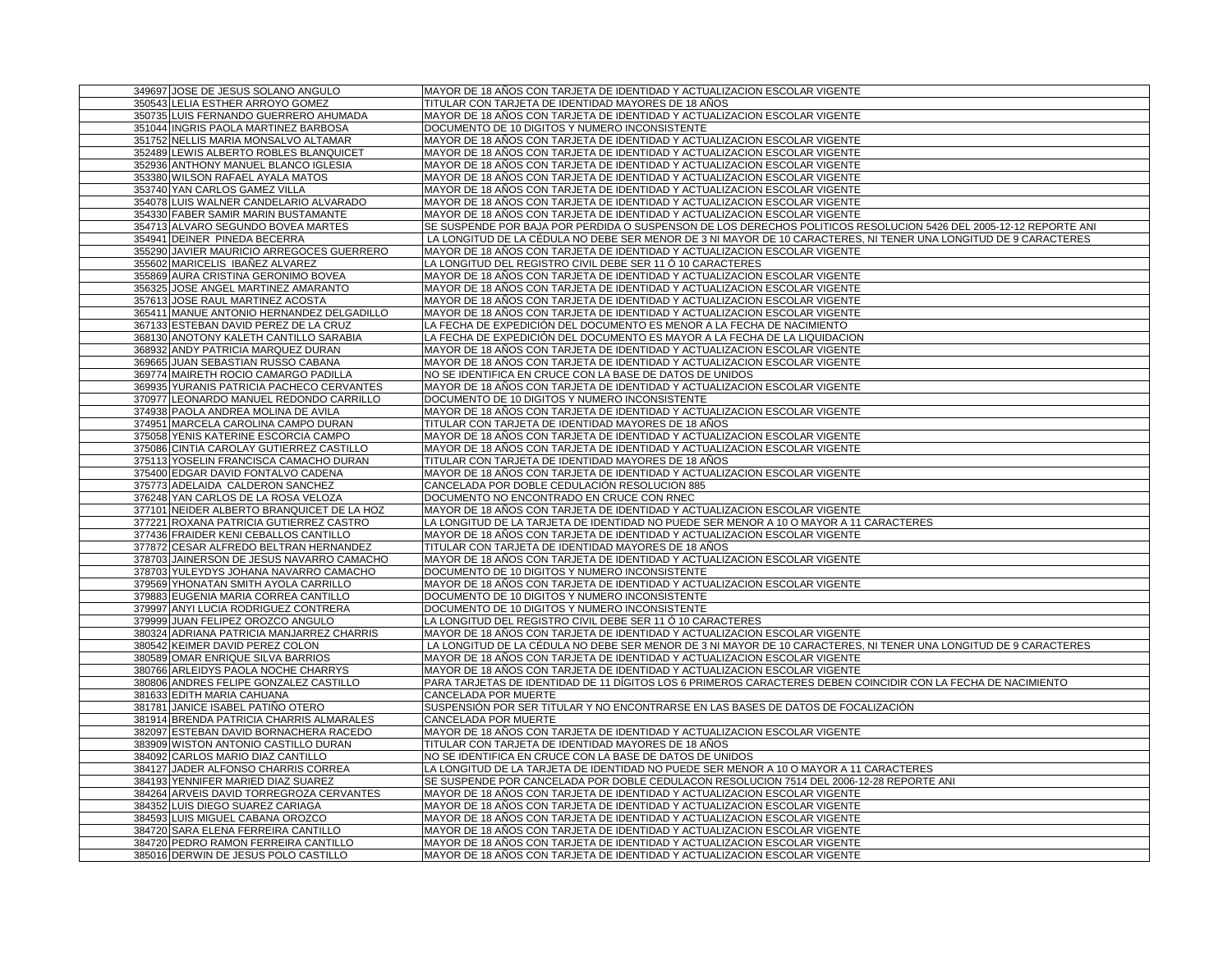| 349697 JOSE DE JESUS SOLANO ANGULO                                   | MAYOR DE 18 AÑOS CON TARJETA DE IDENTIDAD Y ACTUALIZACION ESCOLAR VIGENTE                                         |
|----------------------------------------------------------------------|-------------------------------------------------------------------------------------------------------------------|
| 350543 LELIA ESTHER ARROYO GOMEZ                                     | TITULAR CON TARJETA DE IDENTIDAD MAYORES DE 18 AÑOS                                                               |
| 350735 LUIS FERNANDO GUERRERO AHUMADA                                | MAYOR DE 18 AÑOS CON TARJETA DE IDENTIDAD Y ACTUALIZACION ESCOLAR VIGENTE                                         |
| 351044 INGRIS PAOLA MARTINEZ BARBOSA                                 | DOCUMENTO DE 10 DIGITOS Y NUMERO INCONSISTENTE                                                                    |
| 351752 NELLIS MARIA MONSALVO ALTAMAR                                 | MAYOR DE 18 AÑOS CON TARJETA DE IDENTIDAD Y ACTUALIZACION ESCOLAR VIGENTE                                         |
| 352489 LEWIS ALBERTO ROBLES BLANQUICET                               | MAYOR DE 18 AÑOS CON TARJETA DE IDENTIDAD Y ACTUALIZACION ESCOLAR VIGENTE                                         |
| 352936 ANTHONY MANUEL BLANCO IGLESIA                                 | MAYOR DE 18 AÑOS CON TARJETA DE IDENTIDAD Y ACTUALIZACION ESCOLAR VIGENTE                                         |
| 353380 WILSON RAFAEL AYALA MATOS                                     | MAYOR DE 18 AÑOS CON TARJETA DE IDENTIDAD Y ACTUALIZACION ESCOLAR VIGENTE                                         |
| 353740 YAN CARLOS GAMEZ VILLA                                        | MAYOR DE 18 AÑOS CON TARJETA DE IDENTIDAD Y ACTUALIZACION ESCOLAR VIGENTE                                         |
| 354078 LUIS WALNER CANDELARIO ALVARADO                               | MAYOR DE 18 AÑOS CON TARJETA DE IDENTIDAD Y ACTUALIZACION ESCOLAR VIGENTE                                         |
| 354330 FABER SAMIR MARIN BUSTAMANTE                                  | MAYOR DE 18 AÑOS CON TARJETA DE IDENTIDAD Y ACTUALIZACION ESCOLAR VIGENTE                                         |
| 354713 ALVARO SEGUNDO BOVEA MARTES                                   | SE SUSPENDE POR BAJA POR PERDIDA O SUSPENSON DE LOS DERECHOS POLITICOS RESOLUCION 5426 DEL 2005-12-12 REPORTE ANI |
| 354941 DEINER PINEDA BECERRA                                         | LA LONGITUD DE LA CÉDULA NO DEBE SER MENOR DE 3 NI MAYOR DE 10 CARACTERES, NI TENER UNA LONGITUD DE 9 CARACTERES  |
| 355290 JAVIER MAURICIO ARREGOCES GUERRERO                            | MAYOR DE 18 AÑOS CON TARJETA DE IDENTIDAD Y ACTUALIZACION ESCOLAR VIGENTE                                         |
| 355602 MARICELIS IBAÑEZ ALVAREZ                                      | LA LONGITUD DEL REGISTRO CIVIL DEBE SER 11 Ó 10 CARACTERES                                                        |
| 355869 AURA CRISTINA GERONIMO BOVEA                                  | MAYOR DE 18 AÑOS CON TARJETA DE IDENTIDAD Y ACTUALIZACION ESCOLAR VIGENTE                                         |
| 356325 JOSE ANGEL MARTINEZ AMARANTO                                  | MAYOR DE 18 AÑOS CON TARJETA DE IDENTIDAD Y ACTUALIZACION ESCOLAR VIGENTE                                         |
| 357613 JOSE RAUL MARTINEZ ACOSTA                                     | MAYOR DE 18 AÑOS CON TARJETA DE IDENTIDAD Y ACTUALIZACION ESCOLAR VIGENTE                                         |
| 365411 MANUE ANTONIO HERNANDEZ DELGADILLO                            | MAYOR DE 18 AÑOS CON TARJETA DE IDENTIDAD Y ACTUALIZACION ESCOLAR VIGENTE                                         |
| 367133 ESTEBAN DAVID PEREZ DE LA CRUZ                                | LA FECHA DE EXPEDICIÓN DEL DOCUMENTO ES MENOR A LA FECHA DE NACIMIENTO                                            |
| 368130 ANOTONY KALETH CANTILLO SARABIA                               | LA FECHA DE EXPEDICIÓN DEL DOCUMENTO ES MAYOR A LA FECHA DE LA LIQUIDACION                                        |
| 368932 ANDY PATRICIA MARQUEZ DURAN                                   | MAYOR DE 18 AÑOS CON TARJETA DE IDENTIDAD Y ACTUALIZACION ESCOLAR VIGENTE                                         |
| 369665 JUAN SEBASTIAN RUSSO CABANA                                   | MAYOR DE 18 AÑOS CON TARJETA DE IDENTIDAD Y ACTUALIZACION ESCOLAR VIGENTE                                         |
| 369774 MAIRETH ROCIO CAMARGO PADILLA                                 | NO SE IDENTIFICA EN CRUCE CON LA BASE DE DATOS DE UNIDOS                                                          |
| 369935 YURANIS PATRICIA PACHECO CERVANTES                            | MAYOR DE 18 AÑOS CON TARJETA DE IDENTIDAD Y ACTUALIZACION ESCOLAR VIGENTE                                         |
| 370977 LEONARDO MANUEL REDONDO CARRILLO                              | DOCUMENTO DE 10 DIGITOS Y NUMERO INCONSISTENTE                                                                    |
| 374938 PAOLA ANDREA MOLINA DE AVILA                                  | MAYOR DE 18 AÑOS CON TARJETA DE IDENTIDAD Y ACTUALIZACION ESCOLAR VIGENTE                                         |
| 374951 MARCELA CAROLINA CAMPO DURAN                                  | TITULAR CON TARJETA DE IDENTIDAD MAYORES DE 18 AÑOS                                                               |
| 375058 YENIS KATERINE ESCORCIA CAMPO                                 | MAYOR DE 18 AÑOS CON TARJETA DE IDENTIDAD Y ACTUALIZACION ESCOLAR VIGENTE                                         |
| 375086 CINTIA CAROLAY GUTIERREZ CASTILLO                             | MAYOR DE 18 AÑOS CON TARJETA DE IDENTIDAD Y ACTUALIZACION ESCOLAR VIGENTE                                         |
| 375113 YOSELIN FRANCISCA CAMACHO DURAN                               | TITULAR CON TARJETA DE IDENTIDAD MAYORES DE 18 AÑOS                                                               |
| 375400 EDGAR DAVID FONTALVO CADENA                                   | MAYOR DE 18 AÑOS CON TARJETA DE IDENTIDAD Y ACTUALIZACION ESCOLAR VIGENTE                                         |
| 375773 ADELAIDA CALDERON SANCHEZ                                     | CANCELADA POR DOBLE CEDULACIÓN RESOLUCION 885                                                                     |
| 376248 YAN CARLOS DE LA ROSA VELOZA                                  | DOCUMENTO NO ENCONTRADO EN CRUCE CON RNEC                                                                         |
| 377101 NEIDER ALBERTO BRANQUICET DE LA HOZ                           | MAYOR DE 18 AÑOS CON TARJETA DE IDENTIDAD Y ACTUALIZACION ESCOLAR VIGENTE                                         |
| 377221 ROXANA PATRICIA GUTIERREZ CASTRO                              | LA LONGITUD DE LA TARJETA DE IDENTIDAD NO PUEDE SER MENOR A 10 O MAYOR A 11 CARACTERES                            |
| 377436 FRAIDER KENI CEBALLOS CANTILLO                                | MAYOR DE 18 AÑOS CON TARJETA DE IDENTIDAD Y ACTUALIZACION ESCOLAR VIGENTE                                         |
| 377872 CESAR ALFREDO BELTRAN HERNANDEZ                               | TITULAR CON TARJETA DE IDENTIDAD MAYORES DE 18 AÑOS                                                               |
| 378703 JAINERSON DE JESUS NAVARRO CAMACHO                            | MAYOR DE 18 AÑOS CON TARJETA DE IDENTIDAD Y ACTUALIZACION ESCOLAR VIGENTE                                         |
| 378703 YULEYDYS JOHANA NAVARRO CAMACHO                               | DOCUMENTO DE 10 DIGITOS Y NUMERO INCONSISTENTE                                                                    |
| 379569 YHONATAN SMITH AYOLA CARRILLO                                 | MAYOR DE 18 AÑOS CON TARJETA DE IDENTIDAD Y ACTUALIZACION ESCOLAR VIGENTE                                         |
| 379883 EUGENIA MARIA CORREA CANTILLO                                 | DOCUMENTO DE 10 DIGITOS Y NUMERO INCONSISTENTE                                                                    |
| 379997 ANYI LUCIA RODRIGUEZ CONTRERA                                 | DOCUMENTO DE 10 DIGITOS Y NUMERO INCONSISTENTE                                                                    |
| 379999 JUAN FELIPEZ OROZCO ANGULO                                    | LA LONGITUD DEL REGISTRO CIVIL DEBE SER 11 Ó 10 CARACTERES                                                        |
| 380324 ADRIANA PATRICIA MANJARREZ CHARRIS                            | MAYOR DE 18 AÑOS CON TARJETA DE IDENTIDAD Y ACTUALIZACION ESCOLAR VIGENTE                                         |
| 380542 KEIMER DAVID PEREZ COLON                                      | LA LONGITUD DE LA CÉDULA NO DEBE SER MENOR DE 3 NI MAYOR DE 10 CARACTERES, NI TENER UNA LONGITUD DE 9 CARACTERES  |
| 380589 OMAR ENRIQUE SILVA BARRIOS                                    | MAYOR DE 18 AÑOS CON TARJETA DE IDENTIDAD Y ACTUALIZACION ESCOLAR VIGENTE                                         |
| 380766 ARLEIDYS PAOLA NOCHE CHARRYS                                  | MAYOR DE 18 AÑOS CON TARJETA DE IDENTIDAD Y ACTUALIZACION ESCOLAR VIGENTE                                         |
|                                                                      | PARA TARJETAS DE IDENTIDAD DE 11 DÍGITOS LOS 6 PRIMEROS CARACTERES DEBEN COINCIDIR CON LA FECHA DE NACIMIENTO     |
| 380806 ANDRES FELIPE GONZALEZ CASTILLO<br>381633 EDITH MARIA CAHUANA | CANCELADA POR MUERTE                                                                                              |
| 381781 JANICE ISABEL PATIÑO OTERO                                    | SUSPENSIÓN POR SER TITULAR Y NO ENCONTRARSE EN LAS BASES DE DATOS DE FOCALIZACIÓN                                 |
| 381914 BRENDA PATRICIA CHARRIS ALMARALES                             | CANCELADA POR MUERTE                                                                                              |
| 382097 ESTEBAN DAVID BORNACHERA RACEDO                               | MAYOR DE 18 AÑOS CON TARJETA DE IDENTIDAD Y ACTUALIZACION ESCOLAR VIGENTE                                         |
| 383909 WISTON ANTONIO CASTILLO DURAN                                 | TITULAR CON TARJETA DE IDENTIDAD MAYORES DE 18 AÑOS                                                               |
| 384092 CARLOS MARIO DIAZ CANTILLO                                    | NO SE IDENTIFICA EN CRUCE CON LA BASE DE DATOS DE UNIDOS                                                          |
| 384127 JADER ALFONSO CHARRIS CORREA                                  | LA LONGITUD DE LA TARJETA DE IDENTIDAD NO PUEDE SER MENOR A 10 O MAYOR A 11 CARACTERES                            |
| 384193 YENNIFER MARIED DIAZ SUAREZ                                   | SE SUSPENDE POR CANCELADA POR DOBLE CEDULACON RESOLUCION 7514 DEL 2006-12-28 REPORTE ANI                          |
| 384264 ARVEIS DAVID TORREGROZA CERVANTES                             | MAYOR DE 18 AÑOS CON TARJETA DE IDENTIDAD Y ACTUALIZACION ESCOLAR VIGENTE                                         |
| 384352 LUIS DIEGO SUAREZ CARIAGA                                     | MAYOR DE 18 AÑOS CON TARJETA DE IDENTIDAD Y ACTUALIZACION ESCOLAR VIGENTE                                         |
| 384593 LUIS MIGUEL CABANA OROZCO                                     | MAYOR DE 18 AÑOS CON TARJETA DE IDENTIDAD Y ACTUALIZACION ESCOLAR VIGENTE                                         |
| 384720 SARA ELENA FERREIRA CANTILLO                                  | MAYOR DE 18 AÑOS CON TARJETA DE IDENTIDAD Y ACTUALIZACION ESCOLAR VIGENTE                                         |
| 384720 PEDRO RAMON FERREIRA CANTILLO                                 | MAYOR DE 18 AÑOS CON TARJETA DE IDENTIDAD Y ACTUALIZACION ESCOLAR VIGENTE                                         |
| 385016 DERWIN DE JESUS POLO CASTILLO                                 | MAYOR DE 18 AÑOS CON TARJETA DE IDENTIDAD Y ACTUALIZACION ESCOLAR VIGENTE                                         |
|                                                                      |                                                                                                                   |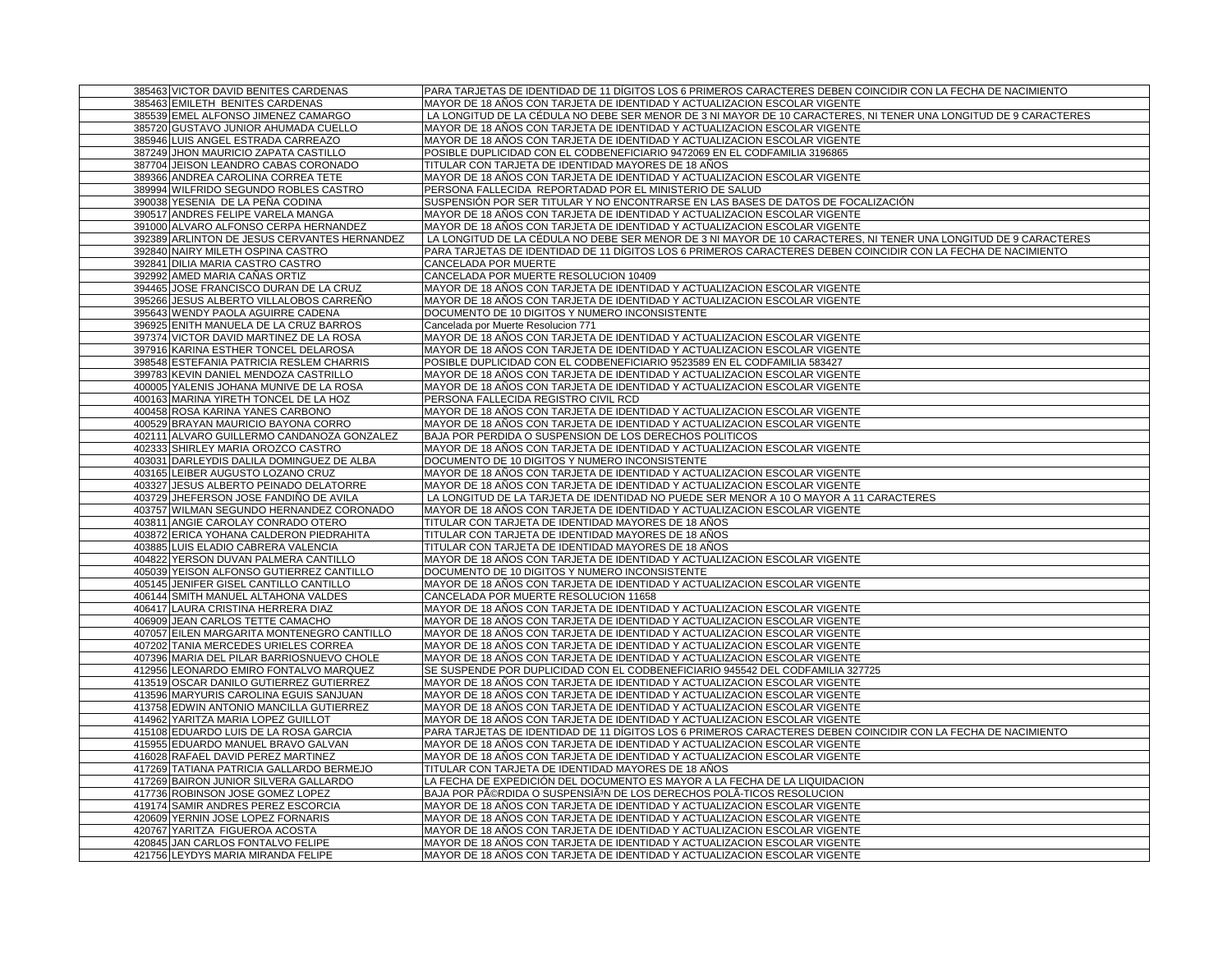| 385463 VICTOR DAVID BENITES CARDENAS         | PARA TARJETAS DE IDENTIDAD DE 11 DÍGITOS LOS 6 PRIMEROS CARACTERES DEBEN COINCIDIR CON LA FECHA DE NACIMIENTO    |
|----------------------------------------------|------------------------------------------------------------------------------------------------------------------|
| 385463 EMILETH BENITES CARDENAS              | MAYOR DE 18 AÑOS CON TARJETA DE IDENTIDAD Y ACTUALIZACION ESCOLAR VIGENTE                                        |
| 385539 EMEL ALFONSO JIMENEZ CAMARGO          | LA LONGITUD DE LA CÉDULA NO DEBE SER MENOR DE 3 NI MAYOR DE 10 CARACTERES, NI TENER UNA LONGITUD DE 9 CARACTERES |
| 385720 GUSTAVO JUNIOR AHUMADA CUELLO         | MAYOR DE 18 AÑOS CON TARJETA DE IDENTIDAD Y ACTUALIZACION ESCOLAR VIGENTE                                        |
| 385946 LUIS ANGEL ESTRADA CARREAZO           | MAYOR DE 18 AÑOS CON TARJETA DE IDENTIDAD Y ACTUALIZACION ESCOLAR VIGENTE                                        |
| 387249 JHON MAURICIO ZAPATA CASTILLO         | POSIBLE DUPLICIDAD CON EL CODBENEFICIARIO 9472069 EN EL CODFAMILIA 3196865                                       |
| 387704 JEISON LEANDRO CABAS CORONADO         | TITULAR CON TARJETA DE IDENTIDAD MAYORES DE 18 AÑOS                                                              |
| 389366 ANDREA CAROLINA CORREA TETE           | MAYOR DE 18 AÑOS CON TARJETA DE IDENTIDAD Y ACTUALIZACION ESCOLAR VIGENTE                                        |
| 389994 WILFRIDO SEGUNDO ROBLES CASTRO        | PERSONA FALLECIDA REPORTADAD POR EL MINISTERIO DE SALUD                                                          |
| 390038 YESENIA DE LA PEÑA CODINA             | SUSPENSIÓN POR SER TITULAR Y NO ENCONTRARSE EN LAS BASES DE DATOS DE FOCALIZACIÓN                                |
| 390517 ANDRES FELIPE VARELA MANGA            | MAYOR DE 18 AÑOS CON TARJETA DE IDENTIDAD Y ACTUALIZACION ESCOLAR VIGENTE                                        |
| 391000 ALVARO ALFONSO CERPA HERNANDEZ        | MAYOR DE 18 AÑOS CON TARJETA DE IDENTIDAD Y ACTUALIZACION ESCOLAR VIGENTE                                        |
| 392389 ARLINTON DE JESUS CERVANTES HERNANDEZ | LA LONGITUD DE LA CÉDULA NO DEBE SER MENOR DE 3 NI MAYOR DE 10 CARACTERES, NI TENER UNA LONGITUD DE 9 CARACTERES |
| 392840 NAIRY MILETH OSPINA CASTRO            | PARA TARJETAS DE IDENTIDAD DE 11 DÍGITOS LOS 6 PRIMEROS CARACTERES DEBEN COINCIDIR CON LA FECHA DE NACIMIENTO    |
| 392841 DILIA MARIA CASTRO CASTRO             | CANCELADA POR MUERTE                                                                                             |
| 392992 AMED MARIA CAÑAS ORTIZ                | CANCELADA POR MUERTE RESOLUCION 10409                                                                            |
|                                              | MAYOR DE 18 AÑOS CON TARJETA DE IDENTIDAD Y ACTUALIZACION ESCOLAR VIGENTE                                        |
| 394465 JOSE FRANCISCO DURAN DE LA CRUZ       |                                                                                                                  |
| 395266 JESUS ALBERTO VILLALOBOS CARREÑO      | MAYOR DE 18 AÑOS CON TARJETA DE IDENTIDAD Y ACTUALIZACION ESCOLAR VIGENTE                                        |
| 395643 WENDY PAOLA AGUIRRE CADENA            | DOCUMENTO DE 10 DIGITOS Y NUMERO INCONSISTENTE                                                                   |
| 396925 ENITH MANUELA DE LA CRUZ BARROS       | Cancelada por Muerte Resolucion 771                                                                              |
| 397374 VICTOR DAVID MARTINEZ DE LA ROSA      | MAYOR DE 18 AÑOS CON TARJETA DE IDENTIDAD Y ACTUALIZACIÓN ESCOLAR VIGENTE                                        |
| 397916 KARINA ESTHER TONCEL DELAROSA         | MAYOR DE 18 AÑOS CON TARJETA DE IDENTIDAD Y ACTUALIZACION ESCOLAR VIGENTE                                        |
| 398548 ESTEFANIA PATRICIA RESLEM CHARRIS     | POSIBLE DUPLICIDAD CON EL CODBENEFICIARIO 9523589 EN EL CODFAMILIA 583427                                        |
| 399783 KEVIN DANIEL MENDOZA CASTRILLO        | MAYOR DE 18 AÑOS CON TARJETA DE IDENTIDAD Y ACTUALIZACION ESCOLAR VIGENTE                                        |
| 400005 YALENIS JOHANA MUNIVE DE LA ROSA      | MAYOR DE 18 AÑOS CON TARJETA DE IDENTIDAD Y ACTUALIZACION ESCOLAR VIGENTE                                        |
| 400163 MARINA YIRETH TONCEL DE LA HOZ        | PERSONA FALLECIDA REGISTRO CIVIL RCD                                                                             |
| 400458 ROSA KARINA YANES CARBONO             | MAYOR DE 18 AÑOS CON TARJETA DE IDENTIDAD Y ACTUALIZACION ESCOLAR VIGENTE                                        |
| 400529 BRAYAN MAURICIO BAYONA CORRO          | MAYOR DE 18 AÑOS CON TARJETA DE IDENTIDAD Y ACTUALIZACION ESCOLAR VIGENTE                                        |
| 402111 ALVARO GUILLERMO CANDANOZA GONZALEZ   | BAJA POR PERDIDA O SUSPENSION DE LOS DERECHOS POLITICOS                                                          |
| 402333 SHIRLEY MARIA OROZCO CASTRO           | MAYOR DE 18 ANOS CON TARJETA DE IDENTIDAD Y ACTUALIZACION ESCOLAR VIGENTE                                        |
| 403031 DARLEYDIS DALILA DOMINGUEZ DE ALBA    | DOCUMENTO DE 10 DIGITOS Y NUMERO INCONSISTENTE                                                                   |
| 403165 LEIBER AUGUSTO LOZANO CRUZ            | MAYOR DE 18 AÑOS CON TARJETA DE IDENTIDAD Y ACTUALIZACION ESCOLAR VIGENTE                                        |
| 403327 JESUS ALBERTO PEINADO DELATORRE       | MAYOR DE 18 AÑOS CON TARJETA DE IDENTIDAD Y ACTUALIZACION ESCOLAR VIGENTE                                        |
| 403729 JHEFERSON JOSE FANDINO DE AVILA       | LA LONGITUD DE LA TARJETA DE IDENTIDAD NO PUEDE SER MENOR A 10 O MAYOR A 11 CARACTERES                           |
| 403757 WILMAN SEGUNDO HERNANDEZ CORONADO     | MAYOR DE 18 AÑOS CON TARJETA DE IDENTIDAD Y ACTUALIZACION ESCOLAR VIGENTE                                        |
| 403811 ANGIE CAROLAY CONRADO OTERO           | TITULAR CON TARJETA DE IDENTIDAD MAYORES DE 18 AÑOS                                                              |
| 403872 ERICA YOHANA CALDERON PIEDRAHITA      | TITULAR CON TARJETA DE IDENTIDAD MAYORES DE 18 AÑOS                                                              |
| 403885 LUIS ELADIO CABRERA VALENCIA          | TITULAR CON TARJETA DE IDENTIDAD MAYORES DE 18 AÑOS                                                              |
| 404822 YERSON DUVAN PALMERA CANTILLO         | MAYOR DE 18 AÑOS CON TARJETA DE IDENTIDAD Y ACTUALIZACION ESCOLAR VIGENTE                                        |
| 405039 YEISON ALFONSO GUTIERREZ CANTILLO     | DOCUMENTO DE 10 DIGITOS Y NUMERO INCONSISTENTE                                                                   |
| 405145 JENIFER GISEL CANTILLO CANTILLO       | MAYOR DE 18 AÑOS CON TARJETA DE IDENTIDAD Y ACTUALIZACION ESCOLAR VIGENTE                                        |
| 406144 SMITH MANUEL ALTAHONA VALDES          | CANCELADA POR MUERTE RESOLUCION 11658                                                                            |
| 406417 LAURA CRISTINA HERRERA DIAZ           | MAYOR DE 18 AÑOS CON TARJETA DE IDENTIDAD Y ACTUALIZACION ESCOLAR VIGENTE                                        |
| 406909 JEAN CARLOS TETTE CAMACHO             | MAYOR DE 18 AÑOS CON TARJETA DE IDENTIDAD Y ACTUALIZACION ESCOLAR VIGENTE                                        |
| 407057 EILEN MARGARITA MONTENEGRO CANTILLO   | MAYOR DE 18 ANOS CON TARJETA DE IDENTIDAD Y ACTUALIZACION ESCOLAR VIGENTE                                        |
| 407202 TANIA MERCEDES URIELES CORREA         | MAYOR DE 18 AÑOS CON TARJETA DE IDENTIDAD Y ACTUALIZACION ESCOLAR VIGENTE                                        |
| 407396 MARIA DEL PILAR BARRIOSNUEVO CHOLE    | MAYOR DE 18 AÑOS CON TARJETA DE IDENTIDAD Y ACTUALIZACION ESCOLAR VIGENTE                                        |
| 412956 LEONARDO EMIRO FONTALVO MARQUEZ       | SE SUSPENDE POR DUPLICIDAD CON EL CODBENEFICIARIO 945542 DEL CODFAMILIA 327725                                   |
| 413519 OSCAR DANILO GUTIERREZ GUTIERREZ      | MAYOR DE 18 AÑOS CON TARJETA DE IDENTIDAD Y ACTUALIZACION ESCOLAR VIGENTE                                        |
| 413596 MARYURIS CAROLINA EGUIS SANJUAN       | MAYOR DE 18 AÑOS CON TARJETA DE IDENTIDAD Y ACTUALIZACION ESCOLAR VIGENTE                                        |
| 413758 EDWIN ANTONIO MANCILLA GUTIERREZ      | MAYOR DE 18 AÑOS CON TARJETA DE IDENTIDAD Y ACTUALIZACION ESCOLAR VIGENTE                                        |
| 414962 YARITZA MARIA LOPEZ GUILLOT           | MAYOR DE 18 AÑOS CON TARJETA DE IDENTIDAD Y ACTUALIZACION ESCOLAR VIGENTE                                        |
| 415108 EDUARDO LUIS DE LA ROSA GARCIA        | PARA TARJETAS DE IDENTIDAD DE 11 DÍGITOS LOS 6 PRIMEROS CARACTERES DEBEN COINCIDIR CON LA FECHA DE NACIMIENTO    |
| 415955 EDUARDO MANUEL BRAVO GALVAN           | MAYOR DE 18 AÑOS CON TARJETA DE IDENTIDAD Y ACTUALIZACION ESCOLAR VIGENTE                                        |
| 416028 RAFAEL DAVID PEREZ MARTINEZ           | MAYOR DE 18 AÑOS CON TARJETA DE IDENTIDAD Y ACTUALIZACION ESCOLAR VIGENTE                                        |
| 417269 TATIANA PATRICIA GALLARDO BERMEJO     | TITULAR CON TARJETA DE IDENTIDAD MAYORES DE 18 AÑOS                                                              |
| 417269 BAIRON JUNIOR SILVERA GALLARDO        | LA FECHA DE EXPEDICIÓN DEL DOCUMENTO ES MAYOR A LA FECHA DE LA LIQUIDACION                                       |
| 417736 ROBINSON JOSE GOMEZ LOPEZ             | BAJA POR PéRDIDA O SUSPENSIêN DE LOS DERECHOS POLA-TICOS RESOLUCION                                              |
| 419174 SAMIR ANDRES PEREZ ESCORCIA           | MAYOR DE 18 AÑOS CON TARJETA DE IDENTIDAD Y ACTUALIZACION ESCOLAR VIGENTE                                        |
| 420609 YERNIN JOSE LOPEZ FORNARIS            | MAYOR DE 18 AÑOS CON TARJETA DE IDENTIDAD Y ACTUALIZACION ESCOLAR VIGENTE                                        |
| 420767 YARITZA FIGUEROA ACOSTA               | MAYOR DE 18 AÑOS CON TARJETA DE IDENTIDAD Y ACTUALIZACION ESCOLAR VIGENTE                                        |
| 420845 JAN CARLOS FONTALVO FELIPE            | MAYOR DE 18 AÑOS CON TARJETA DE IDENTIDAD Y ACTUALIZACION ESCOLAR VIGENTE                                        |
| 421756 LEYDYS MARIA MIRANDA FELIPE           | MAYOR DE 18 AÑOS CON TARJETA DE IDENTIDAD Y ACTUALIZACION ESCOLAR VIGENTE                                        |
|                                              |                                                                                                                  |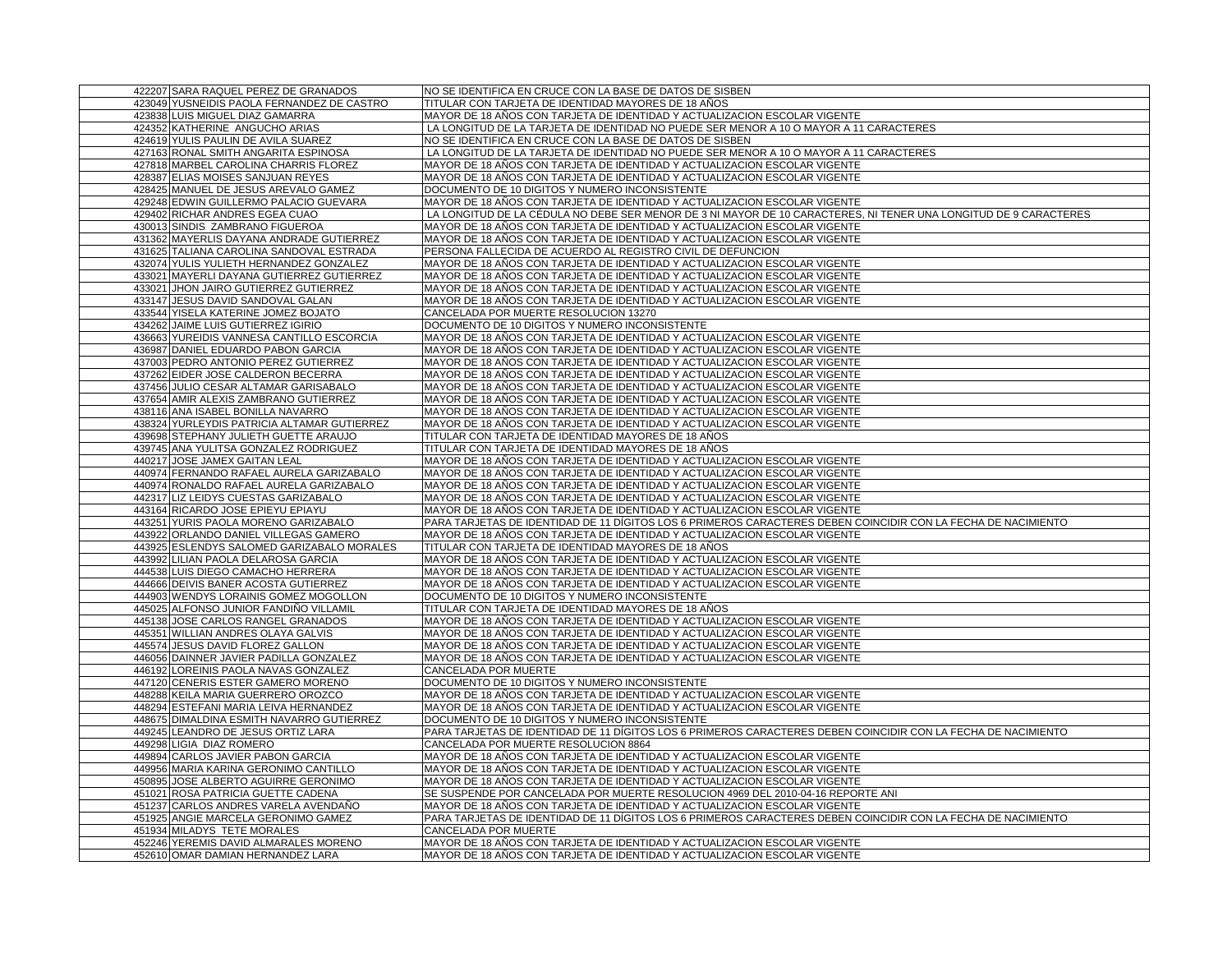| 422207 SARA RAQUEL PEREZ DE GRANADOS                                      | NO SE IDENTIFICA EN CRUCE CON LA BASE DE DATOS DE SISBEN                                                                                               |
|---------------------------------------------------------------------------|--------------------------------------------------------------------------------------------------------------------------------------------------------|
| 423049 YUSNEIDIS PAOLA FERNANDEZ DE CASTRO                                | TITULAR CON TARJETA DE IDENTIDAD MAYORES DE 18 ANOS                                                                                                    |
| 423838 LUIS MIGUEL DIAZ GAMARRA                                           | MAYOR DE 18 AÑOS CON TARJETA DE IDENTIDAD Y ACTUALIZACION ESCOLAR VIGENTE                                                                              |
| 424352 KATHERINE ANGUCHO ARIAS                                            | LA LONGITUD DE LA TARJETA DE IDENTIDAD NO PUEDE SER MENOR A 10 O MAYOR A 11 CARACTERES                                                                 |
| 424619 YULIS PAULIN DE AVILA SUAREZ                                       | NO SE IDENTIFICA EN CRUCE CON LA BASE DE DATOS DE SISBEN                                                                                               |
| 427163 RONAL SMITH ANGARITA ESPINOSA                                      | LA LONGITUD DE LA TARJETA DE IDENTIDAD NO PUEDE SER MENOR A 10 O MAYOR A 11 CARACTERES                                                                 |
| 427818 MARBEL CAROLINA CHARRIS FLOREZ                                     | MAYOR DE 18 AÑOS CON TARJETA DE IDENTIDAD Y ACTUALIZACION ESCOLAR VIGENTE                                                                              |
| 428387 ELIAS MOISES SANJUAN REYES                                         | MAYOR DE 18 AÑOS CON TARJETA DE IDENTIDAD Y ACTUALIZACION ESCOLAR VIGENTE                                                                              |
| 428425 MANUEL DE JESUS AREVALO GAMEZ                                      | DOCUMENTO DE 10 DIGITOS Y NUMERO INCONSISTENTE                                                                                                         |
| 429248 EDWIN GUILLERMO PALACIO GUEVARA                                    | MAYOR DE 18 AÑOS CON TARJETA DE IDENTIDAD Y ACTUALIZACION ESCOLAR VIGENTE                                                                              |
| 429402 RICHAR ANDRES EGEA CUAO                                            | LA LONGITUD DE LA CÉDULA NO DEBE SER MENOR DE 3 NI MAYOR DE 10 CARACTERES, NI TENER UNA LONGITUD DE 9 CARACTERES                                       |
| 430013 SINDIS ZAMBRANO FIGUEROA                                           | MAYOR DE 18 AÑOS CON TARJETA DE IDENTIDAD Y ACTUALIZACION ESCOLAR VIGENTE                                                                              |
| 431362 MAYERLIS DAYANA ANDRADE GUTIERREZ                                  | MAYOR DE 18 AÑOS CON TARJETA DE IDENTIDAD Y ACTUALIZACION ESCOLAR VIGENTE                                                                              |
| 431625 TALIANA CAROLINA SANDOVAL ESTRADA                                  | PERSONA FALLECIDA DE ACUERDO AL REGISTRO CIVIL DE DEFUNCION                                                                                            |
| 432074 YULIS YULIETH HERNANDEZ GONZALEZ                                   | MAYOR DE 18 AÑOS CON TARJETA DE IDENTIDAD Y ACTUALIZACION ESCOLAR VIGENTE                                                                              |
| 433021 MAYERLI DAYANA GUTIERREZ GUTIERREZ                                 | MAYOR DE 18 AÑOS CON TARJETA DE IDENTIDAD Y ACTUALIZACION ESCOLAR VIGENTE                                                                              |
| 433021 JHON JAIRO GUTIERREZ GUTIERREZ                                     | MAYOR DE 18 AÑOS CON TARJETA DE IDENTIDAD Y ACTUALIZACION ESCOLAR VIGENTE                                                                              |
| 433147 JESUS DAVID SANDOVAL GALAN                                         | MAYOR DE 18 AÑOS CON TARJETA DE IDENTIDAD Y ACTUALIZACION ESCOLAR VIGENTE                                                                              |
| 433544 YISELA KATERINE JOMEZ BOJATO                                       | CANCELADA POR MUERTE RESOLUCION 13270                                                                                                                  |
| 434262 JAIME LUIS GUTIERREZ IGIRIO                                        | DOCUMENTO DE 10 DIGITOS Y NUMERO INCONSISTENTE                                                                                                         |
| 436663 YUREIDIS VANNESA CANTILLO ESCORCIA                                 | MAYOR DE 18 AÑOS CON TARJETA DE IDENTIDAD Y ACTUALIZACION ESCOLAR VIGENTE                                                                              |
| 436987 DANIEL EDUARDO PABON GARCIA                                        | MAYOR DE 18 AÑOS CON TARJETA DE IDENTIDAD Y ACTUALIZACION ESCOLAR VIGENTE                                                                              |
| 437003 PEDRO ANTONIO PEREZ GUTIERREZ                                      | MAYOR DE 18 AÑOS CON TARJETA DE IDENTIDAD Y ACTUALIZACION ESCOLAR VIGENTE                                                                              |
| 437262 EIDER JOSE CALDERON BECERRA                                        | MAYOR DE 18 AÑOS CON TARJETA DE IDENTIDAD Y ACTUALIZACION ESCOLAR VIGENTE                                                                              |
| 437456 JULIO CESAR ALTAMAR GARISABALO                                     | MAYOR DE 18 AÑOS CON TARJETA DE IDENTIDAD Y ACTUALIZACION ESCOLAR VIGENTE                                                                              |
| 437654 AMIR ALEXIS ZAMBRANO GUTIERREZ                                     | MAYOR DE 18 AÑOS CON TARJETA DE IDENTIDAD Y ACTUALIZACION ESCOLAR VIGENTE                                                                              |
| 438116 ANA ISABEL BONILLA NAVARRO                                         |                                                                                                                                                        |
| 438324 YURLEYDIS PATRICIA ALTAMAR GUTIERREZ                               | MAYOR DE 18 AÑOS CON TARJETA DE IDENTIDAD Y ACTUALIZACION ESCOLAR VIGENTE<br>MAYOR DE 18 AÑOS CON TARJETA DE IDENTIDAD Y ACTUALIZACION ESCOLAR VIGENTE |
| 439698 STEPHANY JULIETH GUETTE ARAUJO                                     | TITULAR CON TARJETA DE IDENTIDAD MAYORES DE 18 AÑOS                                                                                                    |
|                                                                           |                                                                                                                                                        |
| 439745 ANA YULITSA GONZALEZ RODRIGUEZ                                     | TITULAR CON TARJETA DE IDENTIDAD MAYORES DE 18 AÑOS                                                                                                    |
| 440217 JOSE JAMEX GAITAN LEAL<br>440974 FERNANDO RAFAEL AURELA GARIZABALO | MAYOR DE 18 AÑOS CON TARJETA DE IDENTIDAD Y ACTUALIZACION ESCOLAR VIGENTE                                                                              |
|                                                                           | MAYOR DE 18 AÑOS CON TARJETA DE IDENTIDAD Y ACTUALIZACION ESCOLAR VIGENTE<br>MAYOR DE 18 AÑOS CON TARJETA DE IDENTIDAD Y ACTUALIZACION ESCOLAR VIGENTE |
| 440974 RONALDO RAFAEL AURELA GARIZABALO                                   |                                                                                                                                                        |
| 442317 LIZ LEIDYS CUESTAS GARIZABALO                                      | MAYOR DE 18 AÑOS CON TARJETA DE IDENTIDAD Y ACTUALIZACION ESCOLAR VIGENTE                                                                              |
| 443164 RICARDO JOSE EPIEYU EPIAYU                                         | MAYOR DE 18 AÑOS CON TARJETA DE IDENTIDAD Y ACTUALIZACION ESCOLAR VIGENTE                                                                              |
| 443251 YURIS PAOLA MORENO GARIZABALO                                      | PARA TARJETAS DE IDENTIDAD DE 11 DÍGITOS LOS 6 PRIMEROS CARACTERES DEBEN COINCIDIR CON LA FECHA DE NACIMIENTO                                          |
| 443922 ORLANDO DANIEL VILLEGAS GAMERO                                     | MAYOR DE 18 AÑOS CON TARJETA DE IDENTIDAD Y ACTUALIZACION ESCOLAR VIGENTE                                                                              |
| 443925 ESLENDYS SALOMED GARIZABALO MORALES                                | TITULAR CON TARJETA DE IDENTIDAD MAYORES DE 18 AÑOS                                                                                                    |
| 443992 LILIAN PAOLA DELAROSA GARCIA                                       | MAYOR DE 18 AÑOS CON TARJETA DE IDENTIDAD Y ACTUALIZACION ESCOLAR VIGENTE                                                                              |
| 444538 LUIS DIEGO CAMACHO HERRERA                                         | MAYOR DE 18 AÑOS CON TARJETA DE IDENTIDAD Y ACTUALIZACION ESCOLAR VIGENTE                                                                              |
| 444666 DEIVIS BANER ACOSTA GUTIERREZ                                      | MAYOR DE 18 AÑOS CON TARJETA DE IDENTIDAD Y ACTUALIZACION ESCOLAR VIGENTE                                                                              |
| 444903 WENDYS LORAINIS GOMEZ MOGOLLON                                     | DOCUMENTO DE 10 DIGITOS Y NUMERO INCONSISTENTE                                                                                                         |
| 445025 ALFONSO JUNIOR FANDINO VILLAMIL                                    | TITULAR CON TARJETA DE IDENTIDAD MAYORES DE 18 AÑOS                                                                                                    |
| 445138 JOSE CARLOS RANGEL GRANADOS                                        | MAYOR DE 18 AÑOS CON TARJETA DE IDENTIDAD Y ACTUALIZACION ESCOLAR VIGENTE                                                                              |
| 445351 WILLIAN ANDRES OLAYA GALVIS                                        | MAYOR DE 18 AÑOS CON TARJETA DE IDENTIDAD Y ACTUALIZACION ESCOLAR VIGENTE                                                                              |
| 445574 JESUS DAVID FLOREZ GALLON                                          | MAYOR DE 18 AÑOS CON TARJETA DE IDENTIDAD Y ACTUALIZACION ESCOLAR VIGENTE                                                                              |
| 446056 DAINNER JAVIER PADILLA GONZALEZ                                    | MAYOR DE 18 AÑOS CON TARJETA DE IDENTIDAD Y ACTUALIZACION ESCOLAR VIGENTE                                                                              |
| 446192 LOREINIS PAOLA NAVAS GONZALEZ                                      | CANCELADA POR MUERTE                                                                                                                                   |
| 447120 CENERIS ESTER GAMERO MORENO                                        | DOCUMENTO DE 10 DIGITOS Y NUMERO INCONSISTENTE                                                                                                         |
| 448288 KEILA MARIA GUERRERO OROZCO                                        | MAYOR DE 18 AÑOS CON TARJETA DE IDENTIDAD Y ACTUALIZACION ESCOLAR VIGENTE                                                                              |
| 448294 ESTEFANI MARIA LEIVA HERNANDEZ                                     | MAYOR DE 18 AÑOS CON TARJETA DE IDENTIDAD Y ACTUALIZACION ESCOLAR VIGENTE                                                                              |
| 448675 DIMALDINA ESMITH NAVARRO GUTIERREZ                                 | DOCUMENTO DE 10 DIGITOS Y NUMERO INCONSISTENTE                                                                                                         |
| 449245 LEANDRO DE JESUS ORTIZ LARA                                        | PARA TARJETAS DE IDENTIDAD DE 11 DÍGITOS LOS 6 PRIMEROS CARACTERES DEBEN COINCIDIR CON LA FECHA DE NACIMIENTO                                          |
| 449298 LIGIA DIAZ ROMERO                                                  | CANCELADA POR MUERTE RESOLUCION 8864                                                                                                                   |
| 449894 CARLOS JAVIER PABON GARCIA                                         | MAYOR DE 18 AÑOS CON TARJETA DE IDENTIDAD Y ACTUALIZACION ESCOLAR VIGENTE                                                                              |
| 449956 MARIA KARINA GERONIMO CANTILLO                                     | MAYOR DE 18 AÑOS CON TARJETA DE IDENTIDAD Y ACTUALIZACION ESCOLAR VIGENTE                                                                              |
| 450895 JOSE ALBERTO AGUIRRE GERONIMO                                      | MAYOR DE 18 AÑOS CON TARJETA DE IDENTIDAD Y ACTUALIZACION ESCOLAR VIGENTE                                                                              |
| 451021 ROSA PATRICIA GUETTE CADENA                                        | SE SUSPENDE POR CANCELADA POR MUERTE RESOLUCION 4969 DEL 2010-04-16 REPORTE ANI                                                                        |
| 451237 CARLOS ANDRES VARELA AVENDAÑO                                      | MAYOR DE 18 AÑOS CON TARJETA DE IDENTIDAD Y ACTUALIZACION ESCOLAR VIGENTE                                                                              |
| 451925 ANGIE MARCELA GERONIMO GAMEZ                                       | PARA TARJETAS DE IDENTIDAD DE 11 DÍGITOS LOS 6 PRIMEROS CARACTERES DEBEN COINCIDIR CON LA FECHA DE NACIMIENTO                                          |
| 451934 MILADYS TETE MORALES                                               | CANCELADA POR MUERTE                                                                                                                                   |
| 452246 YEREMIS DAVID ALMARALES MORENO                                     | MAYOR DE 18 AÑOS CON TARJETA DE IDENTIDAD Y ACTUALIZACION ESCOLAR VIGENTE                                                                              |
| 452610 OMAR DAMIAN HERNANDEZ LARA                                         | MAYOR DE 18 AÑOS CON TARJETA DE IDENTIDAD Y ACTUALIZACION ESCOLAR VIGENTE                                                                              |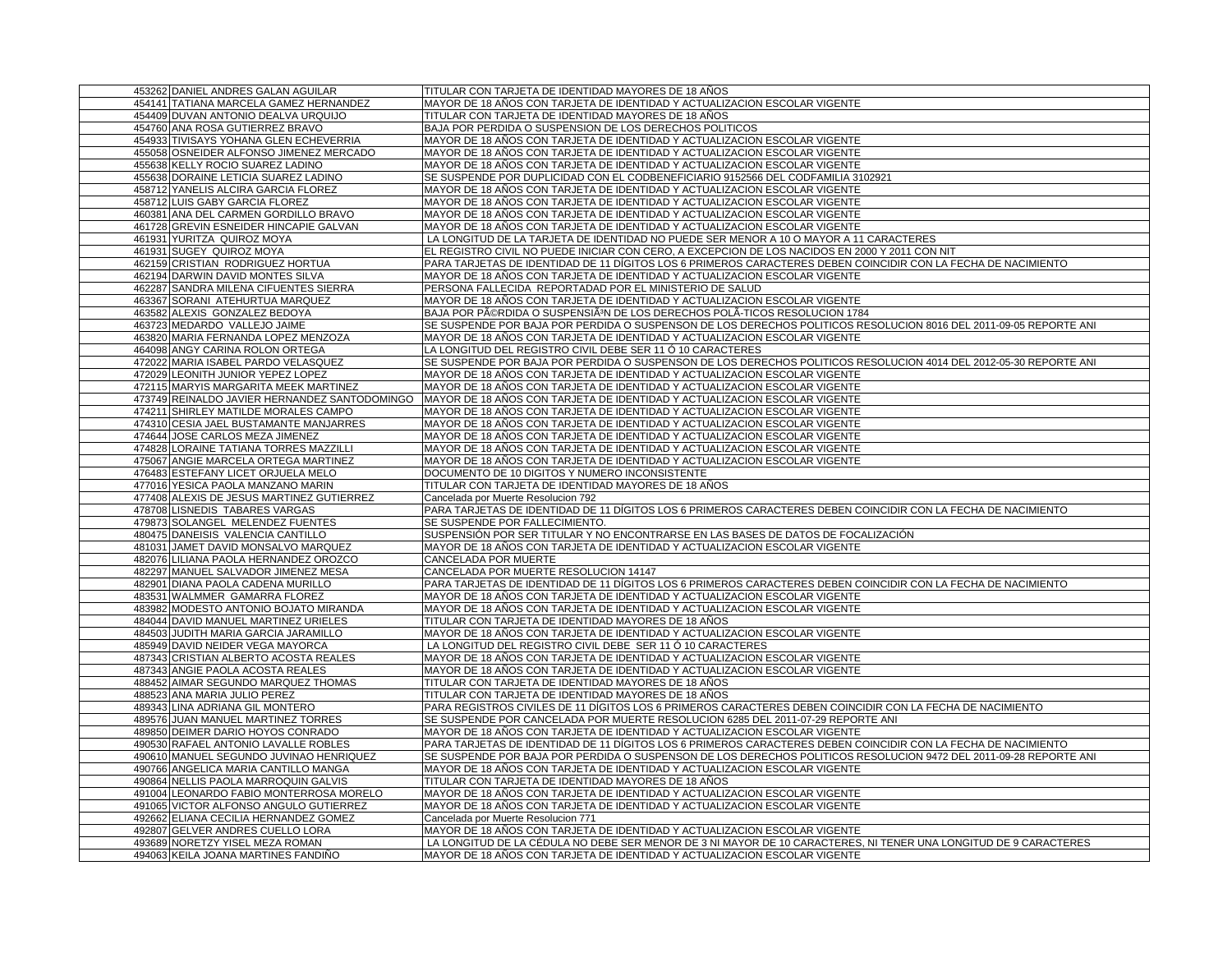| 453262 DANIEL ANDRES GALAN AGUILAR                                     | TITULAR CON TARJETA DE IDENTIDAD MAYORES DE 18 AÑOS                                                                                                                                           |
|------------------------------------------------------------------------|-----------------------------------------------------------------------------------------------------------------------------------------------------------------------------------------------|
| 454141 TATIANA MARCELA GAMEZ HERNANDEZ                                 | MAYOR DE 18 AÑOS CON TARJETA DE IDENTIDAD Y ACTUALIZACION ESCOLAR VIGENTE                                                                                                                     |
| 454409 DUVAN ANTONIO DEALVA URQUIJO                                    | TITULAR CON TARJETA DE IDENTIDAD MAYORES DE 18 AÑOS                                                                                                                                           |
| 454760 ANA ROSA GUTIERREZ BRAVO                                        | BAJA POR PERDIDA O SUSPENSION DE LOS DERECHOS POLITICOS                                                                                                                                       |
| 454933 TIVISAYS YOHANA GLEN ECHEVERRIA                                 | MAYOR DE 18 AÑOS CON TARJETA DE IDENTIDAD Y ACTUALIZACION ESCOLAR VIGENTE                                                                                                                     |
| 455058 OSNEIDER ALFONSO JIMENEZ MERCADO                                | MAYOR DE 18 AÑOS CON TARJETA DE IDENTIDAD Y ACTUALIZACION ESCOLAR VIGENTE                                                                                                                     |
| 455638 KELLY ROCIO SUAREZ LADINO                                       | MAYOR DE 18 AÑOS CON TARJETA DE IDENTIDAD Y ACTUALIZACION ESCOLAR VIGENTE                                                                                                                     |
| 455638 DORAINE LETICIA SUAREZ LADINO                                   | SE SUSPENDE POR DUPLICIDAD CON EL CODBENEFICIARIO 9152566 DEL CODFAMILIA 3102921                                                                                                              |
| 458712 YANELIS ALCIRA GARCIA FLOREZ                                    | MAYOR DE 18 AÑOS CON TARJETA DE IDENTIDAD Y ACTUALIZACION ESCOLAR VIGENTE                                                                                                                     |
| 458712 LUIS GABY GARCIA FLOREZ                                         | MAYOR DE 18 AÑOS CON TARJETA DE IDENTIDAD Y ACTUALIZACION ESCOLAR VIGENTE                                                                                                                     |
| 460381 ANA DEL CARMEN GORDILLO BRAVO                                   | MAYOR DE 18 AÑOS CON TARJETA DE IDENTIDAD Y ACTUALIZACION ESCOLAR VIGENTE                                                                                                                     |
| 461728 GREVIN ESNEIDER HINCAPIE GALVAN                                 | MAYOR DE 18 AÑOS CON TARJETA DE IDENTIDAD Y ACTUALIZACION ESCOLAR VIGENTE                                                                                                                     |
| 461931 YURITZA QUIROZ MOYA                                             | LA LONGITUD DE LA TARJETA DE IDENTIDAD NO PUEDE SER MENOR A 10 O MAYOR A 11 CARACTERES                                                                                                        |
| 461931 SUGEY QUIROZ MOYA                                               | EL REGISTRO CIVIL NO PUEDE INICIAR CON CERO, A EXCEPCION DE LOS NACIDOS EN 2000 Y 2011 CON NIT                                                                                                |
| 462159 CRISTIAN RODRIGUEZ HORTUA                                       | PARA TARJETAS DE IDENTIDAD DE 11 DÍGITOS LOS 6 PRIMEROS CARACTERES DEBEN COINCIDIR CON LA FECHA DE NACIMIENTO                                                                                 |
| 462194 DARWIN DAVID MONTES SILVA                                       | MAYOR DE 18 AÑOS CON TARJETA DE IDENTIDAD Y ACTUALIZACION ESCOLAR VIGENTE                                                                                                                     |
| 462287 SANDRA MILENA CIFUENTES SIERRA                                  | PERSONA FALLECIDA REPORTADAD POR EL MINISTERIO DE SALUD                                                                                                                                       |
| 463367 SORANI ATEHURTUA MARQUEZ                                        | MAYOR DE 18 AÑOS CON TARJETA DE IDENTIDAD Y ACTUALIZACION ESCOLAR VIGENTE                                                                                                                     |
| 463582 ALEXIS GONZALEZ BEDOYA                                          | BAJA POR PéRDIDA O SUSPENSIêN DE LOS DERECHOS POLA-TICOS RESOLUCION 1784                                                                                                                      |
| 463723 MEDARDO VALLEJO JAIME                                           | SE SUSPENDE POR BAJA POR PERDIDA O SUSPENSON DE LOS DERECHOS POLITICOS RESOLUCION 8016 DEL 2011-09-05 REPORTE ANI                                                                             |
| 463820 MARIA FERNANDA LOPEZ MENZOZA                                    | MAYOR DE 18 AÑOS CON TARJETA DE IDENTIDAD Y ACTUALIZACION ESCOLAR VIGENTE                                                                                                                     |
| 464098 ANGY CARINA ROLON ORTEGA                                        | LA LONGITUD DEL REGISTRO CIVIL DEBE SER 11 Ó 10 CARACTERES                                                                                                                                    |
| 472022 MARIA ISABEL PARDO VELASQUEZ                                    | SE SUSPENDE POR BAJA POR PERDIDA O SUSPENSON DE LOS DERECHOS POLITICOS RESOLUCION 4014 DEL 2012-05-30 REPORTE ANI                                                                             |
| 472029 LEONITH JUNIOR YEPEZ LOPEZ                                      | MAYOR DE 18 AÑOS CON TARJETA DE IDENTIDAD Y ACTUALIZACION ESCOLAR VIGENTE                                                                                                                     |
| 472115 MARYIS MARGARITA MEEK MARTINEZ                                  | MAYOR DE 18 AÑOS CON TARJETA DE IDENTIDAD Y ACTUALIZACION ESCOLAR VIGENTE                                                                                                                     |
| 473749 REINALDO JAVIER HERNANDEZ SANTODOMINGO                          | MAYOR DE 18 AÑOS CON TARJETA DE IDENTIDAD Y ACTUALIZACION ESCOLAR VIGENTE                                                                                                                     |
| 474211 SHIRLEY MATILDE MORALES CAMPO                                   | MAYOR DE 18 AÑOS CON TARJETA DE IDENTIDAD Y ACTUALIZACION ESCOLAR VIGENTE                                                                                                                     |
| 474310 CESIA JAEL BUSTAMANTE MANJARRES                                 | MAYOR DE 18 ANOS CON TARJETA DE IDENTIDAD Y ACTUALIZACION ESCOLAR VIGENTE                                                                                                                     |
| 474644 JOSE CARLOS MEZA JIMENEZ                                        | MAYOR DE 18 AÑOS CON TARJETA DE IDENTIDAD Y ACTUALIZACION ESCOLAR VIGENTE                                                                                                                     |
| 474828 LORAINE TATIANA TORRES MAZZILLI                                 | MAYOR DE 18 AÑOS CON TARJETA DE IDENTIDAD Y ACTUALIZACION ESCOLAR VIGENTE                                                                                                                     |
| 475067 ANGIE MARCELA ORTEGA MARTINEZ                                   | MAYOR DE 18 AÑOS CON TARJETA DE IDENTIDAD Y ACTUALIZACION ESCOLAR VIGENTE                                                                                                                     |
| 476483 ESTEFANY LICET ORJUELA MELO                                     | DOCUMENTO DE 10 DIGITOS Y NUMERO INCONSISTENTE                                                                                                                                                |
|                                                                        |                                                                                                                                                                                               |
|                                                                        |                                                                                                                                                                                               |
| 477016 YESICA PAOLA MANZANO MARIN                                      | TITULAR CON TARJETA DE IDENTIDAD MAYORES DE 18 AÑOS                                                                                                                                           |
| 477408 ALEXIS DE JESUS MARTINEZ GUTIERREZ                              | Cancelada por Muerte Resolucion 792                                                                                                                                                           |
| 478708 LISNEDIS TABARES VARGAS                                         | PARA TARJETAS DE IDENTIDAD DE 11 DÍGITOS LOS 6 PRIMEROS CARACTERES DEBEN COINCIDIR CON LA FECHA DE NACIMIENTO                                                                                 |
| 479873 SOLANGEL MELENDEZ FUENTES                                       | SE SUSPENDE POR FALLECIMIENTO.                                                                                                                                                                |
| 480475 DANEISIS VALENCIA CANTILLO                                      | SUSPENSIÓN POR SER TITULAR Y NO ENCONTRARSE EN LAS BASES DE DATOS DE FOCALIZACIÓN                                                                                                             |
| 481031 JAMET DAVID MONSALVO MARQUEZ                                    | MAYOR DE 18 AÑOS CON TARJETA DE IDENTIDAD Y ACTUALIZACION ESCOLAR VIGENTE                                                                                                                     |
| 482076 LILIANA PAOLA HERNANDEZ OROZCO                                  | CANCELADA POR MUERTE                                                                                                                                                                          |
| 482297 MANUEL SALVADOR JIMENEZ MESA                                    | CANCELADA POR MUERTE RESOLUCION 14147                                                                                                                                                         |
| 482901 DIANA PAOLA CADENA MURILLO                                      | PARA TARJETAS DE IDENTIDAD DE 11 DÍGITOS LOS 6 PRIMEROS CARACTERES DEBEN COINCIDIR CON LA FECHA DE NACIMIENTO                                                                                 |
| 483531 WALMMER GAMARRA FLOREZ                                          | MAYOR DE 18 AÑOS CON TARJETA DE IDENTIDAD Y ACTUALIZACION ESCOLAR VIGENTE                                                                                                                     |
| 483982 MODESTO ANTONIO BOJATO MIRANDA                                  | MAYOR DE 18 AÑOS CON TARJETA DE IDENTIDAD Y ACTUALIZACION ESCOLAR VIGENTE                                                                                                                     |
| 484044 DAVID MANUEL MARTINEZ URIELES                                   | TITULAR CON TARJETA DE IDENTIDAD MAYORES DE 18 AÑOS                                                                                                                                           |
| 484503 JUDITH MARIA GARCIA JARAMILLO                                   | MAYOR DE 18 AÑOS CON TARJETA DE IDENTIDAD Y ACTUALIZACION ESCOLAR VIGENTE                                                                                                                     |
| 485949 DAVID NEIDER VEGA MAYORCA                                       | LA LONGITUD DEL REGISTRO CIVIL DEBE SER 11 Ó 10 CARACTERES                                                                                                                                    |
| 487343 CRISTIAN ALBERTO ACOSTA REALES                                  | MAYOR DE 18 AÑOS CON TARJETA DE IDENTIDAD Y ACTUALIZACION ESCOLAR VIGENTE                                                                                                                     |
| 487343 ANGIE PAOLA ACOSTA REALES                                       | MAYOR DE 18 AÑOS CON TARJETA DE IDENTIDAD Y ACTUALIZACION ESCOLAR VIGENTE                                                                                                                     |
| 488452 AIMAR SEGUNDO MARQUEZ THOMAS                                    | TITULAR CON TARJETA DE IDENTIDAD MAYORES DE 18 AÑOS                                                                                                                                           |
| 488523 ANA MARIA JULIO PEREZ                                           | TITULAR CON TARJETA DE IDENTIDAD MAYORES DE 18 AÑOS                                                                                                                                           |
| 489343 LINA ADRIANA GIL MONTERO                                        | PARA REGISTROS CIVILES DE 11 DÍGITOS LOS 6 PRIMEROS CARACTERES DEBEN COINCIDIR CON LA FECHA DE NACIMIENTO                                                                                     |
| 489576 JUAN MANUEL MARTINEZ TORRES                                     | SE SUSPENDE POR CANCELADA POR MUERTE RESOLUCION 6285 DEL 2011-07-29 REPORTE ANI                                                                                                               |
| 489850 DEIMER DARIO HOYOS CONRADO                                      | MAYOR DE 18 AÑOS CON TARJETA DE IDENTIDAD Y ACTUALIZACION ESCOLAR VIGENTE                                                                                                                     |
| 490530 RAFAEL ANTONIO LAVALLE ROBLES                                   | PARA TARJETAS DE IDENTIDAD DE 11 DÍGITOS LOS 6 PRIMEROS CARACTERES DEBEN COINCIDIR CON LA FECHA DE NACIMIENTO                                                                                 |
| 490610 MANUEL SEGUNDO JUVINAO HENRIQUEZ                                | SE SUSPENDE POR BAJA POR PERDIDA O SUSPENSON DE LOS DERECHOS POLITICOS RESOLUCION 9472 DEL 2011-09-28 REPORTE ANI                                                                             |
| 490766 ANGELICA MARIA CANTILLO MANGA                                   | MAYOR DE 18 AÑOS CON TARJETA DE IDENTIDAD Y ACTUALIZACION ESCOLAR VIGENTE                                                                                                                     |
| 490864 NELLIS PAOLA MARROQUIN GALVIS                                   | TITULAR CON TARJETA DE IDENTIDAD MAYORES DE 18 AÑOS                                                                                                                                           |
| 491004 LEONARDO FABIO MONTERROSA MORELO                                | MAYOR DE 18 AÑOS CON TARJETA DE IDENTIDAD Y ACTUALIZACION ESCOLAR VIGENTE                                                                                                                     |
| 491065 VICTOR ALFONSO ANGULO GUTIERREZ                                 | MAYOR DE 18 AÑOS CON TARJETA DE IDENTIDAD Y ACTUALIZACION ESCOLAR VIGENTE                                                                                                                     |
| 492662 ELIANA CECILIA HERNANDEZ GOMEZ                                  | Cancelada por Muerte Resolucion 771                                                                                                                                                           |
| 492807 GELVER ANDRES CUELLO LORA                                       | MAYOR DE 18 AÑOS CON TARJETA DE IDENTIDAD Y ACTUALIZACION ESCOLAR VIGENTE                                                                                                                     |
| 493689 NORETZY YISEL MEZA ROMAN<br>494063 KEILA JOANA MARTINES FANDIÑO | LA LONGITUD DE LA CÉDULA NO DEBE SER MENOR DE 3 NI MAYOR DE 10 CARACTERES, NI TENER UNA LONGITUD DE 9 CARACTERES<br>MAYOR DE 18 AÑOS CON TARJETA DE IDENTIDAD Y ACTUALIZACION ESCOLAR VIGENTE |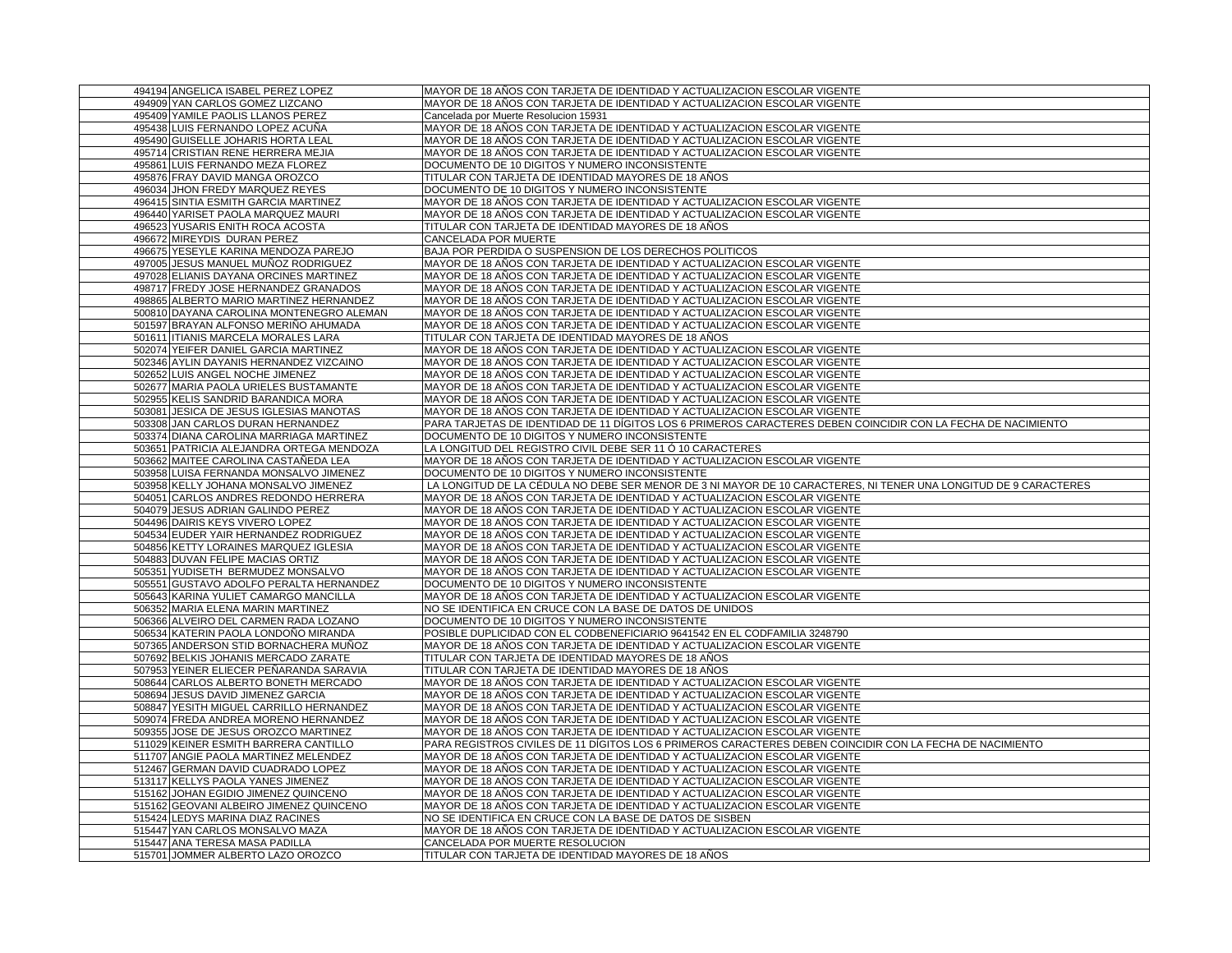| 494194 ANGELICA ISABEL PEREZ LOPEZ                                              | MAYOR DE 18 AÑOS CON TARJETA DE IDENTIDAD Y ACTUALIZACION ESCOLAR VIGENTE                                                                              |
|---------------------------------------------------------------------------------|--------------------------------------------------------------------------------------------------------------------------------------------------------|
| 494909 YAN CARLOS GOMEZ LIZCANO                                                 | MAYOR DE 18 AÑOS CON TARJETA DE IDENTIDAD Y ACTUALIZACION ESCOLAR VIGENTE                                                                              |
| 495409 YAMILE PAOLIS LLANOS PEREZ                                               | Cancelada por Muerte Resolucion 15931                                                                                                                  |
| 495438 LUIS FERNANDO LOPEZ ACUÑA                                                | MAYOR DE 18 AÑOS CON TARJETA DE IDENTIDAD Y ACTUALIZACION ESCOLAR VIGENTE                                                                              |
| 495490 GUISELLE JOHARIS HORTA LEAL                                              | MAYOR DE 18 AÑOS CON TARJETA DE IDENTIDAD Y ACTUALIZACION ESCOLAR VIGENTE                                                                              |
| 495714 CRISTIAN RENE HERRERA MEJIA                                              | MAYOR DE 18 AÑOS CON TARJETA DE IDENTIDAD Y ACTUALIZACION ESCOLAR VIGENTE                                                                              |
| 495861 LUIS FERNANDO MEZA FLOREZ                                                | DOCUMENTO DE 10 DIGITOS Y NUMERO INCONSISTENTE                                                                                                         |
| 495876 FRAY DAVID MANGA OROZCO                                                  | TITULAR CON TARJETA DE IDENTIDAD MAYORES DE 18 AÑOS                                                                                                    |
| 496034 JHON FREDY MARQUEZ REYES                                                 | DOCUMENTO DE 10 DIGITOS Y NUMERO INCONSISTENTE                                                                                                         |
| 496415 SINTIA ESMITH GARCIA MARTINEZ                                            | MAYOR DE 18 AÑOS CON TARJETA DE IDENTIDAD Y ACTUALIZACION ESCOLAR VIGENTE                                                                              |
| 496440 YARISET PAOLA MARQUEZ MAURI                                              | MAYOR DE 18 AÑOS CON TARJETA DE IDENTIDAD Y ACTUALIZACION ESCOLAR VIGENTE                                                                              |
| 496523 YUSARIS ENITH ROCA ACOSTA                                                | TITULAR CON TARJETA DE IDENTIDAD MAYORES DE 18 AÑOS                                                                                                    |
| 496672 MIREYDIS DURAN PEREZ                                                     | CANCELADA POR MUERTE                                                                                                                                   |
| 496675 YESEYLE KARINA MENDOZA PAREJO                                            | BAJA POR PERDIDA O SUSPENSION DE LOS DERECHOS POLITICOS                                                                                                |
| 497005 JESUS MANUEL MUÑOZ RODRIGUEZ                                             | MAYOR DE 18 AÑOS CON TARJETA DE IDENTIDAD Y ACTUALIZACION ESCOLAR VIGENTE                                                                              |
| 497028 ELIANIS DAYANA ORCINES MARTINEZ                                          | MAYOR DE 18 AÑOS CON TARJETA DE IDENTIDAD Y ACTUALIZACION ESCOLAR VIGENTE                                                                              |
| 498717 FREDY JOSE HERNANDEZ GRANADOS                                            | MAYOR DE 18 AÑOS CON TARJETA DE IDENTIDAD Y ACTUALIZACION ESCOLAR VIGENTE                                                                              |
| 498865 ALBERTO MARIO MARTINEZ HERNANDEZ                                         | MAYOR DE 18 AÑOS CON TARJETA DE IDENTIDAD Y ACTUALIZACION ESCOLAR VIGENTE                                                                              |
| 500810 DAYANA CAROLINA MONTENEGRO ALEMAN                                        | MAYOR DE 18 AÑOS CON TARJETA DE IDENTIDAD Y ACTUALIZACION ESCOLAR VIGENTE                                                                              |
| 501597 BRAYAN ALFONSO MERIÑO AHUMADA                                            | MAYOR DE 18 AÑOS CON TARJETA DE IDENTIDAD Y ACTUALIZACION ESCOLAR VIGENTE                                                                              |
| 501611 ITIANIS MARCELA MORALES LARA                                             | TITULAR CON TARJETA DE IDENTIDAD MAYORES DE 18 AÑOS                                                                                                    |
| 502074 YEIFER DANIEL GARCIA MARTINEZ                                            | MAYOR DE 18 AÑOS CON TARJETA DE IDENTIDAD Y ACTUALIZACION ESCOLAR VIGENTE                                                                              |
| 502346 AYLIN DAYANIS HERNANDEZ VIZCAINO                                         | MAYOR DE 18 AÑOS CON TARJETA DE IDENTIDAD Y ACTUALIZACION ESCOLAR VIGENTE                                                                              |
| 502652 LUIS ANGEL NOCHE JIMENEZ                                                 | MAYOR DE 18 AÑOS CON TARJETA DE IDENTIDAD Y ACTUALIZACION ESCOLAR VIGENTE                                                                              |
| 502677 MARIA PAOLA URIELES BUSTAMANTE                                           | MAYOR DE 18 AÑOS CON TARJETA DE IDENTIDAD Y ACTUALIZACION ESCOLAR VIGENTE                                                                              |
| 502955 KELIS SANDRID BARANDICA MORA                                             | MAYOR DE 18 AÑOS CON TARJETA DE IDENTIDAD Y ACTUALIZACION ESCOLAR VIGENTE                                                                              |
| 503081 JESICA DE JESUS IGLESIAS MANOTAS                                         | MAYOR DE 18 AÑOS CON TARJETA DE IDENTIDAD Y ACTUALIZACION ESCOLAR VIGENTE                                                                              |
| 503308 JAN CARLOS DURAN HERNANDEZ                                               | PARA TARJETAS DE IDENTIDAD DE 11 DÍGITOS LOS 6 PRIMEROS CARACTERES DEBEN COINCIDIR CON LA FECHA DE NACIMIENTO                                          |
| 503374 DIANA CAROLINA MARRIAGA MARTINEZ                                         | DOCUMENTO DE 10 DIGITOS Y NUMERO INCONSISTENTE                                                                                                         |
| 503651 PATRICIA ALEJANDRA ORTEGA MENDOZA                                        | LA LONGITUD DEL REGISTRO CIVIL DEBE SER 11 Ó 10 CARACTERES                                                                                             |
| 503662 MAITEE CAROLINA CASTAÑEDA LEA                                            | MAYOR DE 18 AÑOS CON TARJETA DE IDENTIDAD Y ACTUALIZACION ESCOLAR VIGENTE                                                                              |
|                                                                                 |                                                                                                                                                        |
|                                                                                 |                                                                                                                                                        |
| 503958 LUISA FERNANDA MONSALVO JIMENEZ                                          | DOCUMENTO DE 10 DIGITOS Y NUMERO INCONSISTENTE                                                                                                         |
| 503958 KELLY JOHANA MONSALVO JIMENEZ                                            | LA LONGITUD DE LA CÉDULA NO DEBE SER MENOR DE 3 NI MAYOR DE 10 CARACTERES, NI TENER UNA LONGITUD DE 9 CARACTERES                                       |
| 504051 CARLOS ANDRES REDONDO HERRERA                                            | MAYOR DE 18 AÑOS CON TARJETA DE IDENTIDAD Y ACTUALIZACION ESCOLAR VIGENTE                                                                              |
| 504079 JESUS ADRIAN GALINDO PEREZ                                               | MAYOR DE 18 AÑOS CON TARJETA DE IDENTIDAD Y ACTUALIZACION ESCOLAR VIGENTE                                                                              |
| 504496 DAIRIS KEYS VIVERO LOPEZ                                                 | MAYOR DE 18 AÑOS CON TARJETA DE IDENTIDAD Y ACTUALIZACION ESCOLAR VIGENTE                                                                              |
| 504534 EUDER YAIR HERNANDEZ RODRIGUEZ                                           | MAYOR DE 18 AÑOS CON TARJETA DE IDENTIDAD Y ACTUALIZACION ESCOLAR VIGENTE                                                                              |
| 504856 KETTY LORAINES MARQUEZ IGLESIA                                           | MAYOR DE 18 AÑOS CON TARJETA DE IDENTIDAD Y ACTUALIZACION ESCOLAR VIGENTE                                                                              |
| 504883 DUVAN FELIPE MACIAS ORTIZ                                                | MAYOR DE 18 AÑOS CON TARJETA DE IDENTIDAD Y ACTUALIZACION ESCOLAR VIGENTE                                                                              |
| 505351 YUDISETH BERMUDEZ MONSALVO                                               | MAYOR DE 18 AÑOS CON TARJETA DE IDENTIDAD Y ACTUALIZACION ESCOLAR VIGENTE                                                                              |
| 505551 GUSTAVO ADOLFO PERALTA HERNANDEZ                                         | DOCUMENTO DE 10 DIGITOS Y NUMERO INCONSISTENTE                                                                                                         |
| 505643 KARINA YULIET CAMARGO MANCILLA                                           | MAYOR DE 18 AÑOS CON TARJETA DE IDENTIDAD Y ACTUALIZACION ESCOLAR VIGENTE                                                                              |
| 506352 MARIA ELENA MARIN MARTINEZ                                               | NO SE IDENTIFICA EN CRUCE CON LA BASE DE DATOS DE UNIDOS                                                                                               |
| 506366 ALVEIRO DEL CARMEN RADA LOZANO                                           | DOCUMENTO DE 10 DIGITOS Y NUMERO INCONSISTENTE                                                                                                         |
| 506534 KATERIN PAOLA LONDOÑO MIRANDA                                            | POSIBLE DUPLICIDAD CON EL CODBENEFICIARIO 9641542 EN EL CODFAMILIA 3248790                                                                             |
| 507365 ANDERSON STID BORNACHERA MUÑOZ                                           | MAYOR DE 18 AÑOS CON TARJETA DE IDENTIDAD Y ACTUALIZACION ESCOLAR VIGENTE                                                                              |
| 507692 BELKIS JOHANIS MERCADO ZARATE                                            | TITULAR CON TARJETA DE IDENTIDAD MAYORES DE 18 AÑOS                                                                                                    |
| 507953 YEINER ELIECER PEÑARANDA SARAVIA                                         | TITULAR CON TARJETA DE IDENTIDAD MAYORES DE 18 AÑOS                                                                                                    |
| 508644 CARLOS ALBERTO BONETH MERCADO                                            | MAYOR DE 18 AÑOS CON TARJETA DE IDENTIDAD Y ACTUALIZACION ESCOLAR VIGENTE                                                                              |
| 508694 JESUS DAVID JIMENEZ GARCIA                                               | MAYOR DE 18 AÑOS CON TARJETA DE IDENTIDAD Y ACTUALIZACION ESCOLAR VIGENTE                                                                              |
| 508847 YESITH MIGUEL CARRILLO HERNANDEZ<br>509074 FREDA ANDREA MORENO HERNANDEZ | MAYOR DE 18 AÑOS CON TARJETA DE IDENTIDAD Y ACTUALIZACION ESCOLAR VIGENTE<br>MAYOR DE 18 AÑOS CON TARJETA DE IDENTIDAD Y ACTUALIZACION ESCOLAR VIGENTE |
| 509355 JOSE DE JESUS OROZCO MARTINEZ                                            | MAYOR DE 18 AÑOS CON TARJETA DE IDENTIDAD Y ACTUALIZACION ESCOLAR VIGENTE                                                                              |
| 511029 KEINER ESMITH BARRERA CANTILLO                                           | PARA REGISTROS CIVILES DE 11 DÍGITOS LOS 6 PRIMEROS CARACTERES DEBEN COINCIDIR CON LA FECHA DE NACIMIENTO                                              |
| 511707 ANGIE PAOLA MARTINEZ MELENDEZ                                            | MAYOR DE 18 AÑOS CON TARJETA DE IDENTIDAD Y ACTUALIZACION ESCOLAR VIGENTE                                                                              |
| 512467 GERMAN DAVID CUADRADO LOPEZ                                              | MAYOR DE 18 AÑOS CON TARJETA DE IDENTIDAD Y ACTUALIZACION ESCOLAR VIGENTE                                                                              |
| 513117 KELLYS PAOLA YANES JIMENEZ                                               | MAYOR DE 18 AÑOS CON TARJETA DE IDENTIDAD Y ACTUALIZACION ESCOLAR VIGENTE                                                                              |
| 515162 JOHAN EGIDIO JIMENEZ QUINCENO                                            |                                                                                                                                                        |
| 515162 GEOVANI ALBEIRO JIMENEZ QUINCENO                                         | MAYOR DE 18 ANOS CON TARJETA DE IDENTIDAD Y ACTUALIZACION ESCOLAR VIGENTE<br>MAYOR DE 18 AÑOS CON TARJETA DE IDENTIDAD Y ACTUALIZACION ESCOLAR VIGENTE |
| 515424 LEDYS MARINA DIAZ RACINES                                                | NO SE IDENTIFICA EN CRUCE CON LA BASE DE DATOS DE SISBEN                                                                                               |
| 515447 YAN CARLOS MONSALVO MAZA                                                 | MAYOR DE 18 ANOS CON TARJETA DE IDENTIDAD Y ACTUALIZACION ESCOLAR VIGENTE                                                                              |
| 515447 ANA TERESA MASA PADILLA                                                  | CANCELADA POR MUERTE RESOLUCION                                                                                                                        |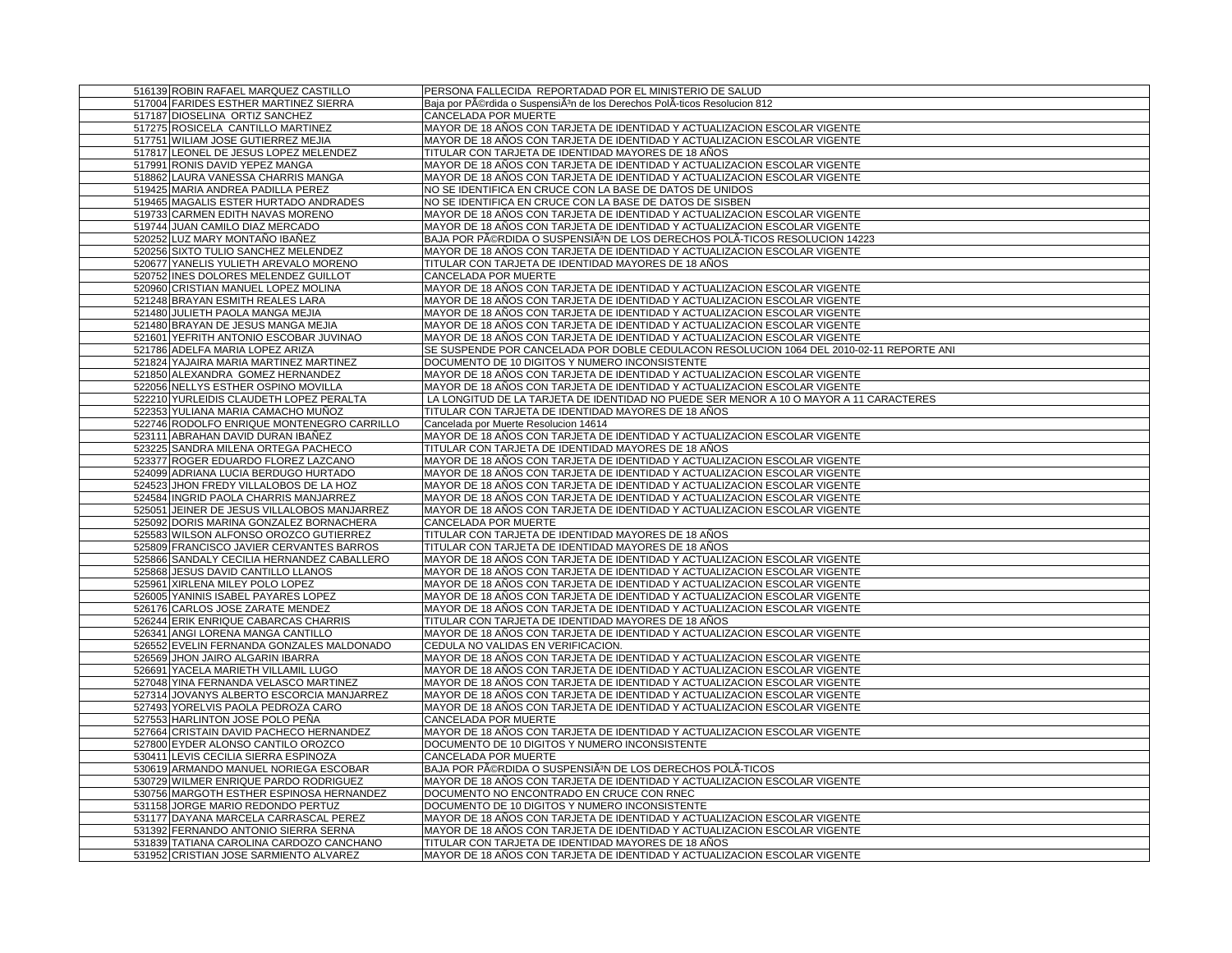| 516139 ROBIN RAFAEL MARQUEZ CASTILLO        | PERSONA FALLECIDA REPORTADAD POR EL MINISTERIO DE SALUD                                  |
|---------------------------------------------|------------------------------------------------------------------------------------------|
| 517004 FARIDES ESTHER MARTINEZ SIERRA       | Baja por Pérdida o SuspensiÂ <sup>3</sup> n de los Derechos PolÂ-ticos Resolucion 812    |
| 517187 DIOSELINA ORTIZ SANCHEZ              | <b>CANCELADA POR MUERTE</b>                                                              |
| 517275 ROSICELA CANTILLO MARTINEZ           | MAYOR DE 18 AÑOS CON TARJETA DE IDENTIDAD Y ACTUALIZACION ESCOLAR VIGENTE                |
| 517751 WILIAM JOSE GUTIERREZ MEJIA          | MAYOR DE 18 AÑOS CON TARJETA DE IDENTIDAD Y ACTUALIZACION ESCOLAR VIGENTE                |
| 517817 LEONEL DE JESUS LOPEZ MELENDEZ       | TITULAR CON TARJETA DE IDENTIDAD MAYORES DE 18 AÑOS                                      |
| 517991 RONIS DAVID YEPEZ MANGA              | MAYOR DE 18 AÑOS CON TARJETA DE IDENTIDAD Y ACTUALIZACION ESCOLAR VIGENTE                |
| 518862 LAURA VANESSA CHARRIS MANGA          | MAYOR DE 18 AÑOS CON TARJETA DE IDENTIDAD Y ACTUALIZACION ESCOLAR VIGENTE                |
| 519425 MARIA ANDREA PADILLA PEREZ           | NO SE IDENTIFICA EN CRUCE CON LA BASE DE DATOS DE UNIDOS                                 |
| 519465 MAGALIS ESTER HURTADO ANDRADES       | NO SE IDENTIFICA EN CRUCE CON LA BASE DE DATOS DE SISBEN                                 |
| 519733 CARMEN EDITH NAVAS MORENO            | MAYOR DE 18 AÑOS CON TARJETA DE IDENTIDAD Y ACTUALIZACION ESCOLAR VIGENTE                |
| 519744 JUAN CAMILO DIAZ MERCADO             | MAYOR DE 18 AÑOS CON TARJETA DE IDENTIDAD Y ACTUALIZACION ESCOLAR VIGENTE                |
| 520252 LUZ MARY MONTAÑO IBAÑEZ              | BAJA POR PéRDIDA O SUSPENSIÃ <sup>3</sup> N DE LOS DERECHOS POLÃ-TICOS RESOLUCION 14223  |
| 520256 SIXTO TULIO SANCHEZ MELENDEZ         | MAYOR DE 18 AÑOS CON TARJETA DE IDENTIDAD Y ACTUALIZACION ESCOLAR VIGENTE                |
| 520677 YANELIS YULIETH AREVALO MORENO       | TITULAR CON TARJETA DE IDENTIDAD MAYORES DE 18 AÑOS                                      |
| 520752 INES DOLORES MELENDEZ GUILLOT        | CANCELADA POR MUERTE                                                                     |
| 520960 CRISTIAN MANUEL LOPEZ MOLINA         | MAYOR DE 18 AÑOS CON TARJETA DE IDENTIDAD Y ACTUALIZACION ESCOLAR VIGENTE                |
| 521248 BRAYAN ESMITH REALES LARA            | MAYOR DE 18 AÑOS CON TARJETA DE IDENTIDAD Y ACTUALIZACION ESCOLAR VIGENTE                |
| 521480 JULIETH PAOLA MANGA MEJIA            | MAYOR DE 18 AÑOS CON TARJETA DE IDENTIDAD Y ACTUALIZACION ESCOLAR VIGENTE                |
| 521480 BRAYAN DE JESUS MANGA MEJIA          | MAYOR DE 18 AÑOS CON TARJETA DE IDENTIDAD Y ACTUALIZACION ESCOLAR VIGENTE                |
| 521601 YEFRITH ANTONIO ESCOBAR JUVINAO      | MAYOR DE 18 AÑOS CON TARJETA DE IDENTIDAD Y ACTUALIZACION ESCOLAR VIGENTE                |
| 521786 ADELFA MARIA LOPEZ ARIZA             | SE SUSPENDE POR CANCELADA POR DOBLE CEDULACON RESOLUCION 1064 DEL 2010-02-11 REPORTE ANI |
| 521824 YAJAIRA MARIA MARTINEZ MARTINEZ      | DOCUMENTO DE 10 DIGITOS Y NUMERO INCONSISTENTE                                           |
| 521850 ALEXANDRA GOMEZ HERNANDEZ            | MAYOR DE 18 AÑOS CON TARJETA DE IDENTIDAD Y ACTUALIZACION ESCOLAR VIGENTE                |
| 522056 NELLYS ESTHER OSPINO MOVILLA         | MAYOR DE 18 AÑOS CON TARJETA DE IDENTIDAD Y ACTUALIZACION ESCOLAR VIGENTE                |
| 522210 YURLEIDIS CLAUDETH LOPEZ PERALTA     | LA LONGITUD DE LA TARJETA DE IDENTIDAD NO PUEDE SER MENOR A 10 O MAYOR A 11 CARACTERES   |
| 522353 YULIANA MARIA CAMACHO MUÑOZ          | TITULAR CON TARJETA DE IDENTIDAD MAYORES DE 18 AÑOS                                      |
| 522746 RODOLFO ENRIQUE MONTENEGRO CARRILLO  | Cancelada por Muerte Resolucion 14614                                                    |
| 523111 ABRAHAN DAVID DURAN IBAÑEZ           | MAYOR DE 18 AÑOS CON TARJETA DE IDENTIDAD Y ACTUALIZACION ESCOLAR VIGENTE                |
| 523225 SANDRA MILENA ORTEGA PACHECO         | TITULAR CON TARJETA DE IDENTIDAD MAYORES DE 18 AÑOS                                      |
| 523377 ROGER EDUARDO FLOREZ LAZCANO         | MAYOR DE 18 AÑOS CON TARJETA DE IDENTIDAD Y ACTUALIZACION ESCOLAR VIGENTE                |
| 524099 ADRIANA LUCIA BERDUGO HURTADO        | MAYOR DE 18 AÑOS CON TARJETA DE IDENTIDAD Y ACTUALIZACION ESCOLAR VIGENTE                |
| 524523 JHON FREDY VILLALOBOS DE LA HOZ      | MAYOR DE 18 AÑOS CON TARJETA DE IDENTIDAD Y ACTUALIZACION ESCOLAR VIGENTE                |
| 524584 INGRID PAOLA CHARRIS MANJARREZ       | MAYOR DE 18 AÑOS CON TARJETA DE IDENTIDAD Y ACTUALIZACION ESCOLAR VIGENTE                |
| 525051 JEINER DE JESUS VILLALOBOS MANJARREZ | MAYOR DE 18 AÑOS CON TARJETA DE IDENTIDAD Y ACTUALIZACION ESCOLAR VIGENTE                |
| 525092 DORIS MARINA GONZALEZ BORNACHERA     | CANCELADA POR MUERTE                                                                     |
| 525583 WILSON ALFONSO OROZCO GUTIERREZ      | TITULAR CON TARJETA DE IDENTIDAD MAYORES DE 18 AÑOS                                      |
| 525809 FRANCISCO JAVIER CERVANTES BARROS    | TITULAR CON TARJETA DE IDENTIDAD MAYORES DE 18 AÑOS                                      |
|                                             |                                                                                          |
| 525866 SANDALY CECILIA HERNANDEZ CABALLERO  | MAYOR DE 18 AÑOS CON TARJETA DE IDENTIDAD Y ACTUALIZACION ESCOLAR VIGENTE                |
| 525868 JESUS DAVID CANTILLO LLANOS          | MAYOR DE 18 AÑOS CON TARJETA DE IDENTIDAD Y ACTUALIZACION ESCOLAR VIGENTE                |
| 525961 XIRLENA MILEY POLO LOPEZ             | MAYOR DE 18 AÑOS CON TARJETA DE IDENTIDAD Y ACTUALIZACION ESCOLAR VIGENTE                |
| 526005 YANINIS ISABEL PAYARES LOPEZ         | MAYOR DE 18 AÑOS CON TARJETA DE IDENTIDAD Y ACTUALIZACION ESCOLAR VIGENTE                |
| 526176 CARLOS JOSE ZARATE MENDEZ            | MAYOR DE 18 AÑOS CON TARJETA DE IDENTIDAD Y ACTUALIZACION ESCOLAR VIGENTE                |
| 526244 ERIK ENRIQUE CABARCAS CHARRIS        | TITULAR CON TARJETA DE IDENTIDAD MAYORES DE 18 AÑOS                                      |
| 526341 ANGI LORENA MANGA CANTILLO           | MAYOR DE 18 AÑOS CON TARJETA DE IDENTIDAD Y ACTUALIZACIÓN ESCOLAR VIGENTE                |
| 526552 EVELIN FERNANDA GONZALES MALDONADO   | CEDULA NO VALIDAS EN VERIFICACION.                                                       |
| 526569 JHON JAIRO ALGARIN IBARRA            | MAYOR DE 18 AÑOS CON TARJETA DE IDENTIDAD Y ACTUALIZACION ESCOLAR VIGENTE                |
| 526691 YACELA MARIETH VILLAMIL LUGO         | MAYOR DE 18 AÑOS CON TARJETA DE IDENTIDAD Y ACTUALIZACION ESCOLAR VIGENTE                |
| 527048 YINA FERNANDA VELASCO MARTINEZ       | MAYOR DE 18 AÑOS CON TARJETA DE IDENTIDAD Y ACTUALIZACION ESCOLAR VIGENTE                |
| 527314 JOVANYS ALBERTO ESCORCIA MANJARREZ   | MAYOR DE 18 AÑOS CON TARJETA DE IDENTIDAD Y ACTUALIZACION ESCOLAR VIGENTE                |
| 527493 YORELVIS PAOLA PEDROZA CARO          | MAYOR DE 18 AÑOS CON TARJETA DE IDENTIDAD Y ACTUALIZACION ESCOLAR VIGENTE                |
| 527553 HARLINTON JOSE POLO PEÑA             | CANCELADA POR MUERTE                                                                     |
| 527664 CRISTAIN DAVID PACHECO HERNANDEZ     | MAYOR DE 18 AÑOS CON TARJETA DE IDENTIDAD Y ACTUALIZACION ESCOLAR VIGENTE                |
| 527800 EYDER ALONSO CANTILO OROZCO          | DOCUMENTO DE 10 DIGITOS Y NUMERO INCONSISTENTE                                           |
| 530411 LEVIS CECILIA SIERRA ESPINOZA        | CANCELADA POR MUERTE                                                                     |
| 530619 ARMANDO MANUEL NORIEGA ESCOBAR       | BAJA POR PéRDIDA O SUSPENSIÃ <sup>3</sup> N DE LOS DERECHOS POLA-TICOS                   |
| 530729 WILMER ENRIQUE PARDO RODRIGUEZ       | MAYOR DE 18 AÑOS CON TARJETA DE IDENTIDAD Y ACTUALIZACION ESCOLAR VIGENTE                |
| 530756 MARGOTH ESTHER ESPINOSA HERNANDEZ    | DOCUMENTO NO ENCONTRADO EN CRUCE CON RNEC                                                |
| 531158 JORGE MARIO REDONDO PERTUZ           | DOCUMENTO DE 10 DIGITOS Y NUMERO INCONSISTENTE                                           |
| 531177 DAYANA MARCELA CARRASCAL PEREZ       | MAYOR DE 18 AÑOS CON TARJETA DE IDENTIDAD Y ACTUALIZACION ESCOLAR VIGENTE                |
| 531392 FERNANDO ANTONIO SIERRA SERNA        | MAYOR DE 18 AÑOS CON TARJETA DE IDENTIDAD Y ACTUALIZACION ESCOLAR VIGENTE                |
| 531839 TATIANA CAROLINA CARDOZO CANCHANO    | TITULAR CON TARJETA DE IDENTIDAD MAYORES DE 18 AÑOS                                      |
| 531952 CRISTIAN JOSE SARMIENTO ALVAREZ      | MAYOR DE 18 AÑOS CON TARJETA DE IDENTIDAD Y ACTUALIZACION ESCOLAR VIGENTE                |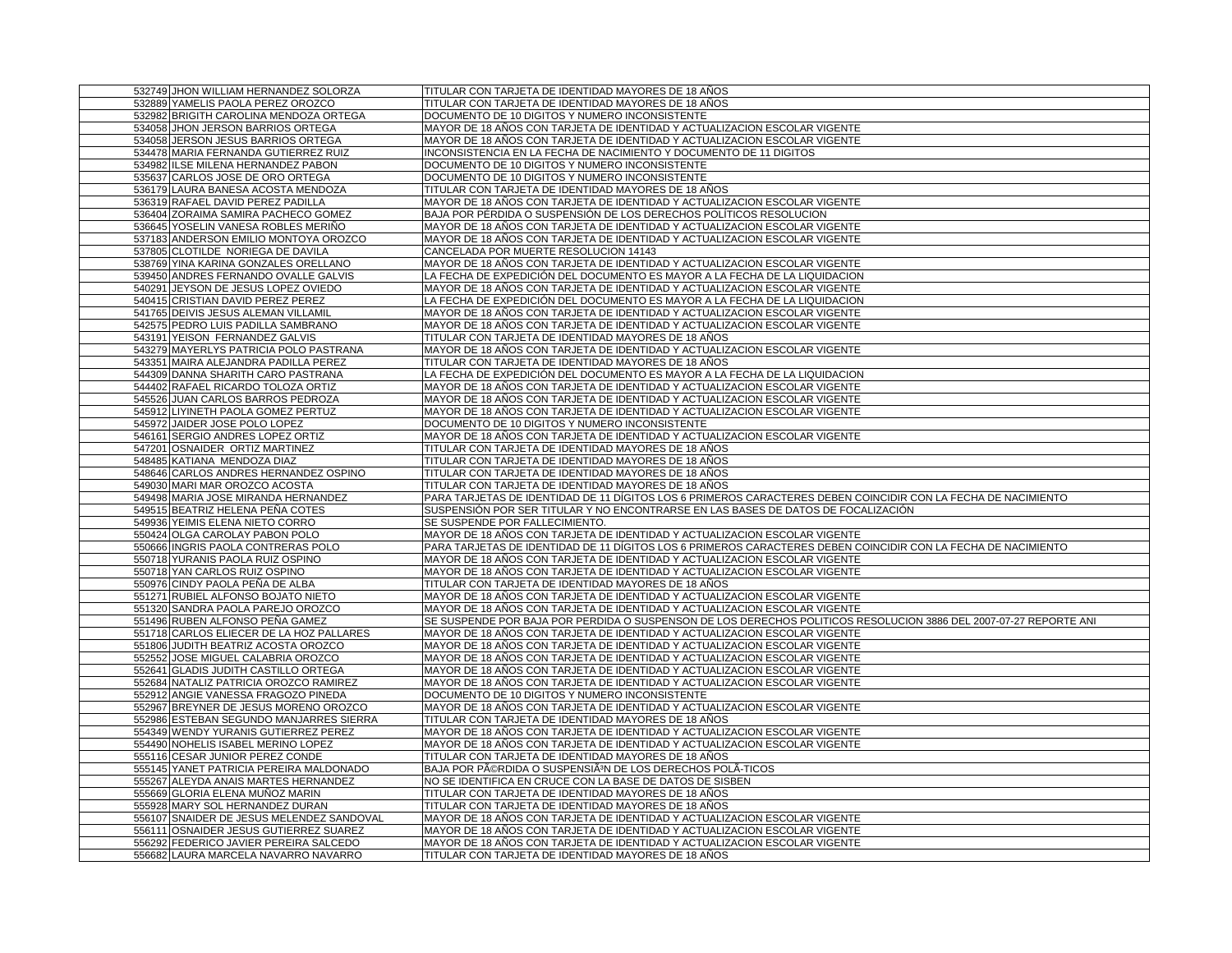| 532749 JHON WILLIAM HERNANDEZ SOLORZA                                            | TITULAR CON TARJETA DE IDENTIDAD MAYORES DE 18 AÑOS                                                                                                                                            |
|----------------------------------------------------------------------------------|------------------------------------------------------------------------------------------------------------------------------------------------------------------------------------------------|
| 532889 YAMELIS PAOLA PEREZ OROZCO                                                | TITULAR CON TARJETA DE IDENTIDAD MAYORES DE 18 AÑOS                                                                                                                                            |
| 532982 BRIGITH CAROLINA MENDOZA ORTEGA                                           | DOCUMENTO DE 10 DIGITOS Y NUMERO INCONSISTENTE                                                                                                                                                 |
| 534058 JHON JERSON BARRIOS ORTEGA                                                | MAYOR DE 18 AÑOS CON TARJETA DE IDENTIDAD Y ACTUALIZACION ESCOLAR VIGENTE                                                                                                                      |
| 534058 JERSON JESUS BARRIOS ORTEGA                                               | MAYOR DE 18 AÑOS CON TARJETA DE IDENTIDAD Y ACTUALIZACION ESCOLAR VIGENTE                                                                                                                      |
| 534478 MARIA FERNANDA GUTIERREZ RUIZ                                             | INCONSISTENCIA EN LA FECHA DE NACIMIENTO Y DOCUMENTO DE 11 DIGITOS                                                                                                                             |
| 534982 ILSE MILENA HERNANDEZ PABON                                               | DOCUMENTO DE 10 DIGITOS Y NUMERO INCONSISTENTE                                                                                                                                                 |
| 535637 CARLOS JOSE DE ORO ORTEGA                                                 | DOCUMENTO DE 10 DIGITOS Y NUMERO INCONSISTENTE                                                                                                                                                 |
| 536179 LAURA BANESA ACOSTA MENDOZA                                               | TITULAR CON TARJETA DE IDENTIDAD MAYORES DE 18 AÑOS                                                                                                                                            |
| 536319 RAFAEL DAVID PEREZ PADILLA                                                | MAYOR DE 18 AÑOS CON TARJETA DE IDENTIDAD Y ACTUALIZACION ESCOLAR VIGENTE                                                                                                                      |
| 536404 ZORAIMA SAMIRA PACHECO GOMEZ                                              | BAJA POR PÉRDIDA O SUSPENSIÓN DE LOS DERECHOS POLÍTICOS RESOLUCION                                                                                                                             |
| 536645 YOSELIN VANESA ROBLES MERIÑO                                              | MAYOR DE 18 AÑOS CON TARJETA DE IDENTIDAD Y ACTUALIZACION ESCOLAR VIGENTE                                                                                                                      |
| 537183 ANDERSON EMILIO MONTOYA OROZCO                                            | MAYOR DE 18 AÑOS CON TARJETA DE IDENTIDAD Y ACTUALIZACION ESCOLAR VIGENTE                                                                                                                      |
| 537805 CLOTILDE NORIEGA DE DAVILA                                                | CANCELADA POR MUERTE RESOLUCION 14143                                                                                                                                                          |
| 538769 YINA KARINA GONZALES ORELLANO                                             | MAYOR DE 18 AÑOS CON TARJETA DE IDENTIDAD Y ACTUALIZACION ESCOLAR VIGENTE                                                                                                                      |
| 539450 ANDRES FERNANDO OVALLE GALVIS                                             | LA FECHA DE EXPEDICIÓN DEL DOCUMENTO ES MAYOR A LA FECHA DE LA LIQUIDACION                                                                                                                     |
| 540291 JEYSON DE JESUS LOPEZ OVIEDO                                              | MAYOR DE 18 AÑOS CON TARJETA DE IDENTIDAD Y ACTUALIZACION ESCOLAR VIGENTE                                                                                                                      |
| 540415 CRISTIAN DAVID PEREZ PEREZ                                                | LA FECHA DE EXPEDICIÓN DEL DOCUMENTO ES MAYOR A LA FECHA DE LA LIQUIDACION                                                                                                                     |
| 541765 DEIVIS JESUS ALEMAN VILLAMIL                                              | MAYOR DE 18 AÑOS CON TARJETA DE IDENTIDAD Y ACTUALIZACION ESCOLAR VIGENTE                                                                                                                      |
| 542575 PEDRO LUIS PADILLA SAMBRANO                                               | MAYOR DE 18 AÑOS CON TARJETA DE IDENTIDAD Y ACTUALIZACION ESCOLAR VIGENTE                                                                                                                      |
| 543191 YEISON FERNANDEZ GALVIS                                                   | TITULAR CON TARJETA DE IDENTIDAD MAYORES DE 18 AÑOS                                                                                                                                            |
| 543279 MAYERLYS PATRICIA POLO PASTRANA                                           | MAYOR DE 18 AÑOS CON TARJETA DE IDENTIDAD Y ACTUALIZACION ESCOLAR VIGENTE                                                                                                                      |
| 543351 MAIRA ALEJANDRA PADILLA PEREZ                                             | TITULAR CON TARJETA DE IDENTIDAD MAYORES DE 18 AÑOS                                                                                                                                            |
| 544309 DANNA SHARITH CARO PASTRANA                                               | LA FECHA DE EXPEDICIÓN DEL DOCUMENTO ES MAYOR A LA FECHA DE LA LIQUIDACION                                                                                                                     |
| 544402 RAFAEL RICARDO TOLOZA ORTIZ                                               | MAYOR DE 18 AÑOS CON TARJETA DE IDENTIDAD Y ACTUALIZACION ESCOLAR VIGENTE                                                                                                                      |
| 545526 JUAN CARLOS BARROS PEDROZA                                                | MAYOR DE 18 AÑOS CON TARJETA DE IDENTIDAD Y ACTUALIZACION ESCOLAR VIGENTE                                                                                                                      |
| 545912 LIYINETH PAOLA GOMEZ PERTUZ                                               | MAYOR DE 18 AÑOS CON TARJETA DE IDENTIDAD Y ACTUALIZACIÓN ESCOLAR VIGENTE                                                                                                                      |
| 545972 JAIDER JOSE POLO LOPEZ                                                    | DOCUMENTO DE 10 DIGITOS Y NUMERO INCONSISTENTE                                                                                                                                                 |
| 546161 SERGIO ANDRES LOPEZ ORTIZ                                                 | MAYOR DE 18 AÑOS CON TARJETA DE IDENTIDAD Y ACTUALIZACION ESCOLAR VIGENTE                                                                                                                      |
| 547201 OSNAIDER ORTIZ MARTINEZ                                                   | TITULAR CON TARJETA DE IDENTIDAD MAYORES DE 18 AÑOS                                                                                                                                            |
| 548485 KATIANA MENDOZA DIAZ                                                      | TITULAR CON TARJETA DE IDENTIDAD MAYORES DE 18 AÑOS                                                                                                                                            |
| 548646 CARLOS ANDRES HERNANDEZ OSPINO                                            | TITULAR CON TARJETA DE IDENTIDAD MAYORES DE 18 AÑOS                                                                                                                                            |
| 549030 MARI MAR OROZCO ACOSTA                                                    | TITULAR CON TARJETA DE IDENTIDAD MAYORES DE 18 AÑOS                                                                                                                                            |
| 549498 MARIA JOSE MIRANDA HERNANDEZ                                              | PARA TARJETAS DE IDENTIDAD DE 11 DÍGITOS LOS 6 PRIMEROS CARACTERES DEBEN COINCIDIR CON LA FECHA DE NACIMIENTO                                                                                  |
| 549515 BEATRIZ HELENA PEÑA COTES                                                 | SUSPENSIÓN POR SER TITULAR Y NO ENCONTRARSE EN LAS BASES DE DATOS DE FOCALIZACIÓN                                                                                                              |
| 549936 YEIMIS ELENA NIETO CORRO                                                  | SE SUSPENDE POR FALLECIMIENTO.                                                                                                                                                                 |
| 550424 OLGA CAROLAY PABON POLO                                                   | MAYOR DE 18 AÑOS CON TARJETA DE IDENTIDAD Y ACTUALIZACION ESCOLAR VIGENTE                                                                                                                      |
| 550666 INGRIS PAOLA CONTRERAS POLO                                               | PARA TARJETAS DE IDENTIDAD DE 11 DÍGITOS LOS 6 PRIMEROS CARACTERES DEBEN COINCIDIR CON LA FECHA DE NACIMIENTO                                                                                  |
|                                                                                  |                                                                                                                                                                                                |
| 550718 YURANIS PAOLA RUIZ OSPINO<br>550718 YAN CARLOS RUIZ OSPINO                | MAYOR DE 18 AÑOS CON TARJETA DE IDENTIDAD Y ACTUALIZACION ESCOLAR VIGENTE<br>MAYOR DE 18 AÑOS CON TARJETA DE IDENTIDAD Y ACTUALIZACION ESCOLAR VIGENTE                                         |
|                                                                                  |                                                                                                                                                                                                |
| 550976 CINDY PAOLA PEÑA DE ALBA                                                  | TITULAR CON TARJETA DE IDENTIDAD MAYORES DE 18 AÑOS                                                                                                                                            |
| 551271 RUBIEL ALFONSO BOJATO NIETO<br>551320 SANDRA PAOLA PAREJO OROZCO          | MAYOR DE 18 AÑOS CON TARJETA DE IDENTIDAD Y ACTUALIZACION ESCOLAR VIGENTE<br>MAYOR DE 18 AÑOS CON TARJETA DE IDENTIDAD Y ACTUALIZACION ESCOLAR VIGENTE                                         |
|                                                                                  |                                                                                                                                                                                                |
| 551496 RUBEN ALFONSO PEÑA GAMEZ                                                  | SE SUSPENDE POR BAJA POR PERDIDA O SUSPENSON DE LOS DERECHOS POLITICOS RESOLUCION 3886 DEL 2007-07-27 REPORTE ANI<br>MAYOR DE 18 AÑOS CON TARJETA DE IDENTIDAD Y ACTUALIZACION ESCOLAR VIGENTE |
| 551718 CARLOS ELIECER DE LA HOZ PALLARES                                         |                                                                                                                                                                                                |
| 551806 JUDITH BEATRIZ ACOSTA OROZCO<br>552552 JOSE MIGUEL CALABRIA OROZCO        | MAYOR DE 18 AÑOS CON TARJETA DE IDENTIDAD Y ACTUALIZACION ESCOLAR VIGENTE<br>MAYOR DE 18 AÑOS CON TARJETA DE IDENTIDAD Y ACTUALIZACION ESCOLAR VIGENTE                                         |
|                                                                                  |                                                                                                                                                                                                |
| 552641 GLADIS JUDITH CASTILLO ORTEGA                                             | MAYOR DE 18 AÑOS CON TARJETA DE IDENTIDAD Y ACTUALIZACION ESCOLAR VIGENTE                                                                                                                      |
| 552684 NATALIZ PATRICIA OROZCO RAMIREZ<br>552912 ANGIE VANESSA FRAGOZO PINEDA    | MAYOR DE 18 ANOS CON TARJETA DE IDENTIDAD Y ACTUALIZACION ESCOLAR VIGENTE<br>DOCUMENTO DE 10 DIGITOS Y NUMERO INCONSISTENTE                                                                    |
|                                                                                  |                                                                                                                                                                                                |
| 552967 BREYNER DE JESUS MORENO OROZCO<br>552986 ESTEBAN SEGUNDO MANJARRES SIERRA | MAYOR DE 18 AÑOS CON TARJETA DE IDENTIDAD Y ACTUALIZACION ESCOLAR VIGENTE<br>TITULAR CON TARJETA DE IDENTIDAD MAYORES DE 18 AÑOS                                                               |
| 554349 WENDY YURANIS GUTIERREZ PEREZ                                             | MAYOR DE 18 AÑOS CON TARJETA DE IDENTIDAD Y ACTUALIZACION ESCOLAR VIGENTE                                                                                                                      |
| 554490 NOHELIS ISABEL MERINO LOPEZ                                               | MAYOR DE 18 AÑOS CON TARJETA DE IDENTIDAD Y ACTUALIZACION ESCOLAR VIGENTE                                                                                                                      |
| 555116 CESAR JUNIOR PEREZ CONDE                                                  | TITULAR CON TARJETA DE IDENTIDAD MAYORES DE 18 AÑOS                                                                                                                                            |
|                                                                                  | BAJA POR PéRDIDA O SUSPENSIÃ <sup>3</sup> N DE LOS DERECHOS POLÃ-TICOS                                                                                                                         |
| 555145 YANET PATRICIA PEREIRA MALDONADO<br>555267 ALEYDA ANAIS MARTES HERNANDEZ  | NO SE IDENTIFICA EN CRUCE CON LA BASE DE DATOS DE SISBEN                                                                                                                                       |
|                                                                                  |                                                                                                                                                                                                |
| 555669 GLORIA ELENA MUÑOZ MARIN                                                  | TITULAR CON TARJETA DE IDENTIDAD MAYORES DE 18 AÑOS                                                                                                                                            |
| 555928 MARY SOL HERNANDEZ DURAN                                                  | TITULAR CON TARJETA DE IDENTIDAD MAYORES DE 18 AÑOS                                                                                                                                            |
| 556107 SNAIDER DE JESUS MELENDEZ SANDOVAL                                        | MAYOR DE 18 AÑOS CON TARJETA DE IDENTIDAD Y ACTUALIZACION ESCOLAR VIGENTE                                                                                                                      |
| 556111 OSNAIDER JESUS GUTIERREZ SUAREZ                                           | MAYOR DE 18 AÑOS CON TARJETA DE IDENTIDAD Y ACTUALIZACION ESCOLAR VIGENTE                                                                                                                      |
| 556292 FEDERICO JAVIER PEREIRA SALCEDO                                           | MAYOR DE 18 AÑOS CON TARJETA DE IDENTIDAD Y ACTUALIZACION ESCOLAR VIGENTE                                                                                                                      |
| 556682 LAURA MARCELA NAVARRO NAVARRO                                             | TITULAR CON TARJETA DE IDENTIDAD MAYORES DE 18 AÑOS                                                                                                                                            |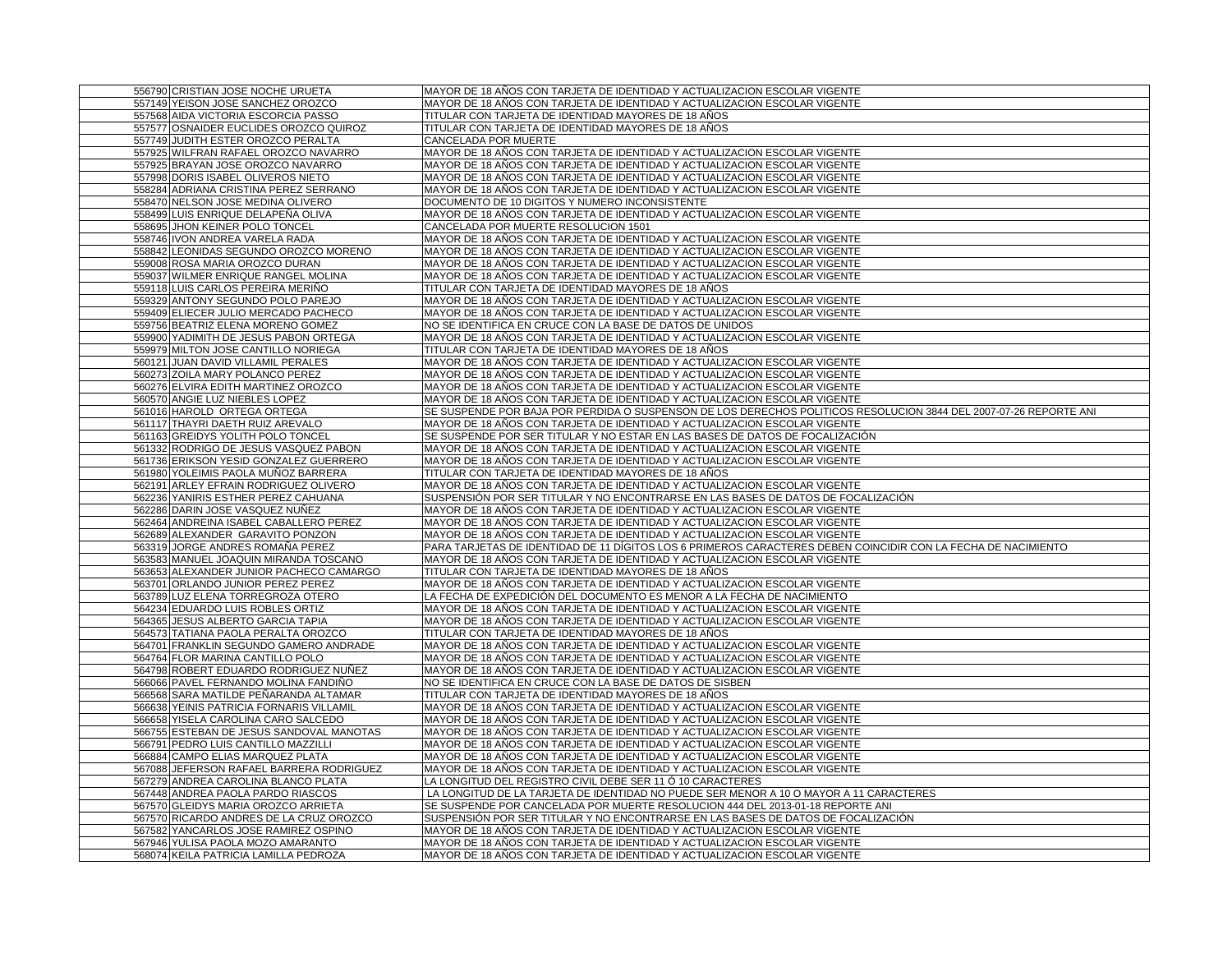| 556790 CRISTIAN JOSE NOCHE URUETA        |                                          | MAYOR DE 18 AÑOS CON TARJETA DE IDENTIDAD Y ACTUALIZACION ESCOLAR VIGENTE                                         |
|------------------------------------------|------------------------------------------|-------------------------------------------------------------------------------------------------------------------|
| 557149 YEISON JOSE SANCHEZ OROZCO        |                                          | MAYOR DE 18 AÑOS CON TARJETA DE IDENTIDAD Y ACTUALIZACION ESCOLAR VIGENTE                                         |
| 557568 AIDA VICTORIA ESCORCIA PASSO      |                                          | TITULAR CON TARJETA DE IDENTIDAD MAYORES DE 18 AÑOS                                                               |
|                                          | 557577 OSNAIDER EUCLIDES OROZCO QUIROZ   | TITULAR CON TARJETA DE IDENTIDAD MAYORES DE 18 AÑOS                                                               |
| 557749 JUDITH ESTER OROZCO PERALTA       |                                          | CANCELADA POR MUERTE                                                                                              |
|                                          | 557925 WILFRAN RAFAEL OROZCO NAVARRO     | MAYOR DE 18 AÑOS CON TARJETA DE IDENTIDAD Y ACTUALIZACION ESCOLAR VIGENTE                                         |
| 557925 BRAYAN JOSE OROZCO NAVARRO        |                                          | MAYOR DE 18 AÑOS CON TARJETA DE IDENTIDAD Y ACTUALIZACION ESCOLAR VIGENTE                                         |
| 557998 DORIS ISABEL OLIVEROS NIETO       |                                          | MAYOR DE 18 AÑOS CON TARJETA DE IDENTIDAD Y ACTUALIZACION ESCOLAR VIGENTE                                         |
| 558284 ADRIANA CRISTINA PEREZ SERRANO    |                                          | MAYOR DE 18 AÑOS CON TARJETA DE IDENTIDAD Y ACTUALIZACION ESCOLAR VIGENTE                                         |
| 558470 NELSON JOSE MEDINA OLIVERO        |                                          | DOCUMENTO DE 10 DIGITOS Y NUMERO INCONSISTENTE                                                                    |
| 558499 LUIS ENRIQUE DELAPENA OLIVA       |                                          | MAYOR DE 18 AÑOS CON TARJETA DE IDENTIDAD Y ACTUALIZACION ESCOLAR VIGENTE                                         |
| 558695 JHON KEINER POLO TONCEL           |                                          | CANCELADA POR MUERTE RESOLUCION 1501                                                                              |
| 558746 IVON ANDREA VARELA RADA           |                                          | MAYOR DE 18 AÑOS CON TARJETA DE IDENTIDAD Y ACTUALIZACION ESCOLAR VIGENTE                                         |
|                                          | 558842 LEONIDAS SEGUNDO OROZCO MORENO    | MAYOR DE 18 AÑOS CON TARJETA DE IDENTIDAD Y ACTUALIZACION ESCOLAR VIGENTE                                         |
| 559008 ROSA MARIA OROZCO DURAN           |                                          | MAYOR DE 18 AÑOS CON TARJETA DE IDENTIDAD Y ACTUALIZACION ESCOLAR VIGENTE                                         |
| 559037 WILMER ENRIQUE RANGEL MOLINA      |                                          | MAYOR DE 18 AÑOS CON TARJETA DE IDENTIDAD Y ACTUALIZACION ESCOLAR VIGENTE                                         |
| 559118 LUIS CARLOS PEREIRA MERIÑO        |                                          | TITULAR CON TARJETA DE IDENTIDAD MAYORES DE 18 AÑOS                                                               |
| 559329 ANTONY SEGUNDO POLO PAREJO        |                                          | MAYOR DE 18 AÑOS CON TARJETA DE IDENTIDAD Y ACTUALIZACION ESCOLAR VIGENTE                                         |
| 559409 ELIECER JULIO MERCADO PACHECO     |                                          | MAYOR DE 18 AÑOS CON TARJETA DE IDENTIDAD Y ACTUALIZACION ESCOLAR VIGENTE                                         |
| 559756 BEATRIZ ELENA MORENO GOMEZ        |                                          | NO SE IDENTIFICA EN CRUCE CON LA BASE DE DATOS DE UNIDOS                                                          |
| 559900 YADIMITH DE JESUS PABON ORTEGA    |                                          | MAYOR DE 18 AÑOS CON TARJETA DE IDENTIDAD Y ACTUALIZACION ESCOLAR VIGENTE                                         |
| 559979 MILTON JOSE CANTILLO NORIEGA      |                                          | TITULAR CON TARJETA DE IDENTIDAD MAYORES DE 18 AÑOS                                                               |
| 560121 JUAN DAVID VILLAMIL PERALES       |                                          | MAYOR DE 18 AÑOS CON TARJETA DE IDENTIDAD Y ACTUALIZACION ESCOLAR VIGENTE                                         |
| 560273 ZOILA MARY POLANCO PEREZ          |                                          | MAYOR DE 18 AÑOS CON TARJETA DE IDENTIDAD Y ACTUALIZACION ESCOLAR VIGENTE                                         |
| 560276 ELVIRA EDITH MARTINEZ OROZCO      |                                          | MAYOR DE 18 AÑOS CON TARJETA DE IDENTIDAD Y ACTUALIZACION ESCOLAR VIGENTE                                         |
| 560570 ANGIE LUZ NIEBLES LOPEZ           |                                          | MAYOR DE 18 AÑOS CON TARJETA DE IDENTIDAD Y ACTUALIZACION ESCOLAR VIGENTE                                         |
| 561016 HAROLD ORTEGA ORTEGA              |                                          | SE SUSPENDE POR BAJA POR PERDIDA O SUSPENSON DE LOS DERECHOS POLITICOS RESOLUCION 3844 DEL 2007-07-26 REPORTE ANI |
| 561117 THAYRI DAETH RUIZ AREVALO         |                                          | MAYOR DE 18 AÑOS CON TARJETA DE IDENTIDAD Y ACTUALIZACION ESCOLAR VIGENTE                                         |
| 561163 GREIDYS YOLITH POLO TONCEL        |                                          | SE SUSPENDE POR SER TITULAR Y NO ESTAR EN LAS BASES DE DATOS DE FOCALIZACIÓN                                      |
|                                          | 561332 RODRIGO DE JESUS VASQUEZ PABON    | MAYOR DE 18 AÑOS CON TARJETA DE IDENTIDAD Y ACTUALIZACION ESCOLAR VIGENTE                                         |
|                                          | 561736 ERIKSON YESID GONZALEZ GUERRERO   | MAYOR DE 18 AÑOS CON TARJETA DE IDENTIDAD Y ACTUALIZACION ESCOLAR VIGENTE                                         |
| 561980 YOLEIMIS PAOLA MUÑOZ BARRERA      |                                          | TITULAR CON TARJETA DE IDENTIDAD MAYORES DE 18 AÑOS                                                               |
| 562191 ARLEY EFRAIN RODRIGUEZ OLIVERO    |                                          | MAYOR DE 18 AÑOS CON TARJETA DE IDENTIDAD Y ACTUALIZACION ESCOLAR VIGENTE                                         |
| 562236 YANIRIS ESTHER PEREZ CAHUANA      |                                          | SUSPENSIÓN POR SER TITULAR Y NO ENCONTRARSE EN LAS BASES DE DATOS DE FOCALIZACIÓN                                 |
| 562286 DARIN JOSE VASQUEZ NUÑEZ          |                                          | MAYOR DE 18 AÑOS CON TARJETA DE IDENTIDAD Y ACTUALIZACION ESCOLAR VIGENTE                                         |
|                                          | 562464 ANDREINA ISABEL CABALLERO PEREZ   | MAYOR DE 18 AÑOS CON TARJETA DE IDENTIDAD Y ACTUALIZACION ESCOLAR VIGENTE                                         |
| 562689 ALEXANDER GARAVITO PONZON         |                                          | MAYOR DE 18 AÑOS CON TARJETA DE IDENTIDAD Y ACTUALIZACION ESCOLAR VIGENTE                                         |
| 563319 JORGE ANDRES ROMAÑA PEREZ         |                                          | PARA TARJETAS DE IDENTIDAD DE 11 DÍGITOS LOS 6 PRIMEROS CARACTERES DEBEN COINCIDIR CON LA FECHA DE NACIMIENTO     |
|                                          | 563583 MANUEL JOAQUIN MIRANDA TOSCANO    | MAYOR DE 18 AÑOS CON TARJETA DE IDENTIDAD Y ACTUALIZACION ESCOLAR VIGENTE                                         |
|                                          | 563653 ALEXANDER JUNIOR PACHECO CAMARGO  | TITULAR CON TARJETA DE IDENTIDAD MAYORES DE 18 AÑOS                                                               |
| 563701 ORLANDO JUNIOR PEREZ PEREZ        |                                          | MAYOR DE 18 AÑOS CON TARJETA DE IDENTIDAD Y ACTUALIZACION ESCOLAR VIGENTE                                         |
| 563789 LUZ ELENA TORREGROZA OTERO        |                                          | LA FECHA DE EXPEDICIÓN DEL DOCUMENTO ES MENOR A LA FECHA DE NACIMIENTO                                            |
| 564234 EDUARDO LUIS ROBLES ORTIZ         |                                          | MAYOR DE 18 AÑOS CON TARJETA DE IDENTIDAD Y ACTUALIZACION ESCOLAR VIGENTE                                         |
| 564365 JESUS ALBERTO GARCIA TAPIA        |                                          | MAYOR DE 18 AÑOS CON TARJETA DE IDENTIDAD Y ACTUALIZACION ESCOLAR VIGENTE                                         |
| 564573 TATIANA PAOLA PERALTA OROZCO      |                                          | TITULAR CON TARJETA DE IDENTIDAD MAYORES DE 18 AÑOS                                                               |
|                                          | 564701 FRANKLIN SEGUNDO GAMERO ANDRADE   | MAYOR DE 18 AÑOS CON TARJETA DE IDENTIDAD Y ACTUALIZACION ESCOLAR VIGENTE                                         |
| 564764 FLOR MARINA CANTILLO POLO         |                                          | MAYOR DE 18 AÑOS CON TARJETA DE IDENTIDAD Y ACTUALIZACION ESCOLAR VIGENTE                                         |
|                                          | 564798 ROBERT EDUARDO RODRIGUEZ NUÑEZ    | MAYOR DE 18 AÑOS CON TARJETA DE IDENTIDAD Y ACTUALIZACION ESCOLAR VIGENTE                                         |
| 566066 PAVEL FERNANDO MOLINA FANDINO     |                                          | NO SE IDENTIFICA EN CRUCE CON LA BASE DE DATOS DE SISBEN                                                          |
|                                          | 566568 SARA MATILDE PEÑARANDA ALTAMAR    | TITULAR CON TARJETA DE IDENTIDAD MAYORES DE 18 ANOS                                                               |
| 566638 YEINIS PATRICIA FORNARIS VILLAMIL |                                          | MAYOR DE 18 AÑOS CON TARJETA DE IDENTIDAD Y ACTUALIZACION ESCOLAR VIGENTE                                         |
| 566658 YISELA CAROLINA CARO SALCEDO      |                                          | MAYOR DE 18 AÑOS CON TARJETA DE IDENTIDAD Y ACTUALIZACION ESCOLAR VIGENTE                                         |
|                                          | 566755 ESTEBAN DE JESUS SANDOVAL MANOTAS | MAYOR DE 18 AÑOS CON TARJETA DE IDENTIDAD Y ACTUALIZACION ESCOLAR VIGENTE                                         |
| 566791 PEDRO LUIS CANTILLO MAZZILLI      |                                          | MAYOR DE 18 AÑOS CON TARJETA DE IDENTIDAD Y ACTUALIZACION ESCOLAR VIGENTE                                         |
| 566884 CAMPO ELIAS MARQUEZ PLATA         |                                          | MAYOR DE 18 AÑOS CON TARJETA DE IDENTIDAD Y ACTUALIZACION ESCOLAR VIGENTE                                         |
|                                          | 567088 JEFERSON RAFAEL BARRERA RODRIGUEZ | MAYOR DE 18 AÑOS CON TARJETA DE IDENTIDAD Y ACTUALIZACION ESCOLAR VIGENTE                                         |
| 567279 ANDREA CAROLINA BLANCO PLATA      |                                          | LA LONGITUD DEL REGISTRO CIVIL DEBE SER 11 Ó 10 CARACTERES                                                        |
| 567448 ANDREA PAOLA PARDO RIASCOS        |                                          | LA LONGITUD DE LA TARJETA DE IDENTIDAD NO PUEDE SER MENOR A 10 O MAYOR A 11 CARACTERES                            |
| 567570 GLEIDYS MARIA OROZCO ARRIETA      |                                          | SE SUSPENDE POR CANCELADA POR MUERTE RESOLUCION 444 DEL 2013-01-18 REPORTE ANI                                    |
|                                          | 567570 RICARDO ANDRES DE LA CRUZ OROZCO  | SUSPENSIÓN POR SER TITULAR Y NO ENCONTRARSE EN LAS BASES DE DATOS DE FOCALIZACIÓN                                 |
| 567582 YANCARLOS JOSE RAMIREZ OSPINO     |                                          | MAYOR DE 18 AÑOS CON TARJETA DE IDENTIDAD Y ACTUALIZACION ESCOLAR VIGENTE                                         |
| 567946 YULISA PAOLA MOZO AMARANTO        |                                          | MAYOR DE 18 AÑOS CON TARJETA DE IDENTIDAD Y ACTUALIZACION ESCOLAR VIGENTE                                         |
| 568074 KEILA PATRICIA LAMILLA PEDROZA    |                                          | MAYOR DE 18 AÑOS CON TARJETA DE IDENTIDAD Y ACTUALIZACION ESCOLAR VIGENTE                                         |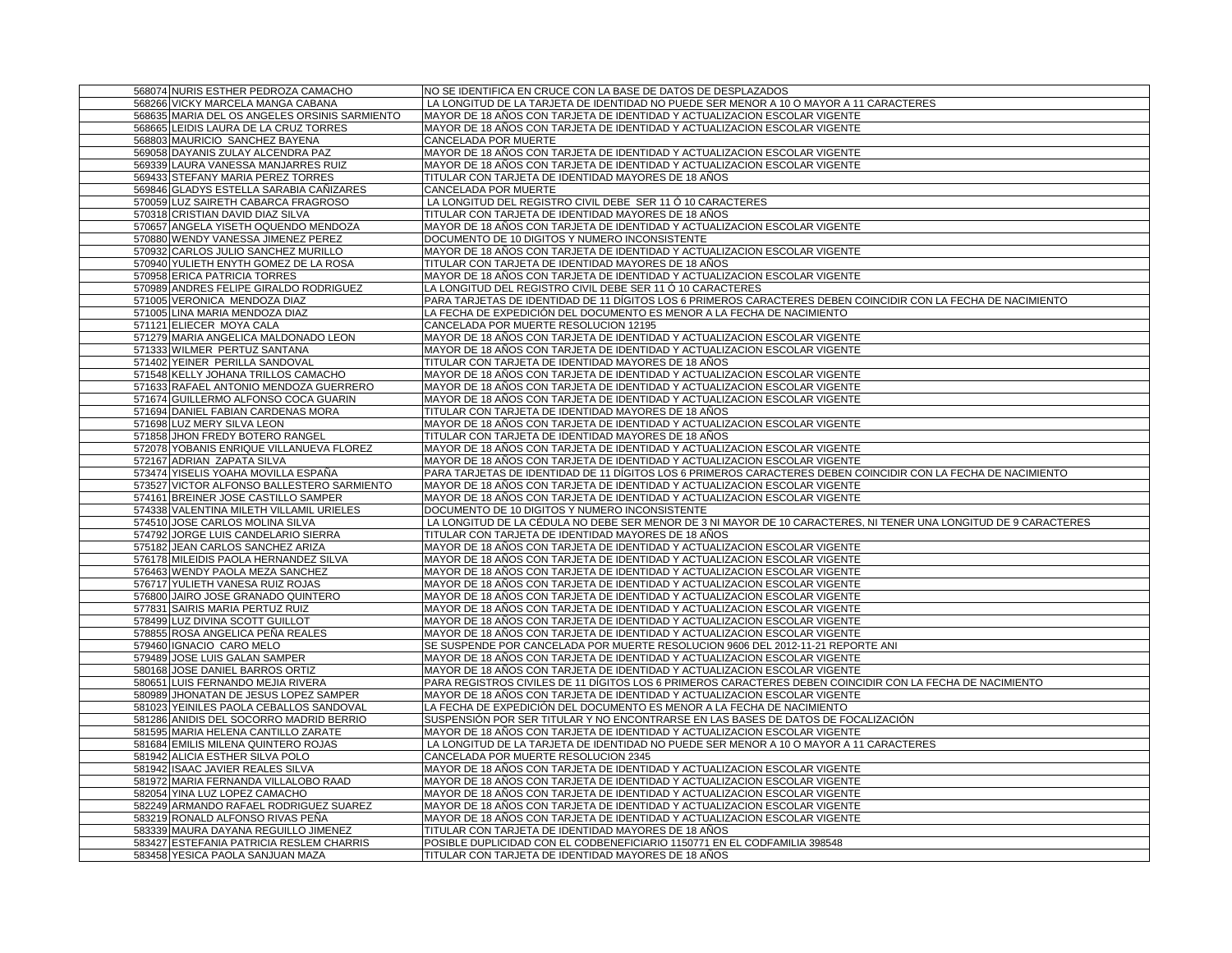| 568074 NURIS ESTHER PEDROZA CAMACHO                                    | NO SE IDENTIFICA EN CRUCE CON LA BASE DE DATOS DE DESPLAZADOS                                                                                                                          |
|------------------------------------------------------------------------|----------------------------------------------------------------------------------------------------------------------------------------------------------------------------------------|
| 568266 VICKY MARCELA MANGA CABANA                                      | LA LONGITUD DE LA TARJETA DE IDENTIDAD NO PUEDE SER MENOR A 10 O MAYOR A 11 CARACTERES                                                                                                 |
| 568635 MARIA DEL OS ANGELES ORSINIS SARMIENTO                          | MAYOR DE 18 AÑOS CON TARJETA DE IDENTIDAD Y ACTUALIZACION ESCOLAR VIGENTE                                                                                                              |
| 568665 LEIDIS LAURA DE LA CRUZ TORRES                                  | MAYOR DE 18 AÑOS CON TARJETA DE IDENTIDAD Y ACTUALIZACION ESCOLAR VIGENTE                                                                                                              |
| 568803 MAURICIO SANCHEZ BAYENA                                         | CANCELADA POR MUERTE                                                                                                                                                                   |
| 569058 DAYANIS ZULAY ALCENDRA PAZ                                      | MAYOR DE 18 AÑOS CON TARJETA DE IDENTIDAD Y ACTUALIZACION ESCOLAR VIGENTE                                                                                                              |
| 569339 LAURA VANESSA MANJARRES RUIZ                                    | MAYOR DE 18 AÑOS CON TARJETA DE IDENTIDAD Y ACTUALIZACION ESCOLAR VIGENTE                                                                                                              |
| 569433 STEFANY MARIA PEREZ TORRES                                      | TITULAR CON TARJETA DE IDENTIDAD MAYORES DE 18 AÑOS                                                                                                                                    |
| 569846 GLADYS ESTELLA SARABIA CAÑIZARES                                | CANCELADA POR MUERTE                                                                                                                                                                   |
| 570059 LUZ SAIRETH CABARCA FRAGROSO                                    | LA LONGITUD DEL REGISTRO CIVIL DEBE SER 11 Ó 10 CARACTERES                                                                                                                             |
| 570318 CRISTIAN DAVID DIAZ SILVA                                       | TITULAR CON TARJETA DE IDENTIDAD MAYORES DE 18 AÑOS                                                                                                                                    |
| 570657 ANGELA YISETH OQUENDO MENDOZA                                   | MAYOR DE 18 AÑOS CON TARJETA DE IDENTIDAD Y ACTUALIZACION ESCOLAR VIGENTE                                                                                                              |
| 570880 WENDY VANESSA JIMENEZ PEREZ                                     | DOCUMENTO DE 10 DIGITOS Y NUMERO INCONSISTENTE                                                                                                                                         |
| 570932 CARLOS JULIO SANCHEZ MURILLO                                    | MAYOR DE 18 AÑOS CON TARJETA DE IDENTIDAD Y ACTUALIZACION ESCOLAR VIGENTE                                                                                                              |
| 570940 YULIETH ENYTH GOMEZ DE LA ROSA                                  | TITULAR CON TARJETA DE IDENTIDAD MAYORES DE 18 AÑOS                                                                                                                                    |
| 570958 ERICA PATRICIA TORRES                                           | MAYOR DE 18 AÑOS CON TARJETA DE IDENTIDAD Y ACTUALIZACION ESCOLAR VIGENTE                                                                                                              |
| 570989 ANDRES FELIPE GIRALDO RODRIGUEZ                                 | LA LONGITUD DEL REGISTRO CIVIL DEBE SER 11 Ó 10 CARACTERES                                                                                                                             |
| 571005 VERONICA MENDOZA DIAZ                                           | PARA TARJETAS DE IDENTIDAD DE 11 DÍGITOS LOS 6 PRIMEROS CARACTERES DEBEN COINCIDIR CON LA FECHA DE NACIMIENTO                                                                          |
| 571005 LINA MARIA MENDOZA DIAZ                                         | LA FECHA DE EXPEDICIÓN DEL DOCUMENTO ES MENOR A LA FECHA DE NACIMIENTO                                                                                                                 |
| 571121 ELIECER MOYA CALA                                               | CANCELADA POR MUERTE RESOLUCION 12195                                                                                                                                                  |
| 571279 MARIA ANGELICA MALDONADO LEON                                   | MAYOR DE 18 AÑOS CON TARJETA DE IDENTIDAD Y ACTUALIZACION ESCOLAR VIGENTE                                                                                                              |
| 571333 WILMER PERTUZ SANTANA                                           | MAYOR DE 18 AÑOS CON TARJETA DE IDENTIDAD Y ACTUALIZACION ESCOLAR VIGENTE                                                                                                              |
| 571402 YEINER PERILLA SANDOVAL                                         | TITULAR CON TARJETA DE IDENTIDAD MAYORES DE 18 AÑOS                                                                                                                                    |
| 571548 KELLY JOHANA TRILLOS CAMACHO                                    | MAYOR DE 18 AÑOS CON TARJETA DE IDENTIDAD Y ACTUALIZACION ESCOLAR VIGENTE                                                                                                              |
| 571633 RAFAEL ANTONIO MENDOZA GUERRERO                                 | MAYOR DE 18 AÑOS CON TARJETA DE IDENTIDAD Y ACTUALIZACION ESCOLAR VIGENTE                                                                                                              |
| 571674 GUILLERMO ALFONSO COCA GUARIN                                   | MAYOR DE 18 AÑOS CON TARJETA DE IDENTIDAD Y ACTUALIZACION ESCOLAR VIGENTE                                                                                                              |
| 571694 DANIEL FABIAN CARDENAS MORA                                     | TITULAR CON TARJETA DE IDENTIDAD MAYORES DE 18 AÑOS                                                                                                                                    |
| 571698 LUZ MERY SILVA LEON                                             | MAYOR DE 18 AÑOS CON TARJETA DE IDENTIDAD Y ACTUALIZACION ESCOLAR VIGENTE                                                                                                              |
| 571858 JHON FREDY BOTERO RANGEL                                        | TITULAR CON TARJETA DE IDENTIDAD MAYORES DE 18 AÑOS                                                                                                                                    |
| 572078 YOBANIS ENRIQUE VILLANUEVA FLOREZ                               | MAYOR DE 18 AÑOS CON TARJETA DE IDENTIDAD Y ACTUALIZACION ESCOLAR VIGENTE                                                                                                              |
| 572167 ADRIAN ZAPATA SILVA                                             | MAYOR DE 18 AÑOS CON TARJETA DE IDENTIDAD Y ACTUALIZACION ESCOLAR VIGENTE                                                                                                              |
| 573474 YISELIS YOAHA MOVILLA ESPAÑA                                    | PARA TARJETAS DE IDENTIDAD DE 11 DÍGITOS LOS 6 PRIMEROS CARACTERES DEBEN COINCIDIR CON LA FECHA DE NACIMIENTO                                                                          |
| 573527 VICTOR ALFONSO BALLESTERO SARMIENTO                             | MAYOR DE 18 AÑOS CON TARJETA DE IDENTIDAD Y ACTUALIZACION ESCOLAR VIGENTE                                                                                                              |
| 574161 BREINER JOSE CASTILLO SAMPER                                    | MAYOR DE 18 AÑOS CON TARJETA DE IDENTIDAD Y ACTUALIZACION ESCOLAR VIGENTE                                                                                                              |
| 574338 VALENTINA MILETH VILLAMIL URIELES                               | DOCUMENTO DE 10 DIGITOS Y NUMERO INCONSISTENTE                                                                                                                                         |
| 574510 JOSE CARLOS MOLINA SILVA                                        | LA LONGITUD DE LA CÉDULA NO DEBE SER MENOR DE 3 NI MAYOR DE 10 CARACTERES, NI TENER UNA LONGITUD DE 9 CARACTERES                                                                       |
| 574792 JORGE LUIS CANDELARIO SIERRA                                    | TITULAR CON TARJETA DE IDENTIDAD MAYORES DE 18 AÑOS                                                                                                                                    |
| 575182 JEAN CARLOS SANCHEZ ARIZA                                       | MAYOR DE 18 AÑOS CON TARJETA DE IDENTIDAD Y ACTUALIZACION ESCOLAR VIGENTE                                                                                                              |
| 576178 MILEIDIS PAOLA HERNANDEZ SILVA                                  | MAYOR DE 18 AÑOS CON TARJETA DE IDENTIDAD Y ACTUALIZACION ESCOLAR VIGENTE                                                                                                              |
| 576463 WENDY PAOLA MEZA SANCHEZ                                        | MAYOR DE 18 AÑOS CON TARJETA DE IDENTIDAD Y ACTUALIZACION ESCOLAR VIGENTE                                                                                                              |
|                                                                        |                                                                                                                                                                                        |
| 576717 YULIETH VANESA RUIZ ROJAS<br>576800 JAIRO JOSE GRANADO QUINTERO | MAYOR DE 18 AÑOS CON TARJETA DE IDENTIDAD Y ACTUALIZACION ESCOLAR VIGENTE<br>MAYOR DE 18 AÑOS CON TARJETA DE IDENTIDAD Y ACTUALIZACION ESCOLAR VIGENTE                                 |
| 577831 SAIRIS MARIA PERTUZ RUIZ                                        | MAYOR DE 18 AÑOS CON TARJETA DE IDENTIDAD Y ACTUALIZACION ESCOLAR VIGENTE                                                                                                              |
|                                                                        |                                                                                                                                                                                        |
| 578499 LUZ DIVINA SCOTT GUILLOT<br>578855 ROSA ANGELICA PEÑA REALES    | MAYOR DE 18 AÑOS CON TARJETA DE IDENTIDAD Y ACTUALIZACION ESCOLAR VIGENTE<br>MAYOR DE 18 AÑOS CON TARJETA DE IDENTIDAD Y ACTUALIZACION ESCOLAR VIGENTE                                 |
| 579460 IGNACIO CARO MELO                                               | SE SUSPENDE POR CANCELADA POR MUERTE RESOLUCION 9606 DEL 2012-11-21 REPORTE ANI                                                                                                        |
| 579489 JOSE LUIS GALAN SAMPER                                          | MAYOR DE 18 AÑOS CON TARJETA DE IDENTIDAD Y ACTUALIZACION ESCOLAR VIGENTE                                                                                                              |
| 580168 JOSE DANIEL BARROS ORTIZ                                        |                                                                                                                                                                                        |
| 580651 LUIS FERNANDO MEJIA RIVERA                                      | MAYOR DE 18 AÑOS CON TARJETA DE IDENTIDAD Y ACTUALIZACION ESCOLAR VIGENTE<br>PARA REGISTROS CIVILES DE 11 DIGITOS LOS 6 PRIMEROS CARACTERES DEBEN COINCIDIR CON LA FECHA DE NACIMIENTO |
| 580989 JHONATAN DE JESUS LOPEZ SAMPER                                  | MAYOR DE 18 AÑOS CON TARJETA DE IDENTIDAD Y ACTUALIZACION ESCOLAR VIGENTE                                                                                                              |
| 581023 YEINILES PAOLA CEBALLOS SANDOVAL                                | LA FECHA DE EXPEDICIÓN DEL DOCUMENTO ES MENOR A LA FECHA DE NACIMIENTO                                                                                                                 |
| 581286 ANIDIS DEL SOCORRO MADRID BERRIO                                | SUSPENSIÓN POR SER TITULAR Y NO ENCONTRARSE EN LAS BASES DE DATOS DE FOCALIZACIÓN                                                                                                      |
| 581595 MARIA HELENA CANTILLO ZARATE                                    | MAYOR DE 18 AÑOS CON TARJETA DE IDENTIDAD Y ACTUALIZACION ESCOLAR VIGENTE                                                                                                              |
| 581684 EMILIS MILENA QUINTERO ROJAS                                    | LA LONGITUD DE LA TARJETA DE IDENTIDAD NO PUEDE SER MENOR A 10 O MAYOR A 11 CARACTERES                                                                                                 |
| 581942 ALICIA ESTHER SILVA POLO                                        | CANCELADA POR MUERTE RESOLUCION 2345                                                                                                                                                   |
| 581942 ISAAC JAVIER REALES SILVA                                       | MAYOR DE 18 AÑOS CON TARJETA DE IDENTIDAD Y ACTUALIZACION ESCOLAR VIGENTE                                                                                                              |
| 581972 MARIA FERNANDA VILLALOBO RAAD                                   | MAYOR DE 18 AÑOS CON TARJETA DE IDENTIDAD Y ACTUALIZACION ESCOLAR VIGENTE                                                                                                              |
| 582054 YINA LUZ LOPEZ CAMACHO                                          | MAYOR DE 18 AÑOS CON TARJETA DE IDENTIDAD Y ACTUALIZACION ESCOLAR VIGENTE                                                                                                              |
| 582249 ARMANDO RAFAEL RODRIGUEZ SUAREZ                                 | MAYOR DE 18 AÑOS CON TARJETA DE IDENTIDAD Y ACTUALIZACION ESCOLAR VIGENTE                                                                                                              |
| 583219 RONALD ALFONSO RIVAS PEÑA                                       | MAYOR DE 18 AÑOS CON TARJETA DE IDENTIDAD Y ACTUALIZACION ESCOLAR VIGENTE                                                                                                              |
| 583339 MAURA DAYANA REGUILLO JIMENEZ                                   | TITULAR CON TARJETA DE IDENTIDAD MAYORES DE 18 AÑOS                                                                                                                                    |
| 583427 ESTEFANIA PATRICIA RESLEM CHARRIS                               | POSIBLE DUPLICIDAD CON EL CODBENEFICIARIO 1150771 EN EL CODFAMILIA 398548                                                                                                              |
| 583458 YESICA PAOLA SANJUAN MAZA                                       | TITULAR CON TARJETA DE IDENTIDAD MAYORES DE 18 AÑOS                                                                                                                                    |
|                                                                        |                                                                                                                                                                                        |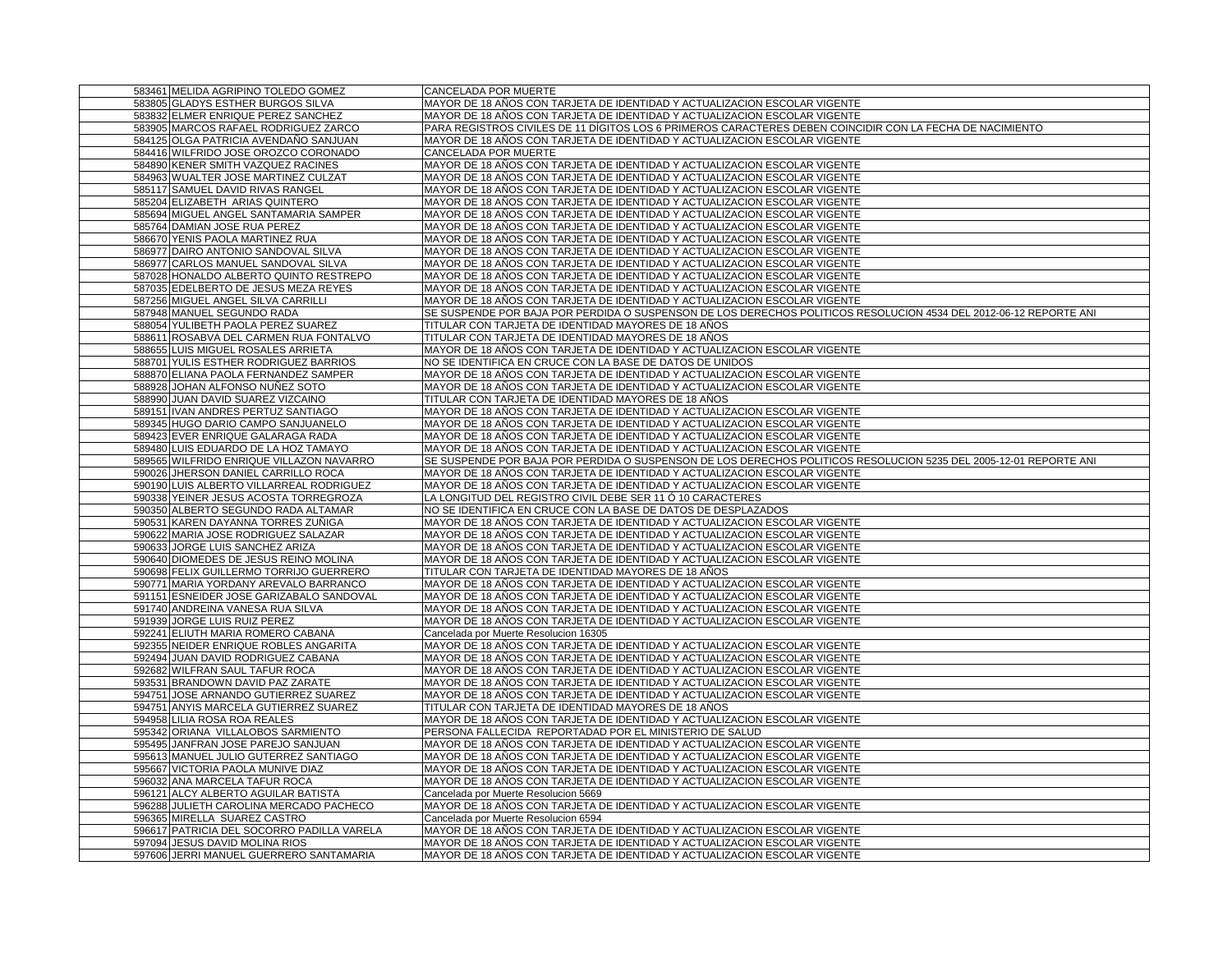| 583461 MELIDA AGRIPINO TOLEDO GOMEZ        | CANCELADA POR MUERTE                                                                                              |
|--------------------------------------------|-------------------------------------------------------------------------------------------------------------------|
| 583805 GLADYS ESTHER BURGOS SILVA          | MAYOR DE 18 AÑOS CON TARJETA DE IDENTIDAD Y ACTUALIZACION ESCOLAR VIGENTE                                         |
| 583832 ELMER ENRIQUE PEREZ SANCHEZ         | MAYOR DE 18 ANOS CON TARJETA DE IDENTIDAD Y ACTUALIZACION ESCOLAR VIGENTE                                         |
| 583905 MARCOS RAFAEL RODRIGUEZ ZARCO       | PARA REGISTROS CIVILES DE 11 DÍGITOS LOS 6 PRIMEROS CARACTERES DEBEN COINCIDIR CON LA FECHA DE NACIMIENTO         |
| 584125 OLGA PATRICIA AVENDANO SANJUAN      | MAYOR DE 18 AÑOS CON TARJETA DE IDENTIDAD Y ACTUALIZACION ESCOLAR VIGENTE                                         |
| 584416 WILFRIDO JOSE OROZCO CORONADO       | <b>CANCELADA POR MUERTE</b>                                                                                       |
| 584890 KENER SMITH VAZQUEZ RACINES         | MAYOR DE 18 AÑOS CON TARJETA DE IDENTIDAD Y ACTUALIZACION ESCOLAR VIGENTE                                         |
| 584963 WUALTER JOSE MARTINEZ CULZAT        | MAYOR DE 18 AÑOS CON TARJETA DE IDENTIDAD Y ACTUALIZACION ESCOLAR VIGENTE                                         |
| 585117 SAMUEL DAVID RIVAS RANGEL           | MAYOR DE 18 AÑOS CON TARJETA DE IDENTIDAD Y ACTUALIZACION ESCOLAR VIGENTE                                         |
| 585204 ELIZABETH ARIAS QUINTERO            | MAYOR DE 18 AÑOS CON TARJETA DE IDENTIDAD Y ACTUALIZACION ESCOLAR VIGENTE                                         |
| 585694 MIGUEL ANGEL SANTAMARIA SAMPER      | MAYOR DE 18 AÑOS CON TARJETA DE IDENTIDAD Y ACTUALIZACION ESCOLAR VIGENTE                                         |
| 585764 DAMIAN JOSE RUA PEREZ               | MAYOR DE 18 AÑOS CON TARJETA DE IDENTIDAD Y ACTUALIZACION ESCOLAR VIGENTE                                         |
| 586670 YENIS PAOLA MARTINEZ RUA            | MAYOR DE 18 AÑOS CON TARJETA DE IDENTIDAD Y ACTUALIZACION ESCOLAR VIGENTE                                         |
| 586977 DAIRO ANTONIO SANDOVAL SILVA        | MAYOR DE 18 AÑOS CON TARJETA DE IDENTIDAD Y ACTUALIZACION ESCOLAR VIGENTE                                         |
| 586977 CARLOS MANUEL SANDOVAL SILVA        | MAYOR DE 18 AÑOS CON TARJETA DE IDENTIDAD Y ACTUALIZACION ESCOLAR VIGENTE                                         |
| 587028 HONALDO ALBERTO QUINTO RESTREPO     | MAYOR DE 18 AÑOS CON TARJETA DE IDENTIDAD Y ACTUALIZACION ESCOLAR VIGENTE                                         |
| 587035 EDELBERTO DE JESUS MEZA REYES       | MAYOR DE 18 AÑOS CON TARJETA DE IDENTIDAD Y ACTUALIZACION ESCOLAR VIGENTE                                         |
| 587256 MIGUEL ANGEL SILVA CARRILLI         | MAYOR DE 18 AÑOS CON TARJETA DE IDENTIDAD Y ACTUALIZACION ESCOLAR VIGENTE                                         |
| 587948 MANUEL SEGUNDO RADA                 | SE SUSPENDE POR BAJA POR PERDIDA O SUSPENSON DE LOS DERECHOS POLITICOS RESOLUCION 4534 DEL 2012-06-12 REPORTE ANI |
| 588054 YULIBETH PAOLA PEREZ SUAREZ         | TITULAR CON TARJETA DE IDENTIDAD MAYORES DE 18 AÑOS                                                               |
| 588611 ROSABVA DEL CARMEN RUA FONTALVO     | TITULAR CON TARJETA DE IDENTIDAD MAYORES DE 18 AÑOS                                                               |
| 588655 LUIS MIGUEL ROSALES ARRIETA         | MAYOR DE 18 AÑOS CON TARJETA DE IDENTIDAD Y ACTUALIZACION ESCOLAR VIGENTE                                         |
| 588701 YULIS ESTHER RODRIGUEZ BARRIOS      | NO SE IDENTIFICA EN CRUCE CON LA BASE DE DATOS DE UNIDOS                                                          |
| 588870 ELIANA PAOLA FERNANDEZ SAMPER       | MAYOR DE 18 AÑOS CON TARJETA DE IDENTIDAD Y ACTUALIZACION ESCOLAR VIGENTE                                         |
| 588928 JOHAN ALFONSO NUÑEZ SOTO            | MAYOR DE 18 AÑOS CON TARJETA DE IDENTIDAD Y ACTUALIZACION ESCOLAR VIGENTE                                         |
| 588990 JUAN DAVID SUAREZ VIZCAINO          | TITULAR CON TARJETA DE IDENTIDAD MAYORES DE 18 AÑOS                                                               |
| 589151 IVAN ANDRES PERTUZ SANTIAGO         | MAYOR DE 18 AÑOS CON TARJETA DE IDENTIDAD Y ACTUALIZACION ESCOLAR VIGENTE                                         |
| 589345 HUGO DARIO CAMPO SANJUANELO         | MAYOR DE 18 AÑOS CON TARJETA DE IDENTIDAD Y ACTUALIZACION ESCOLAR VIGENTE                                         |
| 589423 EVER ENRIQUE GALARAGA RADA          | MAYOR DE 18 AÑOS CON TARJETA DE IDENTIDAD Y ACTUALIZACION ESCOLAR VIGENTE                                         |
| 589480 LUIS EDUARDO DE LA HOZ TAMAYO       | MAYOR DE 18 AÑOS CON TARJETA DE IDENTIDAD Y ACTUALIZACION ESCOLAR VIGENTE                                         |
| 589565 WILFRIDO ENRIQUE VILLAZON NAVARRO   | SE SUSPENDE POR BAJA POR PERDIDA O SUSPENSON DE LOS DERECHOS POLITICOS RESOLUCION 5235 DEL 2005-12-01 REPORTE ANI |
| 590026 JHERSON DANIEL CARRILLO ROCA        | MAYOR DE 18 AÑOS CON TARJETA DE IDENTIDAD Y ACTUALIZACION ESCOLAR VIGENTE                                         |
| 590190 LUIS ALBERTO VILLARREAL RODRIGUEZ   | MAYOR DE 18 AÑOS CON TARJETA DE IDENTIDAD Y ACTUALIZACION ESCOLAR VIGENTE                                         |
| 590338 YEINER JESUS ACOSTA TORREGROZA      | LA LONGITUD DEL REGISTRO CIVIL DEBE SER 11 Ó 10 CARACTERES                                                        |
| 590350 ALBERTO SEGUNDO RADA ALTAMAR        | NO SE IDENTIFICA EN CRUCE CON LA BASE DE DATOS DE DESPLAZADOS                                                     |
| 590531 KAREN DAYANNA TORRES ZUÑIGA         | MAYOR DE 18 AÑOS CON TARJETA DE IDENTIDAD Y ACTUALIZACION ESCOLAR VIGENTE                                         |
| 590622 MARIA JOSE RODRIGUEZ SALAZAR        | MAYOR DE 18 AÑOS CON TARJETA DE IDENTIDAD Y ACTUALIZACION ESCOLAR VIGENTE                                         |
| 590633 JORGE LUIS SANCHEZ ARIZA            | MAYOR DE 18 AÑOS CON TARJETA DE IDENTIDAD Y ACTUALIZACION ESCOLAR VIGENTE                                         |
| 590640 DIOMEDES DE JESUS REINO MOLINA      | MAYOR DE 18 AÑOS CON TARJETA DE IDENTIDAD Y ACTUALIZACION ESCOLAR VIGENTE                                         |
| 590698 FELIX GUILLERMO TORRIJO GUERRERO    | TITULAR CON TARJETA DE IDENTIDAD MAYORES DE 18 AÑOS                                                               |
| 590771 MARIA YORDANY AREVALO BARRANCO      | MAYOR DE 18 AÑOS CON TARJETA DE IDENTIDAD Y ACTUALIZACION ESCOLAR VIGENTE                                         |
| 591151 ESNEIDER JOSE GARIZABALO SANDOVAL   | MAYOR DE 18 AÑOS CON TARJETA DE IDENTIDAD Y ACTUALIZACION ESCOLAR VIGENTE                                         |
| 591740 ANDREINA VANESA RUA SILVA           | MAYOR DE 18 AÑOS CON TARJETA DE IDENTIDAD Y ACTUALIZACION ESCOLAR VIGENTE                                         |
| 591939 JORGE LUIS RUIZ PEREZ               | MAYOR DE 18 AÑOS CON TARJETA DE IDENTIDAD Y ACTUALIZACION ESCOLAR VIGENTE                                         |
| 592241 ELIUTH MARIA ROMERO CABANA          | Cancelada por Muerte Resolucion 16305                                                                             |
| 592355 NEIDER ENRIQUE ROBLES ANGARITA      | MAYOR DE 18 AÑOS CON TARJETA DE IDENTIDAD Y ACTUALIZACION ESCOLAR VIGENTE                                         |
| 592494 JUAN DAVID RODRIGUEZ CABANA         | MAYOR DE 18 AÑOS CON TARJETA DE IDENTIDAD Y ACTUALIZACION ESCOLAR VIGENTE                                         |
| 592682 WILFRAN SAUL TAFUR ROCA             | MAYOR DE 18 AÑOS CON TARJETA DE IDENTIDAD Y ACTUALIZACION ESCOLAR VIGENTE                                         |
| 593531 BRANDOWN DAVID PAZ ZARATE           | MAYOR DE 18 AÑOS CON TARJETA DE IDENTIDAD Y ACTUALIZACION ESCOLAR VIGENTE                                         |
| 594751 JOSE ARNANDO GUTIERREZ SUAREZ       | MAYOR DE 18 AÑOS CON TARJETA DE IDENTIDAD Y ACTUALIZACION ESCOLAR VIGENTE                                         |
| 594751 ANYIS MARCELA GUTIERREZ SUAREZ      | TITULAR CON TARJETA DE IDENTIDAD MAYORES DE 18 AÑOS                                                               |
| 594958 LILIA ROSA ROA REALES               | MAYOR DE 18 AÑOS CON TARJETA DE IDENTIDAD Y ACTUALIZACION ESCOLAR VIGENTE                                         |
| 595342 ORIANA VILLALOBOS SARMIENTO         | PERSONA FALLECIDA REPORTADAD POR EL MINISTERIO DE SALUD                                                           |
| 595495 JANFRAN JOSE PAREJO SANJUAN         | MAYOR DE 18 AÑOS CON TARJETA DE IDENTIDAD Y ACTUALIZACION ESCOLAR VIGENTE                                         |
| 595613 MANUEL JULIO GUTERREZ SANTIAGO      | MAYOR DE 18 AÑOS CON TARJETA DE IDENTIDAD Y ACTUALIZACION ESCOLAR VIGENTE                                         |
| 595667 VICTORIA PAOLA MUNIVE DIAZ          | MAYOR DE 18 AÑOS CON TARJETA DE IDENTIDAD Y ACTUALIZACION ESCOLAR VIGENTE                                         |
| 596032 ANA MARCELA TAFUR ROCA              | MAYOR DE 18 AÑOS CON TARJETA DE IDENTIDAD Y ACTUALIZACION ESCOLAR VIGENTE                                         |
| 596121 ALCY ALBERTO AGUILAR BATISTA        | Cancelada por Muerte Resolucion 5669                                                                              |
| 596288 JULIETH CAROLINA MERCADO PACHECO    | MAYOR DE 18 AÑOS CON TARJETA DE IDENTIDAD Y ACTUALIZACION ESCOLAR VIGENTE                                         |
| 596365 MIRELLA SUAREZ CASTRO               | Cancelada por Muerte Resolucion 6594<br>MAYOR DE 18 AÑOS CON TARJETA DE IDENTIDAD Y ACTUALIZACIÓN ESCOLAR VIGENTE |
| 596617 PATRICIA DEL SOCORRO PADILLA VARELA |                                                                                                                   |
| 597094 JESUS DAVID MOLINA RIOS             | MAYOR DE 18 AÑOS CON TARJETA DE IDENTIDAD Y ACTUALIZACION ESCOLAR VIGENTE                                         |
| 597606 JERRI MANUEL GUERRERO SANTAMARIA    | MAYOR DE 18 AÑOS CON TARJETA DE IDENTIDAD Y ACTUALIZACION ESCOLAR VIGENTE                                         |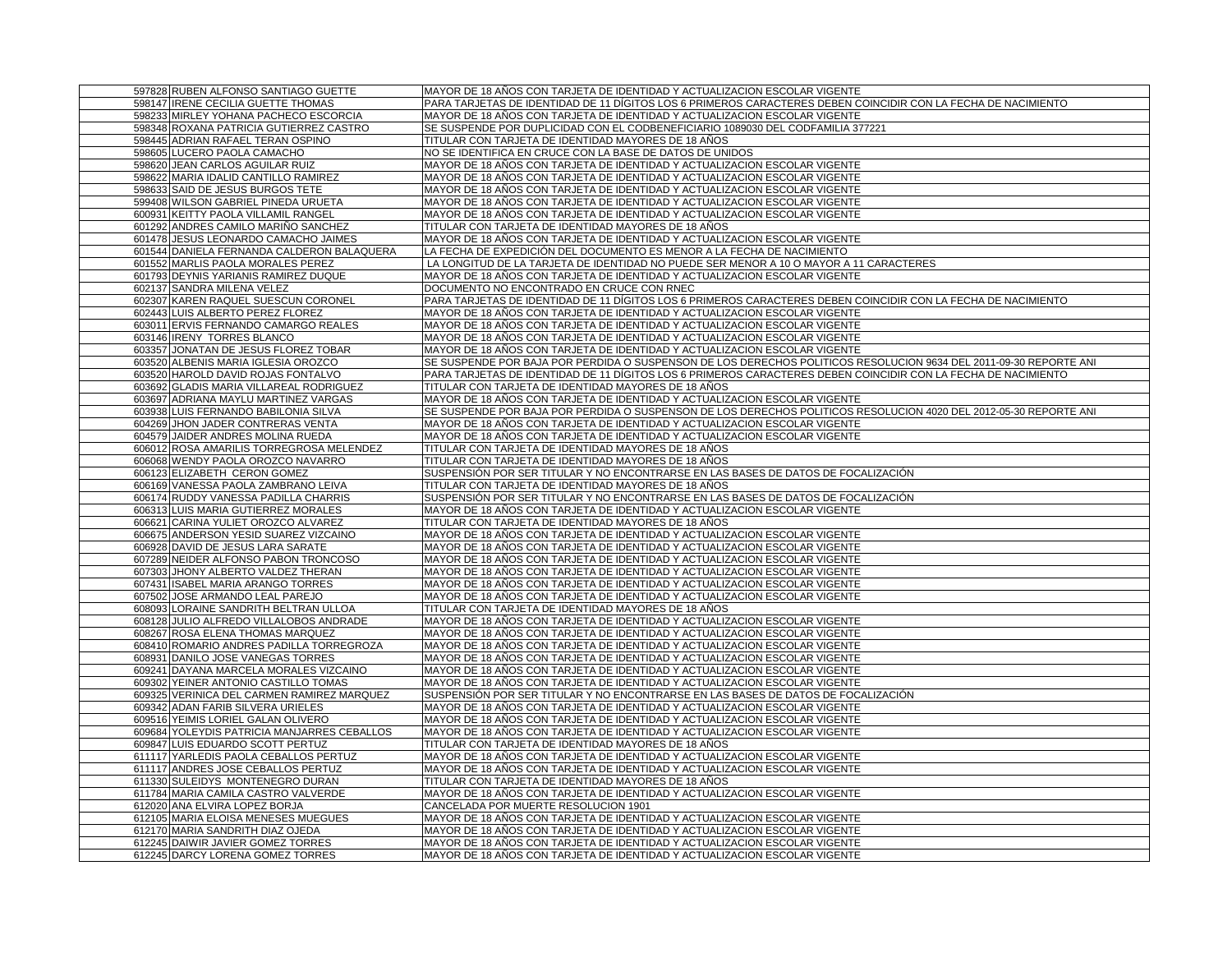| 597828 RUBEN ALFONSO SANTIAGO GUETTE                                        | MAYOR DE 18 AÑOS CON TARJETA DE IDENTIDAD Y ACTUALIZACION ESCOLAR VIGENTE                                                                              |
|-----------------------------------------------------------------------------|--------------------------------------------------------------------------------------------------------------------------------------------------------|
| 598147 IRENE CECILIA GUETTE THOMAS                                          | PARA TARJETAS DE IDENTIDAD DE 11 DÍGITOS LOS 6 PRIMEROS CARACTERES DEBEN COINCIDIR CON LA FECHA DE NACIMIENTO                                          |
| 598233 MIRLEY YOHANA PACHECO ESCORCIA                                       | MAYOR DE 18 AÑOS CON TARJETA DE IDENTIDAD Y ACTUALIZACION ESCOLAR VIGENTE                                                                              |
| 598348 ROXANA PATRICIA GUTIERREZ CASTRO                                     | SE SUSPENDE POR DUPLICIDAD CON EL CODBENEFICIARIO 1089030 DEL CODFAMILIA 377221                                                                        |
| 598445 ADRIAN RAFAEL TERAN OSPINO                                           | TITULAR CON TARJETA DE IDENTIDAD MAYORES DE 18 AÑOS                                                                                                    |
| 598605 LUCERO PAOLA CAMACHO                                                 | NO SE IDENTIFICA EN CRUCE CON LA BASE DE DATOS DE UNIDOS                                                                                               |
| 598620 JEAN CARLOS AGUILAR RUIZ                                             | MAYOR DE 18 AÑOS CON TARJETA DE IDENTIDAD Y ACTUALIZACION ESCOLAR VIGENTE                                                                              |
| 598622 MARIA IDALID CANTILLO RAMIREZ                                        | MAYOR DE 18 AÑOS CON TARJETA DE IDENTIDAD Y ACTUALIZACION ESCOLAR VIGENTE                                                                              |
| 598633 SAID DE JESUS BURGOS TETE                                            | MAYOR DE 18 AÑOS CON TARJETA DE IDENTIDAD Y ACTUALIZACION ESCOLAR VIGENTE                                                                              |
| 599408 WILSON GABRIEL PINEDA URUETA                                         | MAYOR DE 18 AÑOS CON TARJETA DE IDENTIDAD Y ACTUALIZACION ESCOLAR VIGENTE                                                                              |
| 600931 KEITTY PAOLA VILLAMIL RANGEL                                         | MAYOR DE 18 AÑOS CON TARJETA DE IDENTIDAD Y ACTUALIZACION ESCOLAR VIGENTE                                                                              |
| 601292 ANDRES CAMILO MARIÑO SANCHEZ                                         | TITULAR CON TARJETA DE IDENTIDAD MAYORES DE 18 AÑOS                                                                                                    |
| 601478 JESUS LEONARDO CAMACHO JAIMES                                        | MAYOR DE 18 AÑOS CON TARJETA DE IDENTIDAD Y ACTUALIZACION ESCOLAR VIGENTE                                                                              |
| 601544 DANIELA FERNANDA CALDERON BALAQUERA                                  | LA FECHA DE EXPEDICIÓN DEL DOCUMENTO ES MENOR A LA FECHA DE NACIMIENTO                                                                                 |
| 601552 MARLIS PAOLA MORALES PEREZ                                           | LA LONGITUD DE LA TARJETA DE IDENTIDAD NO PUEDE SER MENOR A 10 O MAYOR A 11 CARACTERES                                                                 |
| 601793 DEYNIS YARIANIS RAMIREZ DUQUE                                        | MAYOR DE 18 AÑOS CON TARJETA DE IDENTIDAD Y ACTUALIZACION ESCOLAR VIGENTE                                                                              |
| 602137 SANDRA MILENA VELEZ                                                  | DOCUMENTO NO ENCONTRADO EN CRUCE CON RNEC                                                                                                              |
| 602307 KAREN RAQUEL SUESCUN CORONEL                                         | PARA TARJETAS DE IDENTIDAD DE 11 DÍGITOS LOS 6 PRIMEROS CARACTERES DEBEN COINCIDIR CON LA FECHA DE NACIMIENTO                                          |
| 602443 LUIS ALBERTO PEREZ FLOREZ                                            | MAYOR DE 18 AÑOS CON TARJETA DE IDENTIDAD Y ACTUALIZACION ESCOLAR VIGENTE                                                                              |
| 603011 ERVIS FERNANDO CAMARGO REALES                                        | MAYOR DE 18 AÑOS CON TARJETA DE IDENTIDAD Y ACTUALIZACION ESCOLAR VIGENTE                                                                              |
| 603146 IRENY TORRES BLANCO                                                  | MAYOR DE 18 AÑOS CON TARJETA DE IDENTIDAD Y ACTUALIZACION ESCOLAR VIGENTE                                                                              |
| 603357 JONATAN DE JESUS FLOREZ TOBAR                                        | MAYOR DE 18 AÑOS CON TARJETA DE IDENTIDAD Y ACTUALIZACION ESCOLAR VIGENTE                                                                              |
| 603520 ALBENIS MARIA IGLESIA OROZCO                                         | SE SUSPENDE POR BAJA POR PERDIDA O SUSPENSON DE LOS DERECHOS POLITICOS RESOLUCION 9634 DEL 2011-09-30 REPORTE ANI                                      |
| 603520 HAROLD DAVID ROJAS FONTALVO                                          | PARA TARJETAS DE IDENTIDAD DE 11 DÍGITOS LOS 6 PRIMEROS CARACTERES DEBEN COINCIDIR CON LA FECHA DE NACIMIENTO                                          |
| 603692 GLADIS MARIA VILLAREAL RODRIGUEZ                                     | TITULAR CON TARJETA DE IDENTIDAD MAYORES DE 18 AÑOS                                                                                                    |
| 603697 ADRIANA MAYLU MARTINEZ VARGAS                                        | MAYOR DE 18 AÑOS CON TARJETA DE IDENTIDAD Y ACTUALIZACION ESCOLAR VIGENTE                                                                              |
| 603938 LUIS FERNANDO BABILONIA SILVA                                        | SE SUSPENDE POR BAJA POR PERDIDA O SUSPENSON DE LOS DERECHOS POLITICOS RESOLUCION 4020 DEL 2012-05-30 REPORTE ANI                                      |
| 604269 JHON JADER CONTRERAS VENTA                                           |                                                                                                                                                        |
| 604579 JAIDER ANDRES MOLINA RUEDA                                           | MAYOR DE 18 AÑOS CON TARJETA DE IDENTIDAD Y ACTUALIZACION ESCOLAR VIGENTE<br>MAYOR DE 18 AÑOS CON TARJETA DE IDENTIDAD Y ACTUALIZACION ESCOLAR VIGENTE |
| 606012 ROSA AMARILIS TORREGROSA MELENDEZ                                    | TITULAR CON TARJETA DE IDENTIDAD MAYORES DE 18 AÑOS                                                                                                    |
| 606068 WENDY PAOLA OROZCO NAVARRO                                           | TITULAR CON TARJETA DE IDENTIDAD MAYORES DE 18 AÑOS                                                                                                    |
| 606123 ELIZABETH CERON GOMEZ                                                | SUSPENSIÓN POR SER TITULAR Y NO ENCONTRARSE EN LAS BASES DE DATOS DE FOCALIZACIÓN                                                                      |
|                                                                             | TITULAR CON TARJETA DE IDENTIDAD MAYORES DE 18 AÑOS                                                                                                    |
| 606169 VANESSA PAOLA ZAMBRANO LEIVA<br>606174 RUDDY VANESSA PADILLA CHARRIS | SUSPENSIÓN POR SER TITULAR Y NO ENCONTRARSE EN LAS BASES DE DATOS DE FOCALIZACIÓN                                                                      |
| 606313 LUIS MARIA GUTIERREZ MORALES                                         | MAYOR DE 18 AÑOS CON TARJETA DE IDENTIDAD Y ACTUALIZACION ESCOLAR VIGENTE                                                                              |
| 606621 CARINA YULIET OROZCO ALVAREZ                                         | TITULAR CON TARJETA DE IDENTIDAD MAYORES DE 18 AÑOS                                                                                                    |
| 606675 ANDERSON YESID SUAREZ VIZCAINO                                       | MAYOR DE 18 AÑOS CON TARJETA DE IDENTIDAD Y ACTUALIZACION ESCOLAR VIGENTE                                                                              |
| 606928 DAVID DE JESUS LARA SARATE                                           | MAYOR DE 18 AÑOS CON TARJETA DE IDENTIDAD Y ACTUALIZACION ESCOLAR VIGENTE                                                                              |
| 607289 NEIDER ALFONSO PABON TRONCOSO                                        | MAYOR DE 18 AÑOS CON TARJETA DE IDENTIDAD Y ACTUALIZACION ESCOLAR VIGENTE                                                                              |
| 607303 JHONY ALBERTO VALDEZ THERAN                                          | MAYOR DE 18 AÑOS CON TARJETA DE IDENTIDAD Y ACTUALIZACION ESCOLAR VIGENTE                                                                              |
| 607431 ISABEL MARIA ARANGO TORRES                                           | MAYOR DE 18 AÑOS CON TARJETA DE IDENTIDAD Y ACTUALIZACION ESCOLAR VIGENTE                                                                              |
| 607502 JOSE ARMANDO LEAL PAREJO                                             | MAYOR DE 18 AÑOS CON TARJETA DE IDENTIDAD Y ACTUALIZACION ESCOLAR VIGENTE                                                                              |
| 608093 LORAINE SANDRITH BELTRAN ULLOA                                       | TITULAR CON TARJETA DE IDENTIDAD MAYORES DE 18 AÑOS                                                                                                    |
| 608128 JULIO ALFREDO VILLALOBOS ANDRADE                                     | MAYOR DE 18 AÑOS CON TARJETA DE IDENTIDAD Y ACTUALIZACION ESCOLAR VIGENTE                                                                              |
| 608267 ROSA ELENA THOMAS MARQUEZ                                            | MAYOR DE 18 AÑOS CON TARJETA DE IDENTIDAD Y ACTUALIZACION ESCOLAR VIGENTE                                                                              |
| 608410 ROMARIO ANDRES PADILLA TORREGROZA                                    | MAYOR DE 18 AÑOS CON TARJETA DE IDENTIDAD Y ACTUALIZACION ESCOLAR VIGENTE                                                                              |
| 608931 DANILO JOSE VANEGAS TORRES                                           | MAYOR DE 18 AÑOS CON TARJETA DE IDENTIDAD Y ACTUALIZACION ESCOLAR VIGENTE                                                                              |
| 609241 DAYANA MARCELA MORALES VIZCAINO                                      | MAYOR DE 18 AÑOS CON TARJETA DE IDENTIDAD Y ACTUALIZACION ESCOLAR VIGENTE                                                                              |
| 609302 YEINER ANTONIO CASTILLO TOMAS                                        | MAYOR DE 18 AÑOS CON TARJETA DE IDENTIDAD Y ACTUALIZACION ESCOLAR VIGENTE                                                                              |
| 609325 VERINICA DEL CARMEN RAMIREZ MARQUEZ                                  | SUSPENSIÓN POR SER TITULAR Y NO ENCONTRARSE EN LAS BASES DE DATOS DE FOCALIZACIÓN                                                                      |
| 609342 ADAN FARIB SILVERA URIELES                                           | MAYOR DE 18 AÑOS CON TARJETA DE IDENTIDAD Y ACTUALIZACION ESCOLAR VIGENTE                                                                              |
| 609516 YEIMIS LORIEL GALAN OLIVERO                                          | MAYOR DE 18 AÑOS CON TARJETA DE IDENTIDAD Y ACTUALIZACION ESCOLAR VIGENTE                                                                              |
| 609684 YOLEYDIS PATRICIA MANJARRES CEBALLOS                                 | MAYOR DE 18 AÑOS CON TARJETA DE IDENTIDAD Y ACTUALIZACION ESCOLAR VIGENTE                                                                              |
| 609847 LUIS EDUARDO SCOTT PERTUZ                                            | TITULAR CON TARJETA DE IDENTIDAD MAYORES DE 18 AÑOS                                                                                                    |
| 611117 YARLEDIS PAOLA CEBALLOS PERTUZ                                       | MAYOR DE 18 AÑOS CON TARJETA DE IDENTIDAD Y ACTUALIZACION ESCOLAR VIGENTE                                                                              |
| 611117 ANDRES JOSE CEBALLOS PERTUZ                                          | MAYOR DE 18 AÑOS CON TARJETA DE IDENTIDAD Y ACTUALIZACION ESCOLAR VIGENTE                                                                              |
| 611330 SULEIDYS MONTENEGRO DURAN                                            | TITULAR CON TARJETA DE IDENTIDAD MAYORES DE 18 AÑOS                                                                                                    |
| 611784 MARIA CAMILA CASTRO VALVERDE                                         | MAYOR DE 18 AÑOS CON TARJETA DE IDENTIDAD Y ACTUALIZACION ESCOLAR VIGENTE                                                                              |
| 612020 ANA ELVIRA LOPEZ BORJA                                               | CANCELADA POR MUERTE RESOLUCION 1901                                                                                                                   |
| 612105 MARIA ELOISA MENESES MUEGUES                                         | MAYOR DE 18 AÑOS CON TARJETA DE IDENTIDAD Y ACTUALIZACION ESCOLAR VIGENTE                                                                              |
| 612170 MARIA SANDRITH DIAZ OJEDA                                            | MAYOR DE 18 AÑOS CON TARJETA DE IDENTIDAD Y ACTUALIZACION ESCOLAR VIGENTE                                                                              |
| 612245 DAIWIR JAVIER GOMEZ TORRES                                           | MAYOR DE 18 AÑOS CON TARJETA DE IDENTIDAD Y ACTUALIZACION ESCOLAR VIGENTE                                                                              |
| 612245 DARCY LORENA GOMEZ TORRES                                            | MAYOR DE 18 AÑOS CON TARJETA DE IDENTIDAD Y ACTUALIZACION ESCOLAR VIGENTE                                                                              |
|                                                                             |                                                                                                                                                        |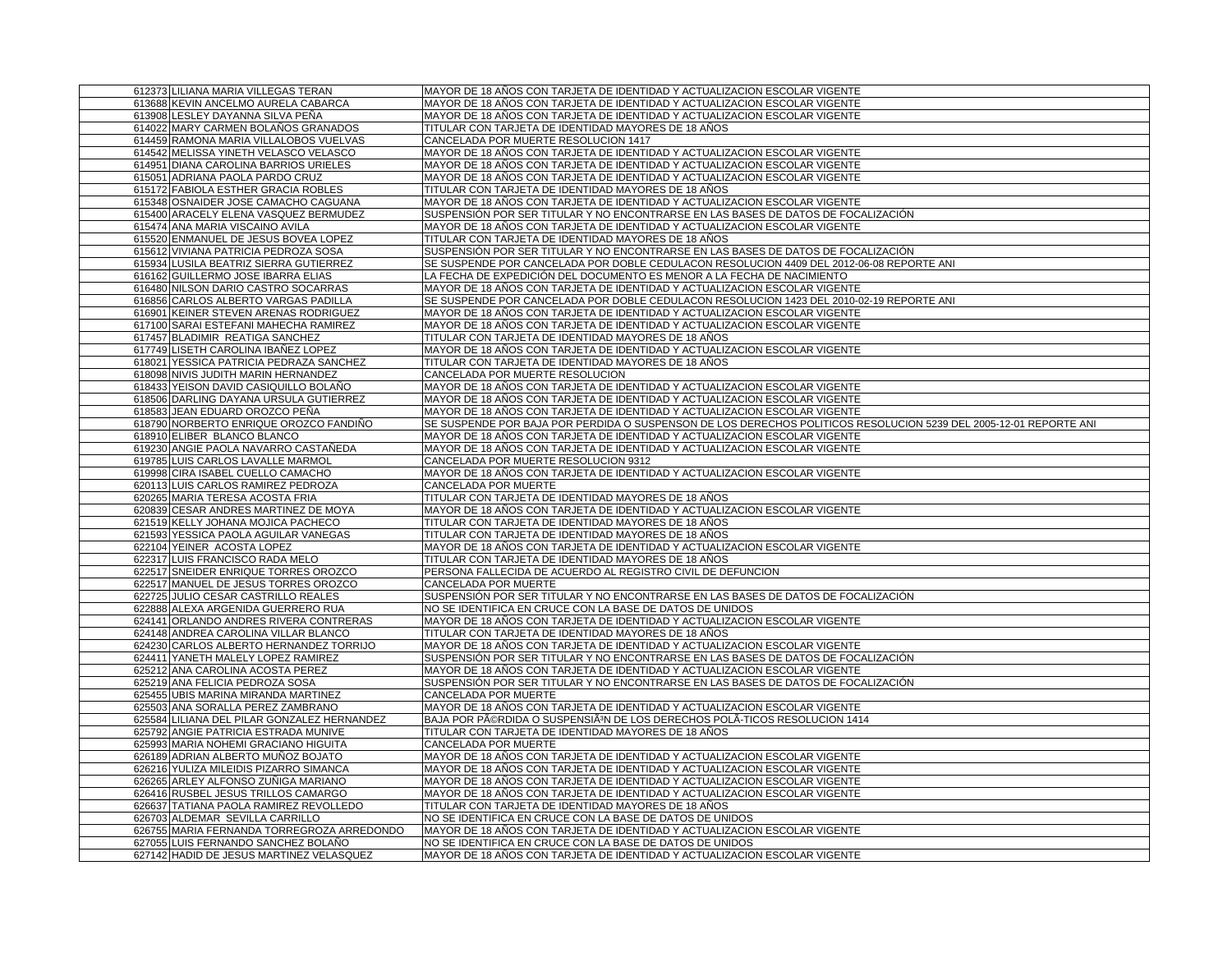| 612373 LILIANA MARIA VILLEGAS TERAN         | MAYOR DE 18 AÑOS CON TARJETA DE IDENTIDAD Y ACTUALIZACION ESCOLAR VIGENTE                                         |
|---------------------------------------------|-------------------------------------------------------------------------------------------------------------------|
| 613688 KEVIN ANCELMO AURELA CABARCA         | MAYOR DE 18 AÑOS CON TARJETA DE IDENTIDAD Y ACTUALIZACION ESCOLAR VIGENTE                                         |
| 613908 LESLEY DAYANNA SILVA PENA            | MAYOR DE 18 AÑOS CON TARJETA DE IDENTIDAD Y ACTUALIZACION ESCOLAR VIGENTE                                         |
| 614022 MARY CARMEN BOLAÑOS GRANADOS         | TITULAR CON TARJETA DE IDENTIDAD MAYORES DE 18 AÑOS                                                               |
| 614459 RAMONA MARIA VILLALOBOS VUELVAS      | CANCELADA POR MUERTE RESOLUCION 1417                                                                              |
| 614542 MELISSA YINETH VELASCO VELASCO       | MAYOR DE 18 AÑOS CON TARJETA DE IDENTIDAD Y ACTUALIZACION ESCOLAR VIGENTE                                         |
| 614951 DIANA CAROLINA BARRIOS URIELES       | MAYOR DE 18 AÑOS CON TARJETA DE IDENTIDAD Y ACTUALIZACION ESCOLAR VIGENTE                                         |
| 615051 ADRIANA PAOLA PARDO CRUZ             | MAYOR DE 18 AÑOS CON TARJETA DE IDENTIDAD Y ACTUALIZACION ESCOLAR VIGENTE                                         |
| 615172 FABIOLA ESTHER GRACIA ROBLES         | TITULAR CON TARJETA DE IDENTIDAD MAYORES DE 18 AÑOS                                                               |
| 615348 OSNAIDER JOSE CAMACHO CAGUANA        | MAYOR DE 18 AÑOS CON TARJETA DE IDENTIDAD Y ACTUALIZACION ESCOLAR VIGENTE                                         |
| 615400 ARACELY ELENA VASQUEZ BERMUDEZ       | SUSPENSIÓN POR SER TITULAR Y NO ENCONTRARSE EN LAS BASES DE DATOS DE FOCALIZACIÓN                                 |
| 615474 ANA MARIA VISCAINO AVILA             | MAYOR DE 18 AÑOS CON TARJETA DE IDENTIDAD Y ACTUALIZACION ESCOLAR VIGENTE                                         |
| 615520 ENMANUEL DE JESUS BOVEA LOPEZ        | TITULAR CON TARJETA DE IDENTIDAD MAYORES DE 18 AÑOS                                                               |
| 615612 VIVIANA PATRICIA PEDROZA SOSA        | SUSPENSIÓN POR SER TITULAR Y NO ENCONTRARSE EN LAS BASES DE DATOS DE FOCALIZACIÓN                                 |
| 615934 LUSILA BEATRIZ SIERRA GUTIERREZ      | SE SUSPENDE POR CANCELADA POR DOBLE CEDULACON RESOLUCION 4409 DEL 2012-06-08 REPORTE ANI                          |
| 616162 GUILLERMO JOSE IBARRA ELIAS          | LA FECHA DE EXPEDICIÓN DEL DOCUMENTO ES MENOR A LA FECHA DE NACIMIENTO                                            |
| 616480 NILSON DARIO CASTRO SOCARRAS         | MAYOR DE 18 AÑOS CON TARJETA DE IDENTIDAD Y ACTUALIZACION ESCOLAR VIGENTE                                         |
| 616856 CARLOS ALBERTO VARGAS PADILLA        | SE SUSPENDE POR CANCELADA POR DOBLE CEDULACON RESOLUCION 1423 DEL 2010-02-19 REPORTE ANI                          |
| 616901 KEINER STEVEN ARENAS RODRIGUEZ       | MAYOR DE 18 AÑOS CON TARJETA DE IDENTIDAD Y ACTUALIZACION ESCOLAR VIGENTE                                         |
| 617100 SARAI ESTEFANI MAHECHA RAMIREZ       | MAYOR DE 18 AÑOS CON TARJETA DE IDENTIDAD Y ACTUALIZACION ESCOLAR VIGENTE                                         |
| 617457 BLADIMIR REATIGA SANCHEZ             | TITULAR CON TARJETA DE IDENTIDAD MAYORES DE 18 AÑOS                                                               |
| 617749 LISETH CAROLINA IBAÑEZ LOPEZ         | MAYOR DE 18 AÑOS CON TARJETA DE IDENTIDAD Y ACTUALIZACION ESCOLAR VIGENTE                                         |
| 618021 YESSICA PATRICIA PEDRAZA SANCHEZ     | TITULAR CON TARJETA DE IDENTIDAD MAYORES DE 18 AÑOS                                                               |
| 618098 NIVIS JUDITH MARIN HERNANDEZ         | CANCELADA POR MUERTE RESOLUCION                                                                                   |
| 618433 YEISON DAVID CASIQUILLO BOLAÑO       | MAYOR DE 18 AÑOS CON TARJETA DE IDENTIDAD Y ACTUALIZACION ESCOLAR VIGENTE                                         |
| 618506 DARLING DAYANA URSULA GUTIERREZ      | MAYOR DE 18 AÑOS CON TARJETA DE IDENTIDAD Y ACTUALIZACION ESCOLAR VIGENTE                                         |
| 618583 JEAN EDUARD OROZCO PEÑA              | MAYOR DE 18 AÑOS CON TARJETA DE IDENTIDAD Y ACTUALIZACION ESCOLAR VIGENTE                                         |
| 618790 NORBERTO ENRIQUE OROZCO FANDIÑO      | SE SUSPENDE POR BAJA POR PERDIDA O SUSPENSON DE LOS DERECHOS POLITICOS RESOLUCION 5239 DEL 2005-12-01 REPORTE ANI |
| 618910 ELIBER BLANCO BLANCO                 | MAYOR DE 18 AÑOS CON TARJETA DE IDENTIDAD Y ACTUALIZACION ESCOLAR VIGENTE                                         |
| 619230 ANGIE PAOLA NAVARRO CASTAÑEDA        | MAYOR DE 18 AÑOS CON TARJETA DE IDENTIDAD Y ACTUALIZACION ESCOLAR VIGENTE                                         |
| 619785 LUIS CARLOS LAVALLE MARMOL           | CANCELADA POR MUERTE RESOLUCION 9312                                                                              |
| 619998 CIRA ISABEL CUELLO CAMACHO           | MAYOR DE 18 AÑOS CON TARJETA DE IDENTIDAD Y ACTUALIZACION ESCOLAR VIGENTE                                         |
| 620113 LUIS CARLOS RAMIREZ PEDROZA          | CANCELADA POR MUERTE                                                                                              |
| 620265 MARIA TERESA ACOSTA FRIA             | TITULAR CON TARJETA DE IDENTIDAD MAYORES DE 18 AÑOS                                                               |
| 620839 CESAR ANDRES MARTINEZ DE MOYA        | MAYOR DE 18 AÑOS CON TARJETA DE IDENTIDAD Y ACTUALIZACION ESCOLAR VIGENTE                                         |
| 621519 KELLY JOHANA MOJICA PACHECO          | TITULAR CON TARJETA DE IDENTIDAD MAYORES DE 18 AÑOS                                                               |
| 621593 YESSICA PAOLA AGUILAR VANEGAS        | TITULAR CON TARJETA DE IDENTIDAD MAYORES DE 18 AÑOS                                                               |
| 622104 YEINER ACOSTA LOPEZ                  | MAYOR DE 18 AÑOS CON TARJETA DE IDENTIDAD Y ACTUALIZACION ESCOLAR VIGENTE                                         |
| 622317 LUIS FRANCISCO RADA MELO             | TITULAR CON TARJETA DE IDENTIDAD MAYORES DE 18 AÑOS                                                               |
| 622517 SNEIDER ENRIQUE TORRES OROZCO        | PERSONA FALLECIDA DE ACUERDO AL REGISTRO CIVIL DE DEFUNCION                                                       |
| 622517 MANUEL DE JESUS TORRES OROZCO        | CANCELADA POR MUERTE                                                                                              |
| 622725 JULIO CESAR CASTRILLO REALES         | SUSPENSIÓN POR SER TITULAR Y NO ENCONTRARSE EN LAS BASES DE DATOS DE FOCALIZACIÓN                                 |
| 622888 ALEXA ARGENIDA GUERRERO RUA          | NO SE IDENTIFICA EN CRUCE CON LA BASE DE DATOS DE UNIDOS                                                          |
| 624141 ORLANDO ANDRES RIVERA CONTRERAS      | MAYOR DE 18 AÑOS CON TARJETA DE IDENTIDAD Y ACTUALIZACION ESCOLAR VIGENTE                                         |
| 624148 ANDREA CAROLINA VILLAR BLANCO        | TITULAR CON TARJETA DE IDENTIDAD MAYORES DE 18 AÑOS                                                               |
| 624230 CARLOS ALBERTO HERNANDEZ TORRIJO     | MAYOR DE 18 AÑOS CON TARJETA DE IDENTIDAD Y ACTUALIZACION ESCOLAR VIGENTE                                         |
| 624411 YANETH MALELY LOPEZ RAMIREZ          | SUSPENSIÓN POR SER TITULAR Y NO ENCONTRARSE EN LAS BASES DE DATOS DE FOCALIZACIÓN                                 |
| 625212 ANA CAROLINA ACOSTA PEREZ            | MAYOR DE 18 AÑOS CON TARJETA DE IDENTIDAD Y ACTUALIZACION ESCOLAR VIGENTE                                         |
| 625219 ANA FELICIA PEDROZA SOSA             | SUSPENSIÓN POR SER TITULAR Y NO ENCONTRARSE EN LAS BASES DE DATOS DE FOCALIZACIÓN                                 |
| 625455 UBIS MARINA MIRANDA MARTINEZ         | CANCELADA POR MUERTE                                                                                              |
| 625503 ANA SORALLA PEREZ ZAMBRANO           | MAYOR DE 18 AÑOS CON TARJETA DE IDENTIDAD Y ACTUALIZACION ESCOLAR VIGENTE                                         |
| 625584 LILIANA DEL PILAR GONZALEZ HERNANDEZ | BAJA POR PéRDIDA O SUSPENSIêN DE LOS DERECHOS POLA-TICOS RESOLUCION 1414                                          |
| 625792 ANGIE PATRICIA ESTRADA MUNIVE        | TITULAR CON TARJETA DE IDENTIDAD MAYORES DE 18 AÑOS                                                               |
| 625993 MARIA NOHEMI GRACIANO HIGUITA        | CANCELADA POR MUERTE                                                                                              |
| 626189 ADRIAN ALBERTO MUÑOZ BOJATO          | MAYOR DE 18 AÑOS CON TARJETA DE IDENTIDAD Y ACTUALIZACION ESCOLAR VIGENTE                                         |
| 626216 YULIZA MILEIDIS PIZARRO SIMANCA      | MAYOR DE 18 AÑOS CON TARJETA DE IDENTIDAD Y ACTUALIZACION ESCOLAR VIGENTE                                         |
| 626265 ARLEY ALFONSO ZUÑIGA MARIANO         | MAYOR DE 18 ANOS CON TARJETA DE IDENTIDAD Y ACTUALIZACION ESCOLAR VIGENTE                                         |
| 626416 RUSBEL JESUS TRILLOS CAMARGO         | MAYOR DE 18 AÑOS CON TARJETA DE IDENTIDAD Y ACTUALIZACION ESCOLAR VIGENTE                                         |
| 626637 TATIANA PAOLA RAMIREZ REVOLLEDO      | TITULAR CON TARJETA DE IDENTIDAD MAYORES DE 18 AÑOS                                                               |
| 626703 ALDEMAR SEVILLA CARRILLO             | NO SE IDENTIFICA EN CRUCE CON LA BASE DE DATOS DE UNIDOS                                                          |
| 626755 MARIA FERNANDA TORREGROZA ARREDONDO  | MAYOR DE 18 ANOS CON TARJETA DE IDENTIDAD Y ACTUALIZACION ESCOLAR VIGENTE                                         |
| 627055 LUIS FERNANDO SANCHEZ BOLAÑO         | NO SE IDENTIFICA EN CRUCE CON LA BASE DE DATOS DE UNIDOS                                                          |
| 627142 HADID DE JESUS MARTINEZ VELASQUEZ    | MAYOR DE 18 AÑOS CON TARJETA DE IDENTIDAD Y ACTUALIZACION ESCOLAR VIGENTE                                         |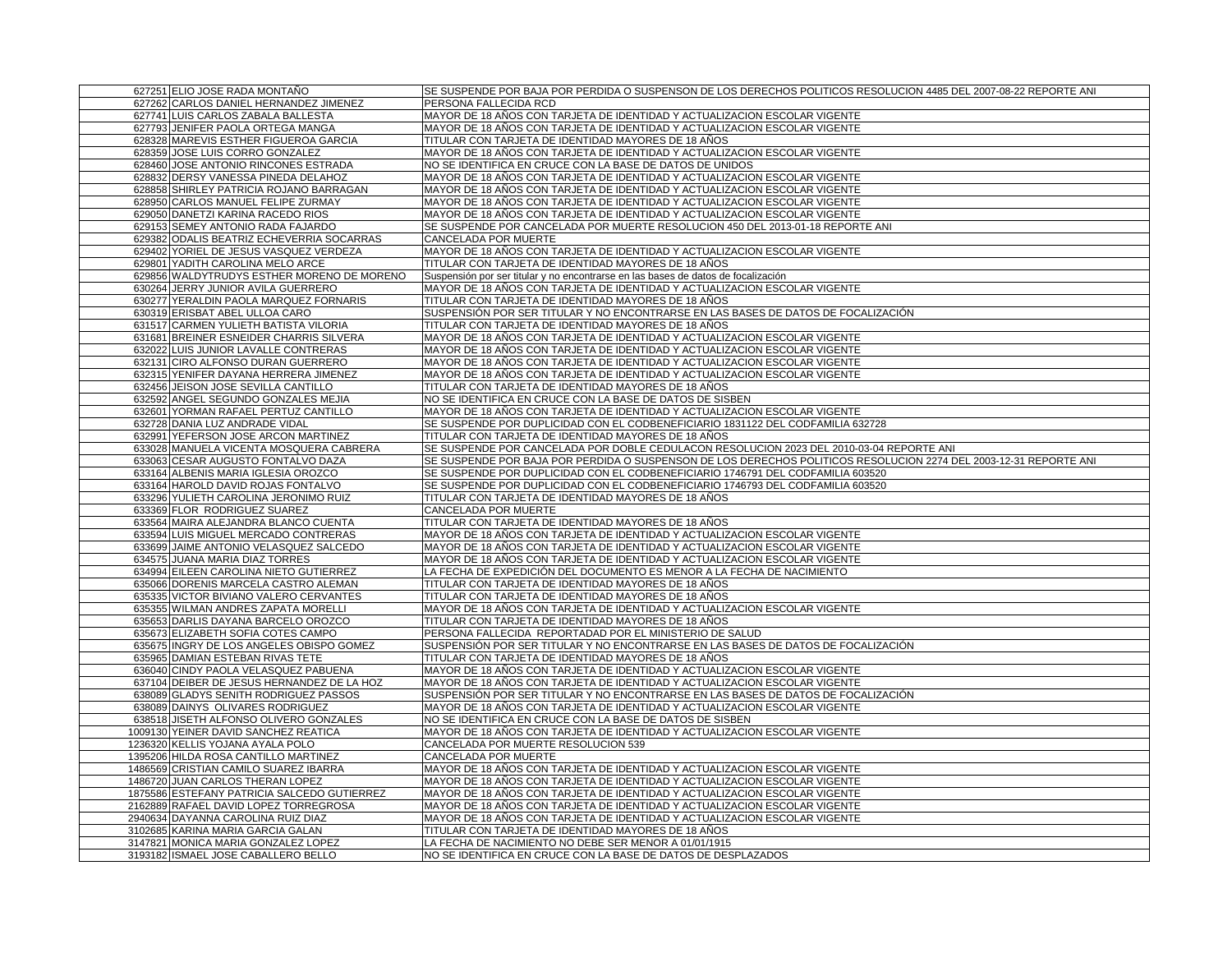| 627251 ELIO JOSE RADA MONTAÑO                                                  | SE SUSPENDE POR BAJA POR PERDIDA O SUSPENSON DE LOS DERECHOS POLITICOS RESOLUCION 4485 DEL 2007-08-22 REPORTE ANI                                              |
|--------------------------------------------------------------------------------|----------------------------------------------------------------------------------------------------------------------------------------------------------------|
| 627262 CARLOS DANIEL HERNANDEZ JIMENEZ                                         | PERSONA FALLECIDA RCD                                                                                                                                          |
| 627741 LUIS CARLOS ZABALA BALLESTA                                             | MAYOR DE 18 AÑOS CON TARJETA DE IDENTIDAD Y ACTUALIZACION ESCOLAR VIGENTE                                                                                      |
| 627793 JENIFER PAOLA ORTEGA MANGA                                              | MAYOR DE 18 AÑOS CON TARJETA DE IDENTIDAD Y ACTUALIZACION ESCOLAR VIGENTE                                                                                      |
| 628328 MAREVIS ESTHER FIGUEROA GARCIA                                          | TITULAR CON TARJETA DE IDENTIDAD MAYORES DE 18 AÑOS                                                                                                            |
| 628359 JOSE LUIS CORRO GONZALEZ                                                | MAYOR DE 18 AÑOS CON TARJETA DE IDENTIDAD Y ACTUALIZACION ESCOLAR VIGENTE                                                                                      |
| 628460 JOSE ANTONIO RINCONES ESTRADA                                           | NO SE IDENTIFICA EN CRUCE CON LA BASE DE DATOS DE UNIDOS                                                                                                       |
| 628832 DERSY VANESSA PINEDA DELAHOZ                                            | MAYOR DE 18 AÑOS CON TARJETA DE IDENTIDAD Y ACTUALIZACION ESCOLAR VIGENTE                                                                                      |
| 628858 SHIRLEY PATRICIA ROJANO BARRAGAN                                        | MAYOR DE 18 AÑOS CON TARJETA DE IDENTIDAD Y ACTUALIZACION ESCOLAR VIGENTE                                                                                      |
| 628950 CARLOS MANUEL FELIPE ZURMAY                                             | MAYOR DE 18 AÑOS CON TARJETA DE IDENTIDAD Y ACTUALIZACION ESCOLAR VIGENTE                                                                                      |
| 629050 DANETZI KARINA RACEDO RIOS                                              | MAYOR DE 18 AÑOS CON TARJETA DE IDENTIDAD Y ACTUALIZACION ESCOLAR VIGENTE                                                                                      |
| 629153 SEMEY ANTONIO RADA FAJARDO                                              | SE SUSPENDE POR CANCELADA POR MUERTE RESOLUCION 450 DEL 2013-01-18 REPORTE ANI                                                                                 |
| 629382 ODALIS BEATRIZ ECHEVERRIA SOCARRAS                                      | CANCELADA POR MUERTE                                                                                                                                           |
| 629402 YORIEL DE JESUS VASQUEZ VERDEZA                                         | MAYOR DE 18 AÑOS CON TARJETA DE IDENTIDAD Y ACTUALIZACION ESCOLAR VIGENTE                                                                                      |
| 629801 YADITH CAROLINA MELO ARCE                                               | TITULAR CON TARJETA DE IDENTIDAD MAYORES DE 18 AÑOS                                                                                                            |
| 629856 WALDYTRUDYS ESTHER MORENO DE MORENO                                     | Suspensión por ser titular y no encontrarse en las bases de datos de focalización                                                                              |
| 630264 JERRY JUNIOR AVILA GUERRERO                                             | MAYOR DE 18 AÑOS CON TARJETA DE IDENTIDAD Y ACTUALIZACION ESCOLAR VIGENTE                                                                                      |
| 630277 YERALDIN PAOLA MARQUEZ FORNARIS                                         | TITULAR CON TARJETA DE IDENTIDAD MAYORES DE 18 AÑOS                                                                                                            |
| 630319 ERISBAT ABEL ULLOA CARO                                                 | SUSPENSIÓN POR SER TITULAR Y NO ENCONTRARSE EN LAS BASES DE DATOS DE FOCALIZACIÓN                                                                              |
| 631517 CARMEN YULIETH BATISTA VILORIA                                          | TITULAR CON TARJETA DE IDENTIDAD MAYORES DE 18 AÑOS                                                                                                            |
| 631681 BREINER ESNEIDER CHARRIS SILVERA                                        | MAYOR DE 18 AÑOS CON TARJETA DE IDENTIDAD Y ACTUALIZACION ESCOLAR VIGENTE                                                                                      |
| 632022 LUIS JUNIOR LAVALLE CONTRERAS                                           | MAYOR DE 18 AÑOS CON TARJETA DE IDENTIDAD Y ACTUALIZACION ESCOLAR VIGENTE                                                                                      |
| 632131 CIRO ALFONSO DURAN GUERRERO                                             | MAYOR DE 18 AÑOS CON TARJETA DE IDENTIDAD Y ACTUALIZACION ESCOLAR VIGENTE                                                                                      |
| 632315 YENIFER DAYANA HERRERA JIMENEZ                                          | MAYOR DE 18 AÑOS CON TARJETA DE IDENTIDAD Y ACTUALIZACION ESCOLAR VIGENTE                                                                                      |
| 632456 JEISON JOSE SEVILLA CANTILLO                                            | TITULAR CON TARJETA DE IDENTIDAD MAYORES DE 18 AÑOS                                                                                                            |
| 632592 ANGEL SEGUNDO GONZALES MEJIA                                            | NO SE IDENTIFICA EN CRUCE CON LA BASE DE DATOS DE SISBEN                                                                                                       |
| 632601 YORMAN RAFAEL PERTUZ CANTILLO                                           | MAYOR DE 18 AÑOS CON TARJETA DE IDENTIDAD Y ACTUALIZACION ESCOLAR VIGENTE                                                                                      |
| 632728 DANIA LUZ ANDRADE VIDAL                                                 | SE SUSPENDE POR DUPLICIDAD CON EL CODBENEFICIARIO 1831122 DEL CODFAMILIA 632728                                                                                |
| 632991 YEFERSON JOSE ARCON MARTINEZ                                            | TITULAR CON TARJETA DE IDENTIDAD MAYORES DE 18 ANOS                                                                                                            |
| 633028 MANUELA VICENTA MOSQUERA CABRERA                                        | SE SUSPENDE POR CANCELADA POR DOBLE CEDULACON RESOLUCION 2023 DEL 2010-03-04 REPORTE ANI                                                                       |
| 633063 CESAR AUGUSTO FONTALVO DAZA                                             | SE SUSPENDE POR BAJA POR PERDIDA O SUSPENSON DE LOS DERECHOS POLITICOS RESOLUCION 2274 DEL 2003-12-31 REPORTE ANI                                              |
|                                                                                | SE SUSPENDE POR DUPLICIDAD CON EL CODBENEFICIARIO 1746791 DEL CODFAMILIA 603520                                                                                |
| 633164 ALBENIS MARIA IGLESIA OROZCO                                            |                                                                                                                                                                |
| 633164 HAROLD DAVID ROJAS FONTALVO<br>633296 YULIETH CAROLINA JERONIMO RUIZ    | SE SUSPENDE POR DUPLICIDAD CON EL CODBENEFICIARIO 1746793 DEL CODFAMILIA 603520                                                                                |
| 633369 FLOR RODRIGUEZ SUAREZ                                                   | TITULAR CON TARJETA DE IDENTIDAD MAYORES DE 18 AÑOS<br><b>CANCELADA POR MUERTE</b>                                                                             |
| 633564 MAIRA ALEJANDRA BLANCO CUENTA                                           | TITULAR CON TARJETA DE IDENTIDAD MAYORES DE 18 AÑOS                                                                                                            |
| 633594 LUIS MIGUEL MERCADO CONTRERAS                                           | MAYOR DE 18 AÑOS CON TARJETA DE IDENTIDAD Y ACTUALIZACION ESCOLAR VIGENTE                                                                                      |
| 633699 JAIME ANTONIO VELASQUEZ SALCEDO                                         | MAYOR DE 18 AÑOS CON TARJETA DE IDENTIDAD Y ACTUALIZACION ESCOLAR VIGENTE                                                                                      |
| 634575 JUANA MARIA DIAZ TORRES                                                 | MAYOR DE 18 AÑOS CON TARJETA DE IDENTIDAD Y ACTUALIZACION ESCOLAR VIGENTE                                                                                      |
|                                                                                | LA FECHA DE EXPEDICIÓN DEL DOCUMENTO ES MENOR A LA FECHA DE NACIMIENTO                                                                                         |
| 634994 EILEEN CAROLINA NIETO GUTIERREZ                                         |                                                                                                                                                                |
| 635066 DORENIS MARCELA CASTRO ALEMAN<br>635335 VICTOR BIVIANO VALERO CERVANTES | TITULAR CON TARJETA DE IDENTIDAD MAYORES DE 18 AÑOS                                                                                                            |
|                                                                                | TITULAR CON TARJETA DE IDENTIDAD MAYORES DE 18 AÑOS                                                                                                            |
| 635355 WILMAN ANDRES ZAPATA MORELLI                                            | MAYOR DE 18 AÑOS CON TARJETA DE IDENTIDAD Y ACTUALIZACION ESCOLAR VIGENTE                                                                                      |
| 635653 DARLIS DAYANA BARCELO OROZCO                                            | TITULAR CON TARJETA DE IDENTIDAD MAYORES DE 18 AÑOS<br>PERSONA FALLECIDA REPORTADAD POR EL MINISTERIO DE SALUD                                                 |
| 635673 ELIZABETH SOFIA COTES CAMPO                                             |                                                                                                                                                                |
| 635675 INGRY DE LOS ANGELES OBISPO GOMEZ<br>635965 DAMIAN ESTEBAN RIVAS TETE   | SUSPENSIÓN POR SER TITULAR Y NO ENCONTRARSE EN LAS BASES DE DATOS DE FOCALIZACIÓN<br>TITULAR CON TARJETA DE IDENTIDAD MAYORES DE 18 AÑOS                       |
|                                                                                | MAYOR DE 18 AÑOS CON TARJETA DE IDENTIDAD Y ACTUALIZACION ESCOLAR VIGENTE                                                                                      |
| 636040 CINDY PAOLA VELASQUEZ PABUENA                                           |                                                                                                                                                                |
| 637104 DEIBER DE JESUS HERNANDEZ DE LA HOZ                                     | MAYOR DE 18 AÑOS CON TARJETA DE IDENTIDAD Y ACTUALIZACION ESCOLAR VIGENTE<br>SUSPENSIÓN POR SER TITULAR Y NO ENCONTRARSE EN LAS BASES DE DATOS DE FOCALIZACIÓN |
| 638089 GLADYS SENITH RODRIGUEZ PASSOS                                          | MAYOR DE 18 AÑOS CON TARJETA DE IDENTIDAD Y ACTUALIZACION ESCOLAR VIGENTE                                                                                      |
| 638089 DAINYS OLIVARES RODRIGUEZ                                               |                                                                                                                                                                |
| 638518 JISETH ALFONSO OLIVERO GONZALES<br>1009130 YEINER DAVID SANCHEZ REATICA | NO SE IDENTIFICA EN CRUCE CON LA BASE DE DATOS DE SISBEN<br>MAYOR DE 18 AÑOS CON TARJETA DE IDENTIDAD Y ACTUALIZACION ESCOLAR VIGENTE                          |
|                                                                                |                                                                                                                                                                |
| 1236320 KELLIS YOJANA AYALA POLO<br>1395206 HILDA ROSA CANTILLO MARTINEZ       | CANCELADA POR MUERTE RESOLUCION 539                                                                                                                            |
|                                                                                | CANCELADA POR MUERTE                                                                                                                                           |
| 1486569 CRISTIAN CAMILO SUAREZ IBARRA                                          | MAYOR DE 18 AÑOS CON TARJETA DE IDENTIDAD Y ACTUALIZACION ESCOLAR VIGENTE                                                                                      |
| 1486720 JUAN CARLOS THERAN LOPEZ                                               | MAYOR DE 18 AÑOS CON TARJETA DE IDENTIDAD Y ACTUALIZACION ESCOLAR VIGENTE                                                                                      |
| 1875586 ESTEFANY PATRICIA SALCEDO GUTIERREZ                                    | MAYOR DE 18 AÑOS CON TARJETA DE IDENTIDAD Y ACTUALIZACION ESCOLAR VIGENTE                                                                                      |
| 2162889 RAFAEL DAVID LOPEZ TORREGROSA                                          | MAYOR DE 18 AÑOS CON TARJETA DE IDENTIDAD Y ACTUALIZACION ESCOLAR VIGENTE                                                                                      |
| 2940634 DAYANNA CAROLINA RUIZ DIAZ                                             | MAYOR DE 18 AÑOS CON TARJETA DE IDENTIDAD Y ACTUALIZACION ESCOLAR VIGENTE                                                                                      |
| 3102685 KARINA MARIA GARCIA GALAN                                              | TITULAR CON TARJETA DE IDENTIDAD MAYORES DE 18 AÑOS                                                                                                            |
| 3147821 MONICA MARIA GONZALEZ LOPEZ                                            | LA FECHA DE NACIMIENTO NO DEBE SER MENOR A 01/01/1915                                                                                                          |
| 3193182 ISMAEL JOSE CABALLERO BELLO                                            | NO SE IDENTIFICA EN CRUCE CON LA BASE DE DATOS DE DESPLAZADOS                                                                                                  |